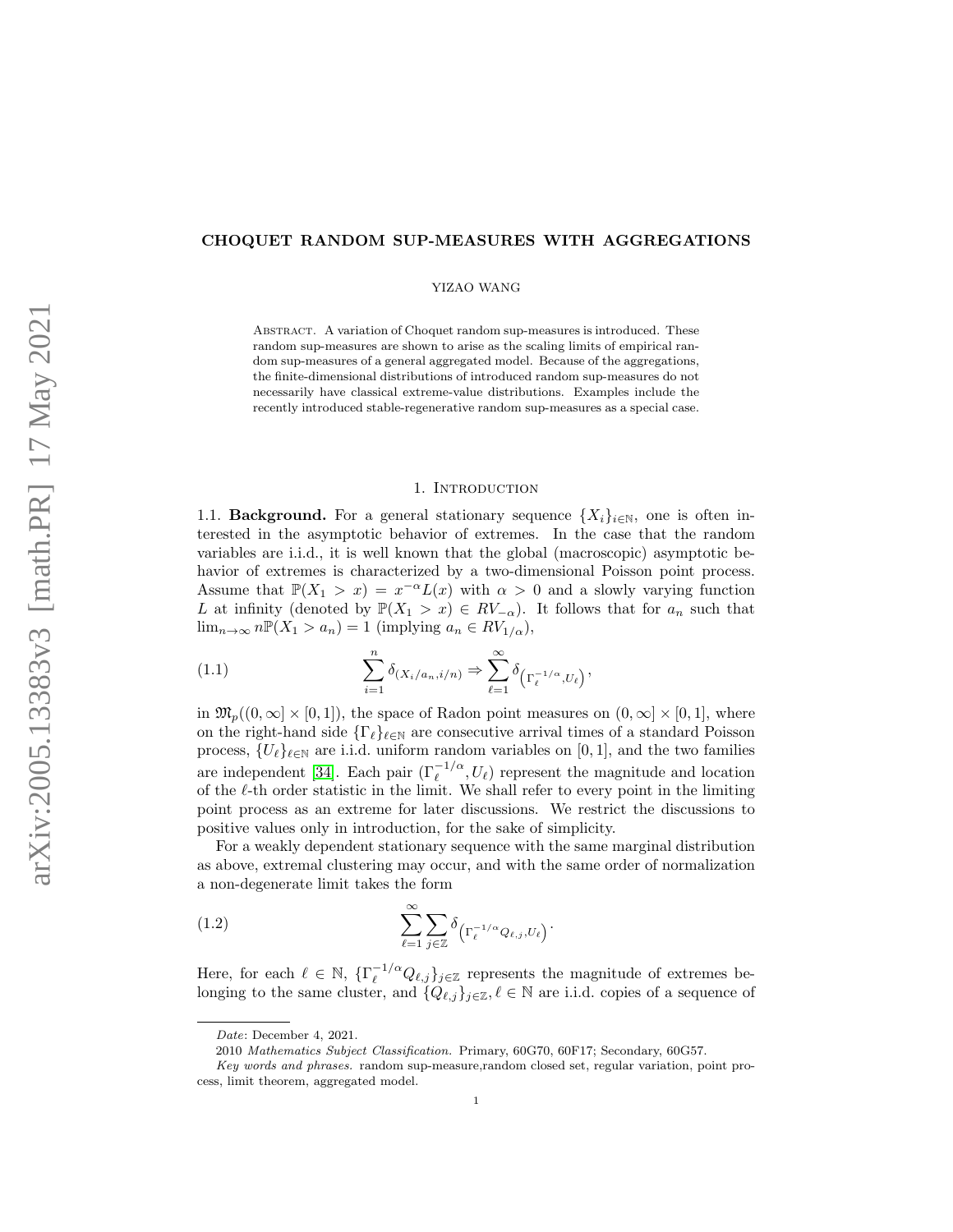# CHOQUET RANDOM SUP-MEASURES WITH AGGREGATIONS

YIZAO WANG

Abstract. A variation of Choquet random sup-measures is introduced. These random sup-measures are shown to arise as the scaling limits of empirical random sup-measures of a general aggregated model. Because of the aggregations, the finite-dimensional distributions of introduced random sup-measures do not necessarily have classical extreme-value distributions. Examples include the recently introduced stable-regenerative random sup-measures as a special case.

## 1. INTRODUCTION

1.1. **Background.** For a general stationary sequence  $\{X_i\}_{i\in\mathbb{N}}$ , one is often interested in the asymptotic behavior of extremes. In the case that the random variables are i.i.d., it is well known that the global (macroscopic) asymptotic behavior of extremes is characterized by a two-dimensional Poisson point process. Assume that  $\mathbb{P}(X_1 > x) = x^{-\alpha}L(x)$  with  $\alpha > 0$  and a slowly varying function L at infinity (denoted by  $\mathbb{P}(X_1 > x) \in RV_{-\alpha}$ ). It follows that for  $a_n$  such that  $\lim_{n\to\infty} n\mathbb{P}(X_1 > a_n) = 1$  (implying  $a_n \in RV_{1/\alpha}$ ),

<span id="page-0-1"></span>(1.1) 
$$
\sum_{i=1}^{n} \delta_{(X_i/a_n, i/n)} \Rightarrow \sum_{\ell=1}^{\infty} \delta_{\left(\Gamma_{\ell}^{-1/\alpha}, U_{\ell}\right)},
$$

in  $\mathfrak{M}_p((0,\infty]\times[0,1])$ , the space of Radon point measures on  $(0,\infty]\times[0,1]$ , where on the right-hand side  $\{\Gamma_\ell\}_{\ell \in \mathbb{N}}$  are consecutive arrival times of a standard Poisson process,  $\{U_{\ell}\}_{\ell \in \mathbb{N}}$  are i.i.d. uniform random variables on [0, 1], and the two families are independent [\[34\]](#page-25-0). Each pair  $(\Gamma_{\ell}^{-1/\alpha}, U_{\ell})$  represent the magnitude and location of the  $\ell$ -th order statistic in the limit. We shall refer to every point in the limiting point process as an extreme for later discussions. We restrict the discussions to positive values only in introduction, for the sake of simplicity.

For a weakly dependent stationary sequence with the same marginal distribution as above, extremal clustering may occur, and with the same order of normalization a non-degenerate limit takes the form

<span id="page-0-0"></span>(1.2) 
$$
\sum_{\ell=1}^{\infty} \sum_{j\in\mathbb{Z}} \delta_{\left(\Gamma_{\ell}^{-1/\alpha}Q_{\ell,j},U_{\ell}\right)}.
$$

Here, for each  $\ell \in \mathbb{N}$ ,  $\{\Gamma_{\ell}^{-1/\alpha} Q_{\ell,j}\}_j \in \mathbb{Z}$  represents the magnitude of extremes belonging to the same cluster, and  $\{Q_{\ell,j}\}_{j\in\mathbb{Z}}, \ell \in \mathbb{N}$  are i.i.d. copies of a sequence of

Date: December 4, 2021.

<sup>2010</sup> Mathematics Subject Classification. Primary, 60G70, 60F17; Secondary, 60G57.

Key words and phrases. random sup-measure,random closed set, regular variation, point process, limit theorem, aggregated model.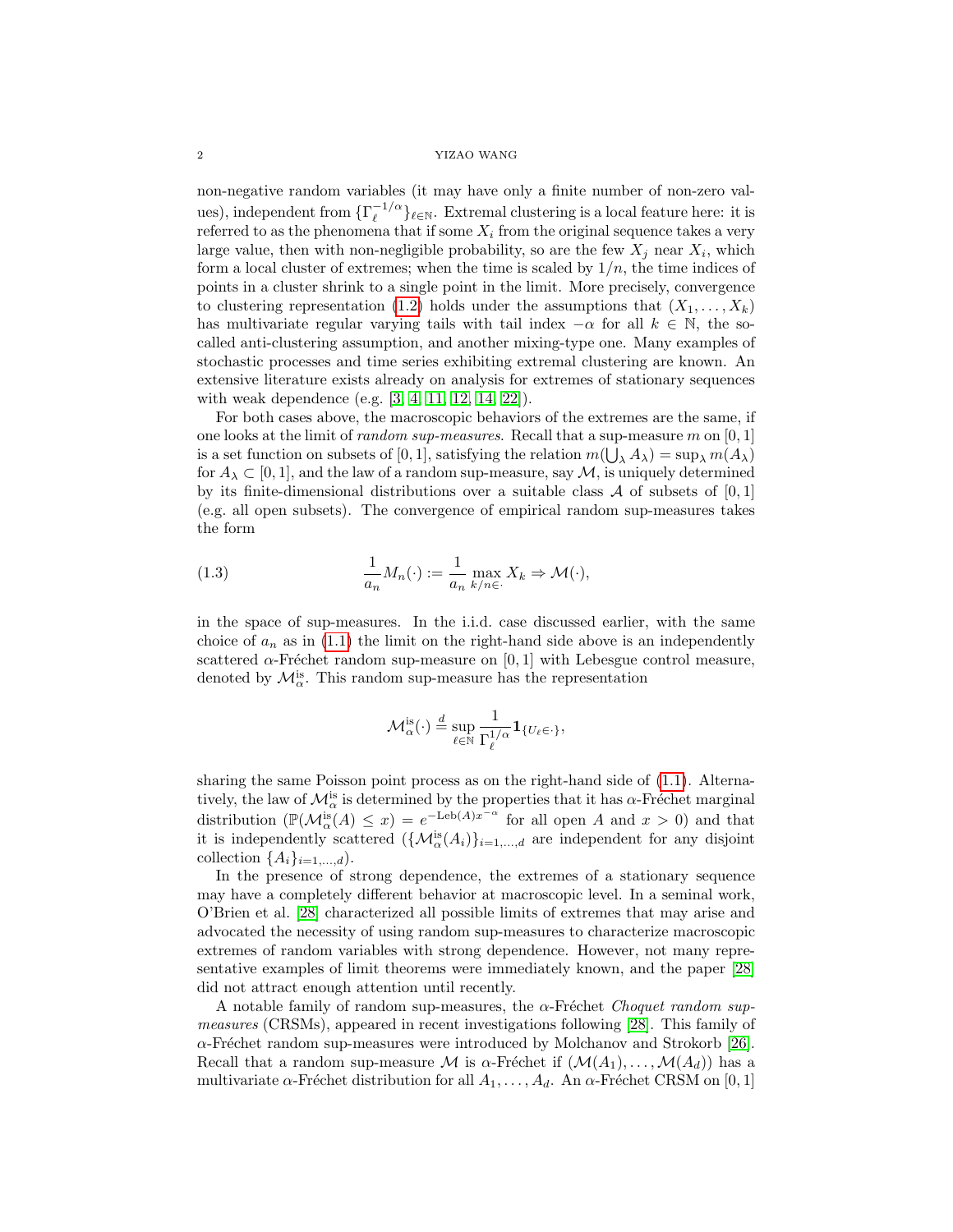#### 2 YIZAO WANG

non-negative random variables (it may have only a finite number of non-zero values), independent from  $\{\Gamma_{\ell}^{-1/\alpha}\}$  $\ell^{-1/\alpha}$ <sub>l</sub> $\ell \in \mathbb{N}$ . Extremal clustering is a local feature here: it is referred to as the phenomena that if some  $X_i$  from the original sequence takes a very large value, then with non-negligible probability, so are the few  $X_j$  near  $X_i$ , which form a local cluster of extremes; when the time is scaled by  $1/n$ , the time indices of points in a cluster shrink to a single point in the limit. More precisely, convergence to clustering representation [\(1.2\)](#page-0-0) holds under the assumptions that  $(X_1, \ldots, X_k)$ has multivariate regular varying tails with tail index  $-\alpha$  for all  $k \in \mathbb{N}$ , the socalled anti-clustering assumption, and another mixing-type one. Many examples of stochastic processes and time series exhibiting extremal clustering are known. An extensive literature exists already on analysis for extremes of stationary sequences with weak dependence (e.g. [\[3,](#page-24-0) [4,](#page-24-1) [11,](#page-24-2) [12,](#page-24-3) [14,](#page-25-1) [22\]](#page-25-2)).

For both cases above, the macroscopic behaviors of the extremes are the same, if one looks at the limit of *random sup-measures*. Recall that a sup-measure  $m$  on  $[0, 1]$ is a set function on subsets of [0, 1], satisfying the relation  $m(\bigcup_{\lambda} A_{\lambda}) = \sup_{\lambda} m(A_{\lambda})$ for  $A_\lambda \subset [0,1]$ , and the law of a random sup-measure, say M, is uniquely determined by its finite-dimensional distributions over a suitable class A of subsets of  $[0,1]$ (e.g. all open subsets). The convergence of empirical random sup-measures takes the form

(1.3) 
$$
\frac{1}{a_n} M_n(\cdot) := \frac{1}{a_n} \max_{k/n \in \cdot} X_k \Rightarrow \mathcal{M}(\cdot),
$$

in the space of sup-measures. In the i.i.d. case discussed earlier, with the same choice of  $a_n$  as in [\(1.1\)](#page-0-1) the limit on the right-hand side above is an independently scattered  $\alpha$ -Fréchet random sup-measure on [0, 1] with Lebesgue control measure, denoted by  $\mathcal{M}_{\alpha}^{is}$ . This random sup-measure has the representation

<span id="page-1-0"></span>
$$
\mathcal{M}_{\alpha}^{\mathrm{is}}(\cdot) \stackrel{d}{=} \sup_{\ell \in \mathbb{N}} \frac{1}{\Gamma_{\ell}^{1/\alpha}} \mathbf{1}_{\{U_{\ell} \in \cdot\}},
$$

sharing the same Poisson point process as on the right-hand side of [\(1.1\)](#page-0-1). Alternatively, the law of  $\mathcal{M}_{\alpha}^{is}$  is determined by the properties that it has  $\alpha$ -Fréchet marginal distribution  $(\mathbb{P}(\mathcal{M}_{\alpha}^{is}(A) \leq x) = e^{-\text{Leb}(A)x^{-\alpha}}$  for all open A and  $x > 0$ ) and that it is independently scattered  $(\{\mathcal{M}_{\alpha}^{is}(A_i)\}_{i=1,\dots,d}$  are independent for any disjoint collection  $\{A_i\}_{i=1,\ldots,d}$ ).

In the presence of strong dependence, the extremes of a stationary sequence may have a completely different behavior at macroscopic level. In a seminal work, O'Brien et al. [\[28\]](#page-25-3) characterized all possible limits of extremes that may arise and advocated the necessity of using random sup-measures to characterize macroscopic extremes of random variables with strong dependence. However, not many representative examples of limit theorems were immediately known, and the paper [\[28\]](#page-25-3) did not attract enough attention until recently.

A notable family of random sup-measures, the  $\alpha$ -Fréchet Choquet random supmeasures (CRSMs), appeared in recent investigations following [\[28\]](#page-25-3). This family of  $\alpha$ -Fréchet random sup-measures were introduced by Molchanov and Strokorb [\[26\]](#page-25-4). Recall that a random sup-measure M is  $\alpha$ -Fréchet if  $(\mathcal{M}(A_1), \ldots, \mathcal{M}(A_d))$  has a multivariate  $\alpha$ -Fréchet distribution for all  $A_1, \ldots, A_d$ . An  $\alpha$ -Fréchet CRSM on [0, 1]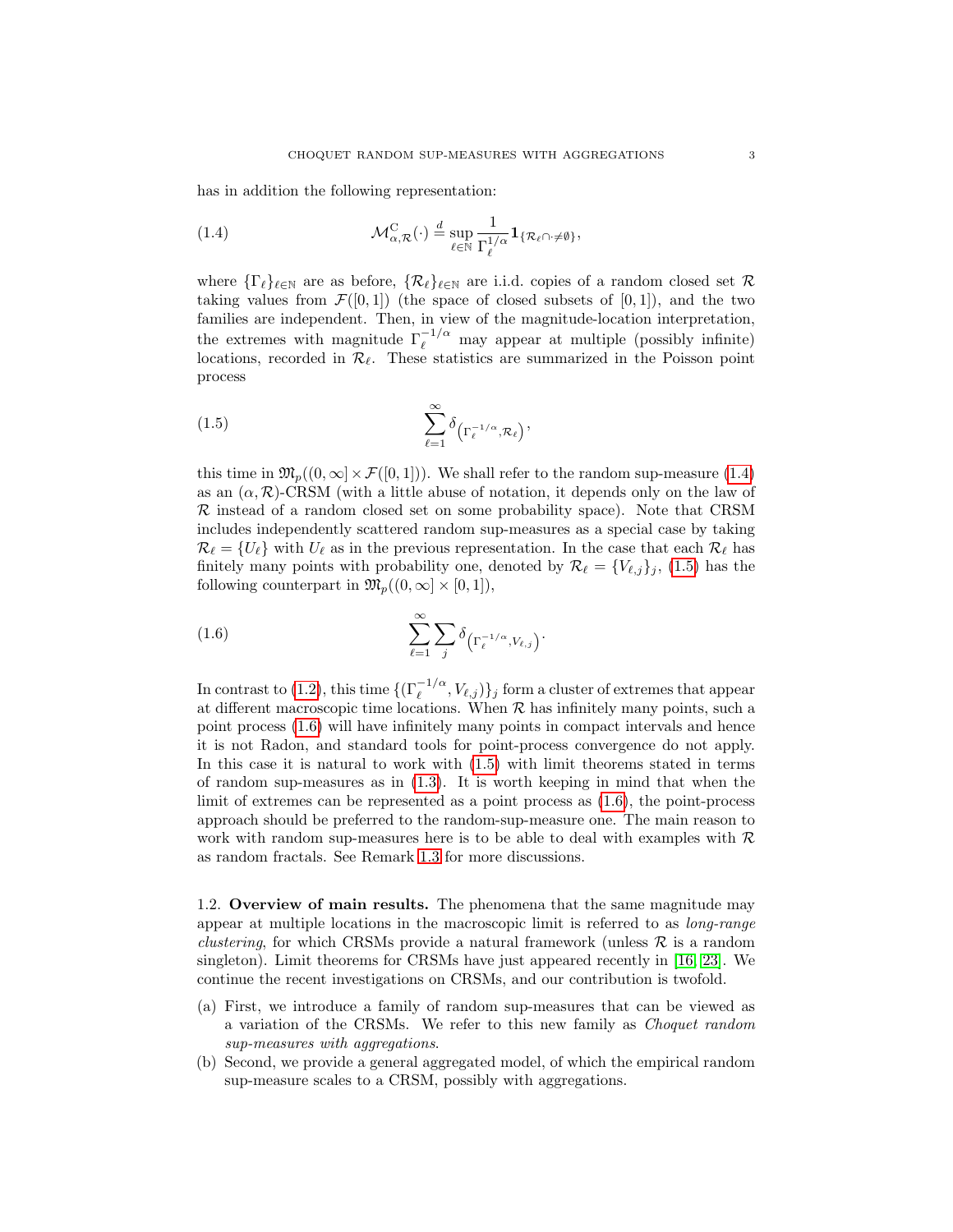has in addition the following representation:

<span id="page-2-0"></span>(1.4) 
$$
\mathcal{M}_{\alpha,\mathcal{R}}^C(\cdot) \stackrel{d}{=} \sup_{\ell \in \mathbb{N}} \frac{1}{\Gamma_{\ell}^{1/\alpha}} \mathbf{1}_{\{\mathcal{R}_{\ell} \cap \cdot \neq \emptyset\}},
$$

where  $\{\Gamma_\ell\}_{\ell\in\mathbb{N}}$  are as before,  $\{\mathcal{R}_\ell\}_{\ell\in\mathbb{N}}$  are i.i.d. copies of a random closed set  $\mathcal{R}$ taking values from  $\mathcal{F}([0,1])$  (the space of closed subsets of  $[0,1]$ ), and the two families are independent. Then, in view of the magnitude-location interpretation, the extremes with magnitude  $\Gamma_{\ell}^{-1/\alpha}$  may appear at multiple (possibly infinite) locations, recorded in  $\mathcal{R}_{\ell}$ . These statistics are summarized in the Poisson point process

<span id="page-2-1"></span>
$$
(1.5) \qquad \qquad \sum_{\ell=1}^{\infty} \delta_{\left(\Gamma_{\ell}^{-1/\alpha}, \mathcal{R}_{\ell}\right)},
$$

this time in  $\mathfrak{M}_p((0,\infty)\times \mathcal{F}([0,1]))$ . We shall refer to the random sup-measure [\(1.4\)](#page-2-0) as an  $(\alpha, \mathcal{R})$ -CRSM (with a little abuse of notation, it depends only on the law of  $\mathcal R$  instead of a random closed set on some probability space). Note that CRSM includes independently scattered random sup-measures as a special case by taking  $\mathcal{R}_{\ell} = \{U_{\ell}\}\$  with  $U_{\ell}$  as in the previous representation. In the case that each  $\mathcal{R}_{\ell}$  has finitely many points with probability one, denoted by  $\mathcal{R}_{\ell} = \{V_{\ell,j}\}_j$ , [\(1.5\)](#page-2-1) has the following counterpart in  $\mathfrak{M}_p((0,\infty]\times[0,1]),$ 

<span id="page-2-2"></span>(1.6) 
$$
\sum_{\ell=1}^{\infty} \sum_{j} \delta_{\left(\Gamma_{\ell}^{-1/\alpha}, V_{\ell,j}\right)}.
$$

In contrast to [\(1.2\)](#page-0-0), this time  $\{(\Gamma_\ell^{-1/\alpha}, V_{\ell,j})\}_j$  form a cluster of extremes that appear at different macroscopic time locations. When  $R$  has infinitely many points, such a point process [\(1.6\)](#page-2-2) will have infinitely many points in compact intervals and hence it is not Radon, and standard tools for point-process convergence do not apply. In this case it is natural to work with [\(1.5\)](#page-2-1) with limit theorems stated in terms of random sup-measures as in [\(1.3\)](#page-1-0). It is worth keeping in mind that when the limit of extremes can be represented as a point process as [\(1.6\)](#page-2-2), the point-process approach should be preferred to the random-sup-measure one. The main reason to work with random sup-measures here is to be able to deal with examples with  $R$ as random fractals. See Remark [1.3](#page-4-0) for more discussions.

1.2. Overview of main results. The phenomena that the same magnitude may appear at multiple locations in the macroscopic limit is referred to as long-range *clustering*, for which CRSMs provide a natural framework (unless  $\mathcal{R}$  is a random singleton). Limit theorems for CRSMs have just appeared recently in [\[16,](#page-25-5) [23\]](#page-25-6). We continue the recent investigations on CRSMs, and our contribution is twofold.

- (a) First, we introduce a family of random sup-measures that can be viewed as a variation of the CRSMs. We refer to this new family as Choquet random sup-measures with aggregations.
- (b) Second, we provide a general aggregated model, of which the empirical random sup-measure scales to a CRSM, possibly with aggregations.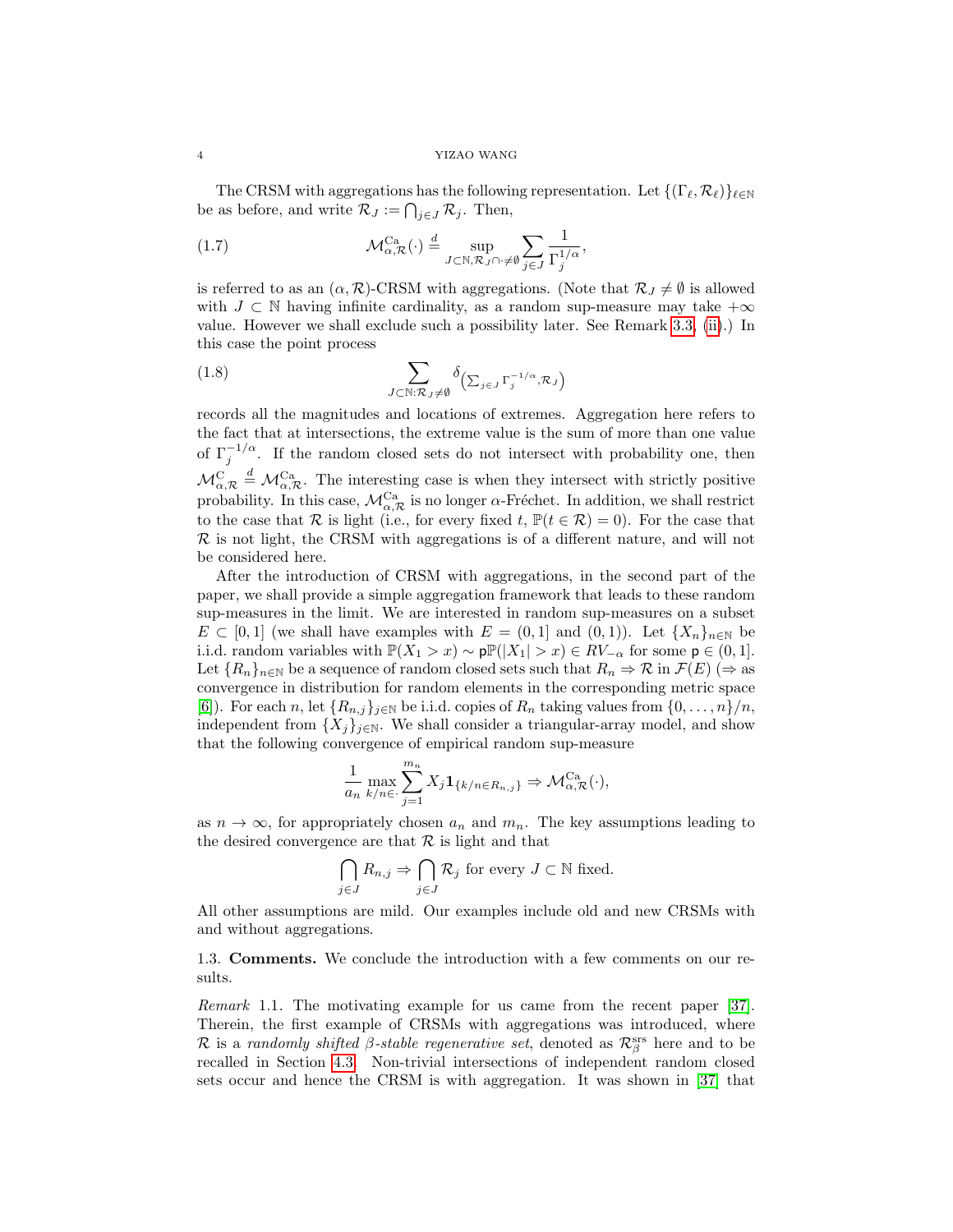The CRSM with aggregations has the following representation. Let  $\{(\Gamma_\ell, \mathcal{R}_\ell)\}_{\ell \in \mathbb{N}}$ be as before, and write  $\mathcal{R}_J := \bigcap_{j \in J} \mathcal{R}_j$ . Then,

<span id="page-3-1"></span>(1.7) 
$$
\mathcal{M}_{\alpha,\mathcal{R}}^{\text{Ca}}(\cdot) \stackrel{d}{=} \sup_{J \subset \mathbb{N}, \mathcal{R}_J \cap \cdot \neq \emptyset} \sum_{j \in J} \frac{1}{\Gamma_j^{1/\alpha}},
$$

is referred to as an  $(\alpha, \mathcal{R})$ -CRSM with aggregations. (Note that  $\mathcal{R}_J \neq \emptyset$  is allowed with  $J \subset \mathbb{N}$  having infinite cardinality, as a random sup-measure may take  $+\infty$ value. However we shall exclude such a possibility later. See Remark [3.3,](#page-9-0) [\(ii\)](#page-10-0).) In this case the point process

<span id="page-3-0"></span>(1.8) 
$$
\sum_{J \subset \mathbb{N}: \mathcal{R}_J \neq \emptyset} \delta_{\left(\sum_{j \in J} \Gamma_j^{-1/\alpha}, \mathcal{R}_J\right)}
$$

records all the magnitudes and locations of extremes. Aggregation here refers to the fact that at intersections, the extreme value is the sum of more than one value of  $\Gamma_j^{-1/\alpha}$ . If the random closed sets do not intersect with probability one, then  $\mathcal{M}_{\alpha,\mathcal{R}}^{\rm C} \stackrel{d}{=} \mathcal{M}_{\alpha,\mathcal{R}}^{\rm Ca}$ . The interesting case is when they intersect with strictly positive probability. In this case,  $\mathcal{M}_{\alpha,\mathcal{R}}^{Ca}$  is no longer  $\alpha$ -Fréchet. In addition, we shall restrict to the case that R is light (i.e., for every fixed t,  $\mathbb{P}(t \in \mathcal{R}) = 0$ ). For the case that  $\mathcal R$  is not light, the CRSM with aggregations is of a different nature, and will not be considered here.

After the introduction of CRSM with aggregations, in the second part of the paper, we shall provide a simple aggregation framework that leads to these random sup-measures in the limit. We are interested in random sup-measures on a subset  $E \subset [0,1]$  (we shall have examples with  $E = (0,1]$  and  $(0,1)$ ). Let  $\{X_n\}_{n\in\mathbb{N}}$  be i.i.d. random variables with  $\mathbb{P}(X_1 > x) \sim p\mathbb{P}(|X_1| > x) \in RV_{-\alpha}$  for some  $p \in (0,1]$ . Let  ${R_n}_{n\in\mathbb{N}}$  be a sequence of random closed sets such that  $R_n \Rightarrow \mathcal{R}$  in  $\mathcal{F}(E)$  ( $\Rightarrow$  as convergence in distribution for random elements in the corresponding metric space [\[6\]](#page-24-4)). For each n, let  $\{R_{n,j}\}_{j\in\mathbb{N}}$  be i.i.d. copies of  $R_n$  taking values from  $\{0,\ldots,n\}/n$ , independent from  $\{X_j\}_{j\in\mathbb{N}}$ . We shall consider a triangular-array model, and show that the following convergence of empirical random sup-measure

$$
\frac{1}{a_n} \max_{k/n \in \cdot} \sum_{j=1}^{m_n} X_j \mathbf{1}_{\{k/n \in R_{n,j}\}} \Rightarrow \mathcal{M}_{\alpha, \mathcal{R}}^{\text{Ca}}(\cdot),
$$

as  $n \to \infty$ , for appropriately chosen  $a_n$  and  $m_n$ . The key assumptions leading to the desired convergence are that  $\mathcal R$  is light and that

$$
\bigcap_{j\in J} R_{n,j} \Rightarrow \bigcap_{j\in J} \mathcal{R}_j \text{ for every } J \subset \mathbb{N} \text{ fixed.}
$$

All other assumptions are mild. Our examples include old and new CRSMs with and without aggregations.

1.3. Comments. We conclude the introduction with a few comments on our results.

Remark 1.1. The motivating example for us came from the recent paper [\[37\]](#page-26-0). Therein, the first example of CRSMs with aggregations was introduced, where R is a randomly shifted β-stable regenerative set, denoted as  $\mathcal{R}^{\text{srs}}_{\beta}$  here and to be recalled in Section [4.3.](#page-20-0) Non-trivial intersections of independent random closed sets occur and hence the CRSM is with aggregation. It was shown in [\[37\]](#page-26-0) that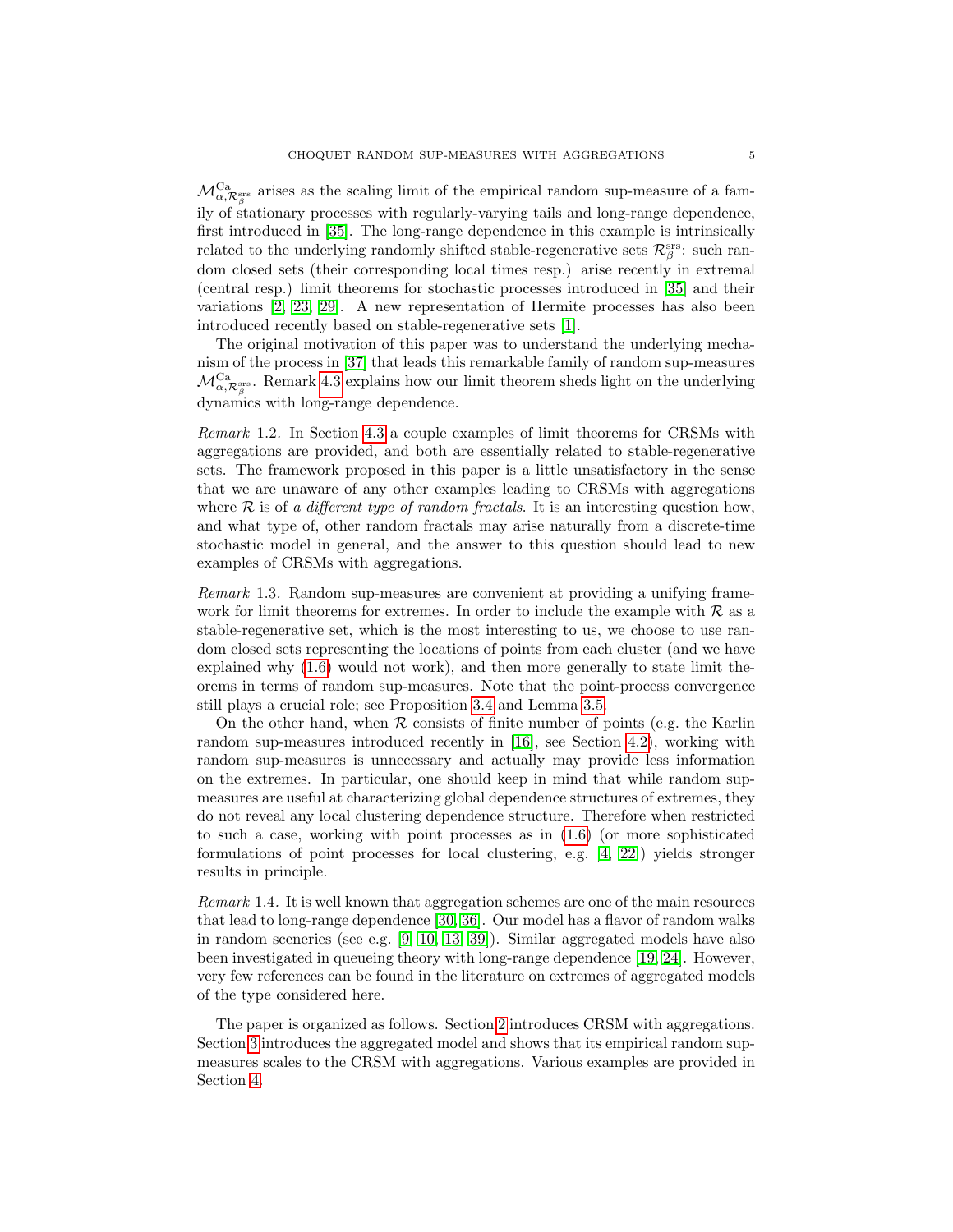$\mathcal{M}_{\alpha,\mathcal{R}_{\beta}^{\text{ss}}}^{\text{Ca}}$  arises as the scaling limit of the empirical random sup-measure of a family of stationary processes with regularly-varying tails and long-range dependence, first introduced in [\[35\]](#page-26-1). The long-range dependence in this example is intrinsically related to the underlying randomly shifted stable-regenerative sets  $\mathcal{R}_{\beta}^{\mathrm{ss}}$ : such random closed sets (their corresponding local times resp.) arise recently in extremal (central resp.) limit theorems for stochastic processes introduced in [\[35\]](#page-26-1) and their variations [\[2,](#page-24-5) [23,](#page-25-6) [29\]](#page-25-7). A new representation of Hermite processes has also been introduced recently based on stable-regenerative sets [\[1\]](#page-24-6).

The original motivation of this paper was to understand the underlying mechanism of the process in [\[37\]](#page-26-0) that leads this remarkable family of random sup-measures  $\mathcal{M}^{\text{Ca}}_{\alpha,\mathcal{R}^{\text{srs}}_{\beta}}$ . Remark [4.3](#page-21-0) explains how our limit theorem sheds light on the underlying dynamics with long-range dependence.

Remark 1.2. In Section [4.3](#page-20-0) a couple examples of limit theorems for CRSMs with aggregations are provided, and both are essentially related to stable-regenerative sets. The framework proposed in this paper is a little unsatisfactory in the sense that we are unaware of any other examples leading to CRSMs with aggregations where  $R$  is of a different type of random fractals. It is an interesting question how, and what type of, other random fractals may arise naturally from a discrete-time stochastic model in general, and the answer to this question should lead to new examples of CRSMs with aggregations.

<span id="page-4-0"></span>Remark 1.3. Random sup-measures are convenient at providing a unifying framework for limit theorems for extremes. In order to include the example with  $R$  as a stable-regenerative set, which is the most interesting to us, we choose to use random closed sets representing the locations of points from each cluster (and we have explained why [\(1.6\)](#page-2-2) would not work), and then more generally to state limit theorems in terms of random sup-measures. Note that the point-process convergence still plays a crucial role; see Proposition [3.4](#page-11-0) and Lemma [3.5.](#page-11-1)

On the other hand, when  $R$  consists of finite number of points (e.g. the Karlin random sup-measures introduced recently in [\[16\]](#page-25-5), see Section [4.2\)](#page-19-0), working with random sup-measures is unnecessary and actually may provide less information on the extremes. In particular, one should keep in mind that while random supmeasures are useful at characterizing global dependence structures of extremes, they do not reveal any local clustering dependence structure. Therefore when restricted to such a case, working with point processes as in [\(1.6\)](#page-2-2) (or more sophisticated formulations of point processes for local clustering, e.g. [\[4,](#page-24-1) [22\]](#page-25-2)) yields stronger results in principle.

Remark 1.4. It is well known that aggregation schemes are one of the main resources that lead to long-range dependence [\[30,](#page-25-8) [36\]](#page-26-2). Our model has a flavor of random walks in random sceneries (see e.g. [\[9,](#page-24-7) [10,](#page-24-8) [13,](#page-25-9) [39\]](#page-26-3)). Similar aggregated models have also been investigated in queueing theory with long-range dependence [\[19,](#page-25-10) [24\]](#page-25-11). However, very few references can be found in the literature on extremes of aggregated models of the type considered here.

The paper is organized as follows. Section [2](#page-5-0) introduces CRSM with aggregations. Section [3](#page-8-0) introduces the aggregated model and shows that its empirical random supmeasures scales to the CRSM with aggregations. Various examples are provided in Section [4.](#page-18-0)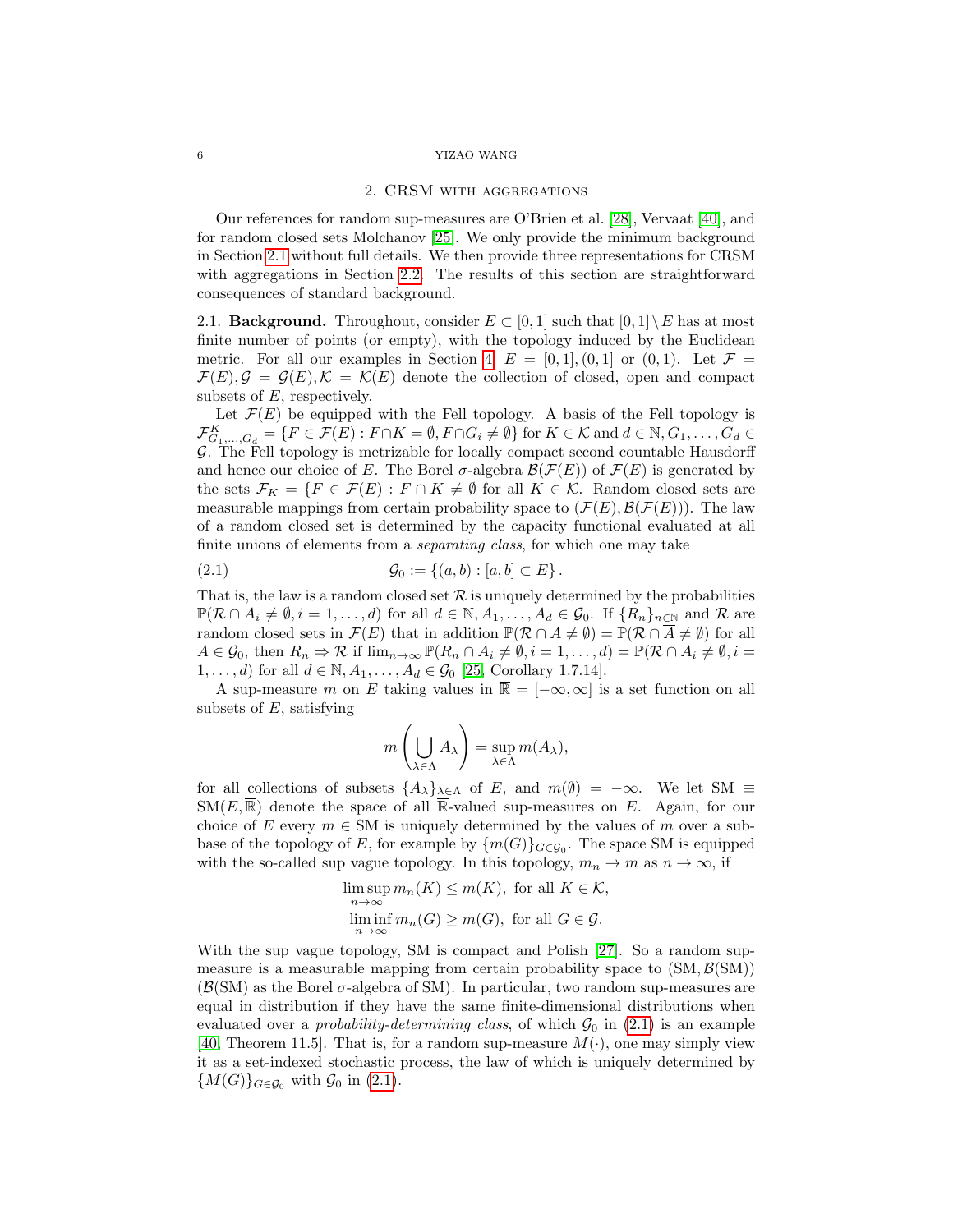#### <span id="page-5-0"></span>6 YIZAO WANG

### 2. CRSM with aggregations

Our references for random sup-measures are O'Brien et al. [\[28\]](#page-25-3), Vervaat [\[40\]](#page-26-4), and for random closed sets Molchanov [\[25\]](#page-25-12). We only provide the minimum background in Section [2.1](#page-5-1) without full details. We then provide three representations for CRSM with aggregations in Section [2.2.](#page-6-0) The results of this section are straightforward consequences of standard background.

<span id="page-5-1"></span>2.1. **Background.** Throughout, consider  $E \subset [0,1]$  such that  $[0,1] \setminus E$  has at most finite number of points (or empty), with the topology induced by the Euclidean metric. For all our examples in Section [4,](#page-18-0)  $E = [0, 1], (0, 1]$  or  $(0, 1)$ . Let  $\mathcal{F} =$  $\mathcal{F}(E), \mathcal{G} = \mathcal{G}(E), \mathcal{K} = \mathcal{K}(E)$  denote the collection of closed, open and compact subsets of E, respectively.

Let  $\mathcal{F}(E)$  be equipped with the Fell topology. A basis of the Fell topology is  $\mathcal{F}_{G_1,\dots,G_d}^K = \{F \in \mathcal{F}(E) : F \cap K = \emptyset, F \cap G_i \neq \emptyset\}$  for  $K \in \mathcal{K}$  and  $d \in \mathbb{N}, G_1,\dots,G_d \in$ G. The Fell topology is metrizable for locally compact second countable Hausdorff and hence our choice of E. The Borel  $\sigma$ -algebra  $\mathcal{B}(\mathcal{F}(E))$  of  $\mathcal{F}(E)$  is generated by the sets  $\mathcal{F}_K = \{F \in \mathcal{F}(E) : F \cap K \neq \emptyset \text{ for all } K \in \mathcal{K}$ . Random closed sets are measurable mappings from certain probability space to  $(\mathcal{F}(E), \mathcal{B}(\mathcal{F}(E)))$ . The law of a random closed set is determined by the capacity functional evaluated at all finite unions of elements from a *separating class*, for which one may take

(2.1) 
$$
\mathcal{G}_0 := \{(a, b) : [a, b] \subset E\}.
$$

That is, the law is a random closed set  $\mathcal R$  is uniquely determined by the probabilities  $\mathbb{P}(\mathcal{R} \cap A_i \neq \emptyset, i = 1, \ldots, d)$  for all  $d \in \mathbb{N}, A_1, \ldots, A_d \in \mathcal{G}_0$ . If  $\{R_n\}_{n \in \mathbb{N}}$  and  $\mathcal{R}$  are random closed sets in  $\mathcal{F}(E)$  that in addition  $\mathbb{P}(\mathcal{R} \cap A \neq \emptyset) = \mathbb{P}(\mathcal{R} \cap \overline{A} \neq \emptyset)$  for all  $A \in \mathcal{G}_0$ , then  $R_n \Rightarrow \mathcal{R}$  if  $\lim_{n \to \infty} \mathbb{P}(R_n \cap A_i \neq \emptyset, i = 1, \ldots, d) = \mathbb{P}(\mathcal{R} \cap A_i \neq \emptyset, i = 1, \ldots, d)$ 1, ..., *d*) for all  $d \in \mathbb{N}, A_1, \ldots, A_d \in \mathcal{G}_0$  [\[25,](#page-25-12) Corollary 1.7.14].

A sup-measure m on E taking values in  $\overline{\mathbb{R}} = [-\infty, \infty]$  is a set function on all subsets of  $E$ , satisfying

<span id="page-5-2"></span>
$$
m\left(\bigcup_{\lambda \in \Lambda} A_{\lambda}\right) = \sup_{\lambda \in \Lambda} m(A_{\lambda}),
$$

for all collections of subsets  $\{A_{\lambda}\}_{{\lambda}\in{\Lambda}}$  of E, and  $m(\emptyset) = -\infty$ . We let SM  $\equiv$  $\text{SM}(E,\mathbb{R})$  denote the space of all R-valued sup-measures on E. Again, for our choice of E every  $m \in SM$  is uniquely determined by the values of m over a subbase of the topology of E, for example by  $\{m(G)\}_{G \in \mathcal{G}_0}$ . The space SM is equipped with the so-called sup vague topology. In this topology,  $m_n \to m$  as  $n \to \infty$ , if

$$
\limsup_{n \to \infty} m_n(K) \le m(K), \text{ for all } K \in \mathcal{K},
$$
  

$$
\liminf_{n \to \infty} m_n(G) \ge m(G), \text{ for all } G \in \mathcal{G}.
$$

With the sup vague topology, SM is compact and Polish [\[27\]](#page-25-13). So a random supmeasure is a measurable mapping from certain probability space to  $(SM, \mathcal{B}(SM))$  $(\mathcal{B}(SM))$  as the Borel  $\sigma$ -algebra of SM). In particular, two random sup-measures are equal in distribution if they have the same finite-dimensional distributions when evaluated over a *probability-determining class*, of which  $\mathcal{G}_0$  in [\(2.1\)](#page-5-2) is an example [\[40,](#page-26-4) Theorem 11.5]. That is, for a random sup-measure  $M(\cdot)$ , one may simply view it as a set-indexed stochastic process, the law of which is uniquely determined by  ${M(G)}_{G \in \mathcal{G}_0}$  with  $\mathcal{G}_0$  in [\(2.1\)](#page-5-2).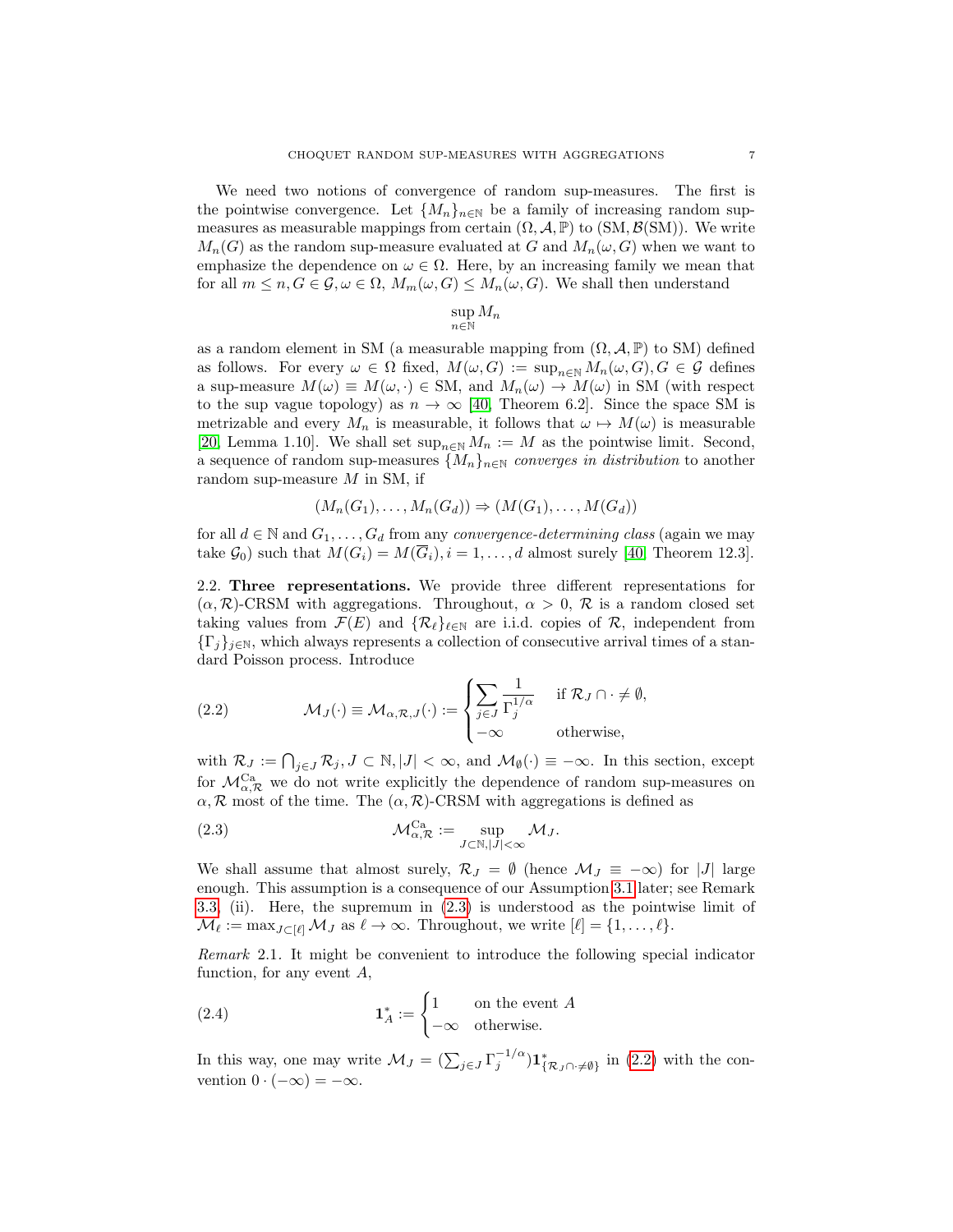We need two notions of convergence of random sup-measures. The first is the pointwise convergence. Let  $\{M_n\}_{n\in\mathbb{N}}$  be a family of increasing random supmeasures as measurable mappings from certain  $(\Omega, \mathcal{A}, \mathbb{P})$  to  $(SM, \mathcal{B}(SM))$ . We write  $M_n(G)$  as the random sup-measure evaluated at G and  $M_n(\omega, G)$  when we want to emphasize the dependence on  $\omega \in \Omega$ . Here, by an increasing family we mean that for all  $m \leq n, G \in \mathcal{G}, \omega \in \Omega, M_m(\omega, G) \leq M_n(\omega, G)$ . We shall then understand

$$
\sup_{n \in \mathbb{N}} M_n
$$

as a random element in SM (a measurable mapping from  $(\Omega, \mathcal{A}, \mathbb{P})$  to SM) defined as follows. For every  $\omega \in \Omega$  fixed,  $M(\omega, G) := \sup_{n \in \mathbb{N}} M_n(\omega, G), G \in \mathcal{G}$  defines a sup-measure  $M(\omega) \equiv M(\omega, \cdot) \in SM$ , and  $M_n(\omega) \to M(\omega)$  in SM (with respect to the sup vague topology) as  $n \to \infty$  [\[40,](#page-26-4) Theorem 6.2]. Since the space SM is metrizable and every  $M_n$  is measurable, it follows that  $\omega \mapsto M(\omega)$  is measurable [\[20,](#page-25-14) Lemma 1.10]. We shall set  $\sup_{n\in\mathbb{N}}M_n := M$  as the pointwise limit. Second, a sequence of random sup-measures  $\{M_n\}_{n\in\mathbb{N}}$  converges in distribution to another random sup-measure  $M$  in SM, if

$$
(M_n(G_1), \ldots, M_n(G_d)) \Rightarrow (M(G_1), \ldots, M(G_d))
$$

for all  $d \in \mathbb{N}$  and  $G_1, \ldots, G_d$  from any *convergence-determining class* (again we may take  $\mathcal{G}_0$ ) such that  $M(G_i) = M(\overline{G}_i), i = 1, \ldots, d$  almost surely [\[40,](#page-26-4) Theorem 12.3].

<span id="page-6-0"></span>2.2. Three representations. We provide three different representations for  $(\alpha, \mathcal{R})$ -CRSM with aggregations. Throughout,  $\alpha > 0$ ,  $\mathcal{R}$  is a random closed set taking values from  $\mathcal{F}(E)$  and  $\{\mathcal{R}_\ell\}_{\ell\in\mathbb{N}}$  are i.i.d. copies of  $\mathcal{R}$ , independent from  ${\{\Gamma_j\}}_{j\in\mathbb{N}}$ , which always represents a collection of consecutive arrival times of a standard Poisson process. Introduce

<span id="page-6-2"></span>(2.2) 
$$
\mathcal{M}_{J}(\cdot) \equiv \mathcal{M}_{\alpha, \mathcal{R}, J}(\cdot) := \begin{cases} \sum_{j \in J} \frac{1}{\Gamma_{j}^{1/\alpha}} & \text{if } \mathcal{R}_{J} \cap \cdot \neq \emptyset, \\ -\infty & \text{otherwise,} \end{cases}
$$

with  $\mathcal{R}_J := \bigcap_{j \in J} \mathcal{R}_j, J \subset \mathbb{N}, |J| < \infty$ , and  $\mathcal{M}_{\emptyset}(\cdot) \equiv -\infty$ . In this section, except for  $\mathcal{M}_{\alpha,\mathcal{R}}^{\mathrm{Ca}}$  we do not write explicitly the dependence of random sup-measures on  $\alpha$ , R most of the time. The  $(\alpha, \mathcal{R})$ -CRSM with aggregations is defined as

<span id="page-6-1"></span>(2.3) 
$$
\mathcal{M}_{\alpha,\mathcal{R}}^{\text{Ca}} := \sup_{J \subset \mathbb{N}, |J| < \infty} \mathcal{M}_J.
$$

We shall assume that almost surely,  $\mathcal{R}_J = \emptyset$  (hence  $\mathcal{M}_J = -\infty$ ) for |J| large enough. This assumption is a consequence of our Assumption [3.1](#page-9-1) later; see Remark [3.3,](#page-9-0) (ii). Here, the supremum in [\(2.3\)](#page-6-1) is understood as the pointwise limit of  $\mathcal{M}_{\ell} := \max_{J \subset [\ell]} \mathcal{M}_J$  as  $\ell \to \infty$ . Throughout, we write  $[\ell] = \{1, \ldots, \ell\}.$ 

<span id="page-6-4"></span>Remark 2.1. It might be convenient to introduce the following special indicator function, for any event A,

<span id="page-6-3"></span>(2.4) 
$$
\mathbf{1}_A^* := \begin{cases} 1 & \text{on the event } A \\ -\infty & \text{otherwise.} \end{cases}
$$

In this way, one may write  $\mathcal{M}_J = (\sum_{j \in J} \Gamma_j^{-1/\alpha}) \mathbf{1}_{\{\mathcal{R}_J \cap \cdot \neq \emptyset\}}^*$  in [\(2.2\)](#page-6-2) with the convention  $0 \cdot (-\infty) = -\infty$ .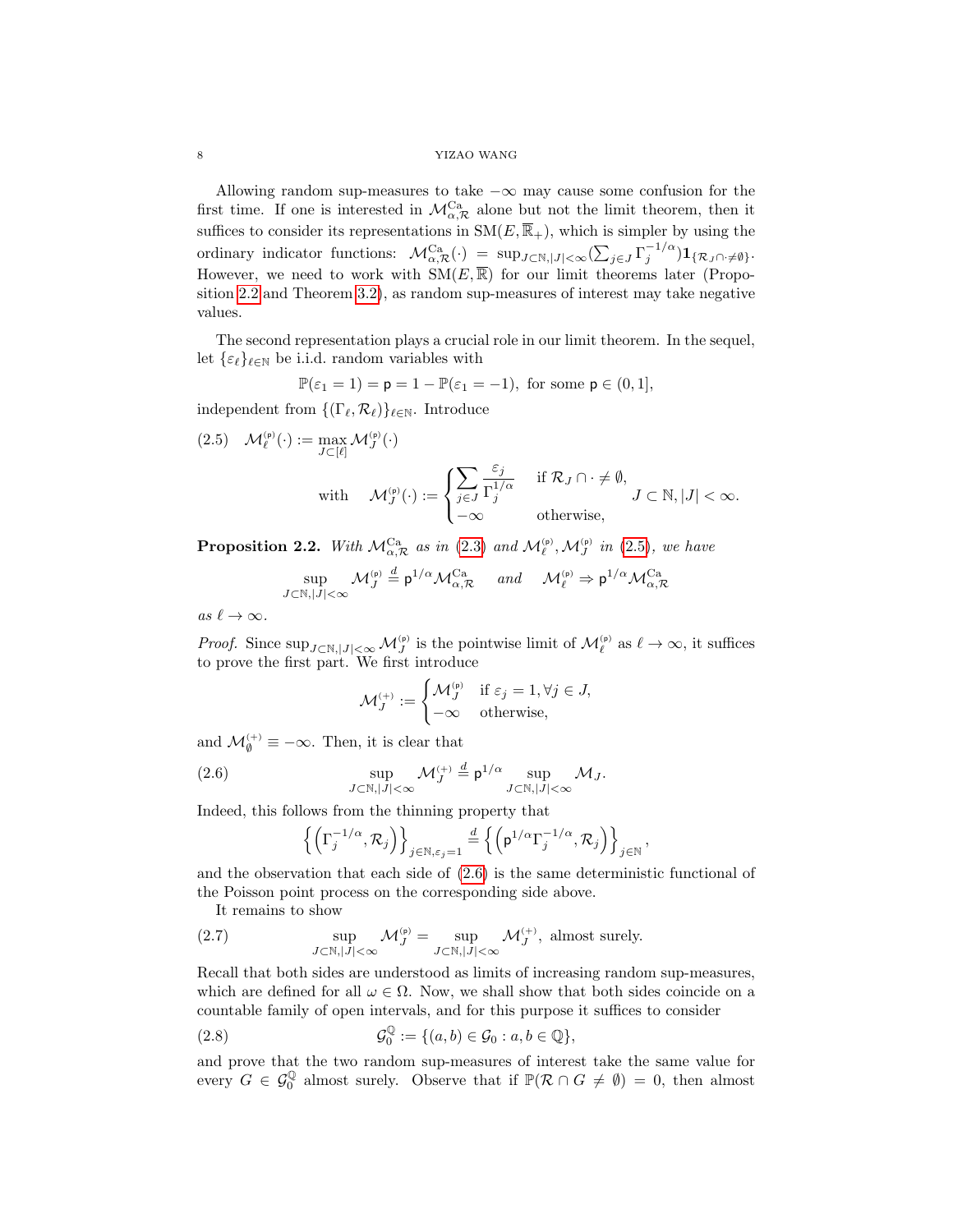### 8 YIZAO WANG

Allowing random sup-measures to take  $-\infty$  may cause some confusion for the first time. If one is interested in  $\mathcal{M}_{\alpha,\mathcal{R}}^{\mathrm{Ca}}$  alone but not the limit theorem, then it suffices to consider its representations in  $SM(E, \overline{\mathbb{R}}_+)$ , which is simpler by using the ordinary indicator functions:  $\mathcal{M}_{\alpha,\mathcal{R}}^{Ca}(\cdot) = \sup_{J \subset \mathbb{N},|J| < \infty} (\sum_{j\in J} \Gamma_j^{-1/\alpha}) \mathbf{1}_{\{\mathcal{R}_J \cap J \neq \emptyset\}}.$ However, we need to work with  $\text{SM}(E,\overline{\mathbb{R}})$  for our limit theorems later (Proposition [2.2](#page-7-0) and Theorem [3.2\)](#page-9-2), as random sup-measures of interest may take negative values.

The second representation plays a crucial role in our limit theorem. In the sequel, let  $\{\varepsilon_\ell\}_{\ell \in \mathbb{N}}$  be i.i.d. random variables with

$$
\mathbb{P}(\varepsilon_1 = 1) = \mathsf{p} = 1 - \mathbb{P}(\varepsilon_1 = -1), \text{ for some } \mathsf{p} \in (0, 1],
$$

independent from  $\{(\Gamma_{\ell}, \mathcal{R}_{\ell})\}_{\ell \in \mathbb{N}}$ . Introduce

<span id="page-7-1"></span>(2.5) 
$$
\mathcal{M}_{\ell}^{(p)}(\cdot) := \max_{J \subset [\ell]} \mathcal{M}_{J}^{(p)}(\cdot)
$$
  
with 
$$
\mathcal{M}_{J}^{(p)}(\cdot) := \begin{cases} \sum_{j \in J} \frac{\varepsilon_{j}}{\Gamma_{j}^{1/\alpha}} & \text{if } \mathcal{R}_{J} \cap \cdot \neq \emptyset, \\ -\infty & \text{otherwise,} \end{cases} J \subset \mathbb{N}, |J| < \infty.
$$

<span id="page-7-0"></span>**Proposition 2.2.** With  $\mathcal{M}_{\alpha,\mathcal{R}}^{Ca}$  as in [\(2.3\)](#page-6-1) and  $\mathcal{M}_{\ell}^{(p)},\mathcal{M}_{J}^{(p)}$  in [\(2.5\)](#page-7-1), we have

$$
\sup_{J \subset \mathbb{N}, |J| < \infty} \mathcal{M}_J^{(\mathsf{p})} \stackrel{d}{=} \mathsf{p}^{1/\alpha} \mathcal{M}_{\alpha, \mathcal{R}}^{\mathsf{Ca}} \quad \text{and} \quad \mathcal{M}_{\ell}^{(\mathsf{p})} \Rightarrow \mathsf{p}^{1/\alpha} \mathcal{M}_{\alpha, \mathcal{R}}^{\mathsf{Ca}}
$$

as  $\ell \to \infty$ .

*Proof.* Since  $\sup_{J \subset \mathbb{N}, |J| < \infty} \mathcal{M}_J^{(p)}$  is the pointwise limit of  $\mathcal{M}_\ell^{(p)}$  as  $\ell \to \infty$ , it suffices to prove the first part. We first introduce

$$
\mathcal{M}_J^{(+)} := \begin{cases} \mathcal{M}_J^{(p)} & \text{if } \varepsilon_j = 1, \forall j \in J, \\ -\infty & \text{otherwise,} \end{cases}
$$

and  $\mathcal{M}_{\emptyset}^{(+)} \equiv -\infty$ . Then, it is clear that

(2.6) 
$$
\sup_{J \subset \mathbb{N}, |J| < \infty} \mathcal{M}_J^{(+)} \stackrel{d}{=} \mathsf{p}^{1/\alpha} \sup_{J \subset \mathbb{N}, |J| < \infty} \mathcal{M}_J.
$$

Indeed, this follows from the thinning property that

<span id="page-7-2"></span>
$$
\left\{\left(\Gamma_j^{-1/\alpha}, \mathcal{R}_j\right)\right\}_{j\in\mathbb{N}, \varepsilon_j=1} \stackrel{d}{=} \left\{\left(\mathsf{p}^{1/\alpha}\Gamma_j^{-1/\alpha}, \mathcal{R}_j\right)\right\}_{j\in\mathbb{N}}
$$

,

and the observation that each side of [\(2.6\)](#page-7-2) is the same deterministic functional of the Poisson point process on the corresponding side above.

<span id="page-7-3"></span>It remains to show

(2.7) 
$$
\sup_{J \subset \mathbb{N}, |J| < \infty} \mathcal{M}_J^{(p)} = \sup_{J \subset \mathbb{N}, |J| < \infty} \mathcal{M}_J^{(+)} \text{, almost surely.}
$$

Recall that both sides are understood as limits of increasing random sup-measures, which are defined for all  $\omega \in \Omega$ . Now, we shall show that both sides coincide on a countable family of open intervals, and for this purpose it suffices to consider

<span id="page-7-4"></span>(2.8) 
$$
\mathcal{G}_0^{\mathbb{Q}} := \{ (a, b) \in \mathcal{G}_0 : a, b \in \mathbb{Q} \},
$$

and prove that the two random sup-measures of interest take the same value for every  $G \in \mathcal{G}_0^{\mathbb{Q}}$  almost surely. Observe that if  $\mathbb{P}(\mathcal{R} \cap G \neq \emptyset) = 0$ , then almost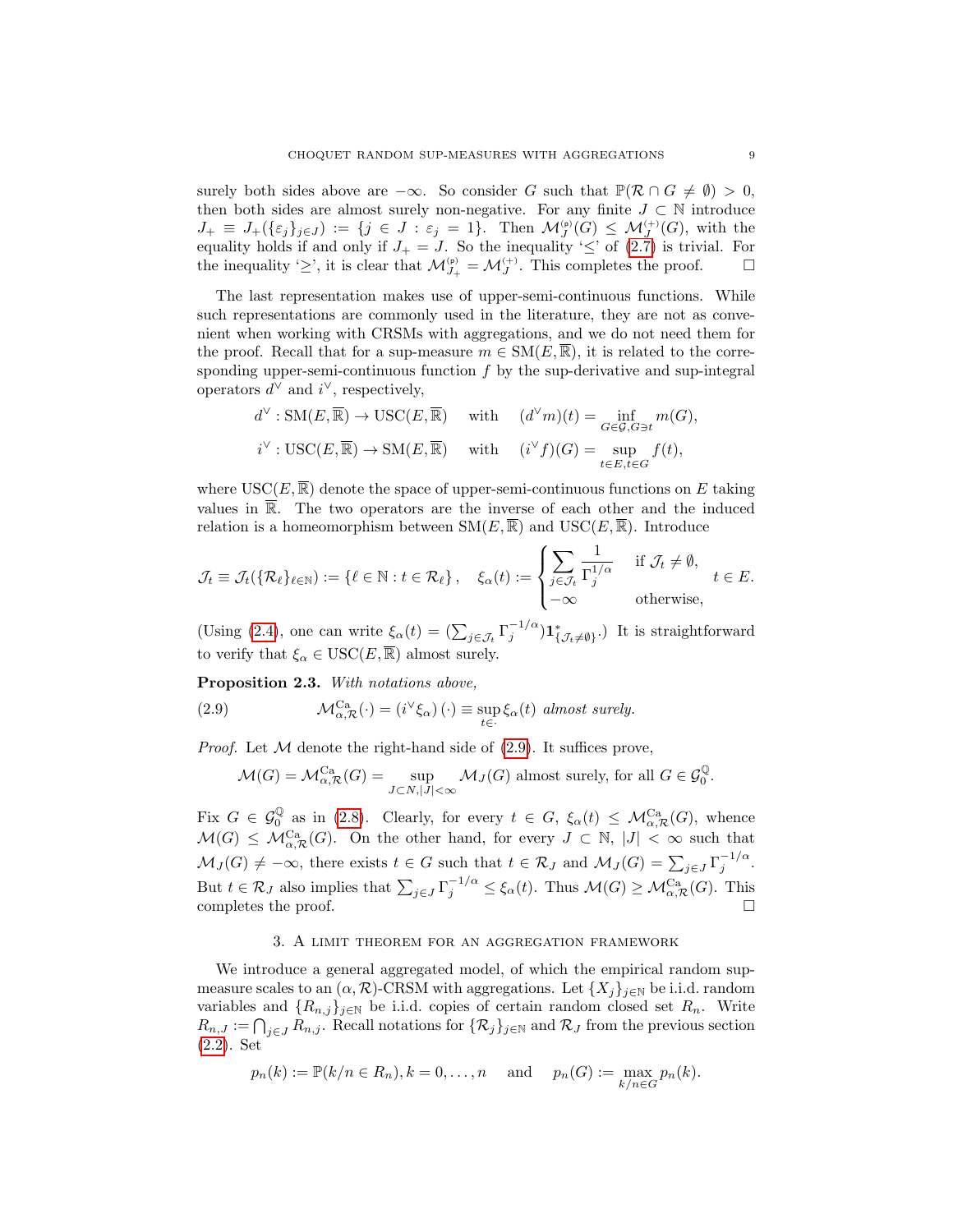surely both sides above are  $-\infty$ . So consider G such that  $\mathbb{P}(\mathcal{R} \cap G \neq \emptyset) > 0$ , then both sides are almost surely non-negative. For any finite  $J \subset \mathbb{N}$  introduce  $J_+\equiv J_+(\{\varepsilon_j\}_{j\in J}) :=\{j\in J:\varepsilon_j=1\}.$  Then  $\mathcal{M}_J^{(p)}(G)\leq \mathcal{M}_J^{(+)}(G)$ , with the  $J_+ = J_+(\ell_j f_j \in J)$   $\subset J \subset J \subset J$ ,  $\epsilon_j - 1f$ . Then  $\mathcal{M}_J(\mathcal{G}) \leq \mathcal{M}_J(\mathcal{G})$ , which the equality holds if and only if  $J_+ = J$ . So the inequality ' $\leq$ ' of [\(2.7\)](#page-7-3) is trivial. For the inequality ' $\geq$ ', it is clear that  $\mathcal{M}_{J_+}^{(p)} = \mathcal{M}_J^{(+)}$ . This completes the proof.  $\Box$ 

The last representation makes use of upper-semi-continuous functions. While such representations are commonly used in the literature, they are not as convenient when working with CRSMs with aggregations, and we do not need them for the proof. Recall that for a sup-measure  $m \in SM(E, \overline{\mathbb{R}})$ , it is related to the corresponding upper-semi-continuous function  $f$  by the sup-derivative and sup-integral operators  $d^{\vee}$  and  $i^{\vee}$ , respectively,

$$
d^{\vee}: \mathrm{SM}(E, \overline{\mathbb{R}}) \to \mathrm{USC}(E, \overline{\mathbb{R}}) \quad \text{ with } \quad (d^{\vee}m)(t) = \inf_{G \in \mathcal{G}, G \ni t} m(G),
$$
  

$$
i^{\vee}: \mathrm{USC}(E, \overline{\mathbb{R}}) \to \mathrm{SM}(E, \overline{\mathbb{R}}) \quad \text{ with } \quad (i^{\vee}f)(G) = \sup_{t \in E, t \in G} f(t),
$$

where  $USC(E, \overline{\mathbb{R}})$  denote the space of upper-semi-continuous functions on E taking values in  $\overline{\mathbb{R}}$ . The two operators are the inverse of each other and the induced relation is a homeomorphism between  $\text{SM}(E, \overline{\mathbb{R}})$  and  $\text{USC}(E, \overline{\mathbb{R}})$ . Introduce

$$
\mathcal{J}_t \equiv \mathcal{J}_t(\{\mathcal{R}_\ell\}_{\ell \in \mathbb{N}}) := \{\ell \in \mathbb{N} : t \in \mathcal{R}_\ell\}, \quad \xi_\alpha(t) := \begin{cases} \sum_{j \in \mathcal{J}_t} \frac{1}{\Gamma_j^{1/\alpha}} & \text{if } \mathcal{J}_t \neq \emptyset, \\ -\infty & \text{otherwise,} \end{cases} t \in E.
$$

(Using [\(2.4\)](#page-6-3), one can write  $\xi_{\alpha}(t) = (\sum_{j \in \mathcal{J}_t} \Gamma_j^{-1/\alpha}) \mathbf{1}_{\{\mathcal{J}_t \neq \emptyset\}}^*$ .) It is straightforward to verify that  $\xi_{\alpha} \in \text{USC}(E, \overline{\mathbb{R}})$  almost surely.

Proposition 2.3. With notations above,

(2.9) 
$$
\mathcal{M}_{\alpha,\mathcal{R}}^{C\mathbf{a}}(\cdot) = (i^{\vee}\xi_{\alpha}) (\cdot) \equiv \sup_{t \in \cdot} \xi_{\alpha}(t) \text{ almost surely.}
$$

*Proof.* Let  $M$  denote the right-hand side of  $(2.9)$ . It suffices prove,

<span id="page-8-1"></span>
$$
\mathcal{M}(G) = \mathcal{M}_{\alpha,\mathcal{R}}^{\mathrm{Ca}}(G) = \sup_{J \subset N, |J| < \infty} \mathcal{M}_J(G) \text{ almost surely, for all } G \in \mathcal{G}_0^{\mathbb{Q}}.
$$

Fix  $G \in \mathcal{G}_0^{\mathbb{Q}}$  as in [\(2.8\)](#page-7-4). Clearly, for every  $t \in G$ ,  $\xi_{\alpha}(t) \leq \mathcal{M}_{\alpha,\mathcal{R}}^{Ca}(G)$ , whence  $\mathcal{M}(G) \leq \mathcal{M}_{\alpha,\mathcal{R}}^{C_{\mathbf{a}}}(G)$ . On the other hand, for every  $J \subset \mathbb{N}, |J| < \infty$  such that  $\mathcal{M}_J(G) \neq -\infty$ , there exists  $t \in G$  such that  $t \in \mathcal{R}_J$  and  $\mathcal{M}_J(G) = \sum_{j \in J} \Gamma_j^{-1/\alpha}$ . But  $t \in \mathcal{R}_J$  also implies that  $\sum_{j \in J} \Gamma_j^{-1/\alpha} \leq \xi_\alpha(t)$ . Thus  $\mathcal{M}(G) \geq \mathcal{M}_{\alpha,\mathcal{R}}^{\text{Ca}}(G)$ . This completes the proof.  $\square$ 

## 3. A limit theorem for an aggregation framework

<span id="page-8-0"></span>We introduce a general aggregated model, of which the empirical random supmeasure scales to an  $(\alpha, \mathcal{R})$ -CRSM with aggregations. Let  $\{X_i\}_{i\in\mathbb{N}}$  be i.i.d. random variables and  $\{R_{n,j}\}_{j\in\mathbb{N}}$  be i.i.d. copies of certain random closed set  $R_n$ . Write  $R_{n,J} := \bigcap_{j \in J} R_{n,j}$ . Recall notations for  $\{\mathcal{R}_j\}_{j \in \mathbb{N}}$  and  $\mathcal{R}_J$  from the previous section [\(2.2\)](#page-6-2). Set

$$
p_n(k) := \mathbb{P}(k/n \in R_n), k = 0, ..., n
$$
 and  $p_n(G) := \max_{k/n \in G} p_n(k).$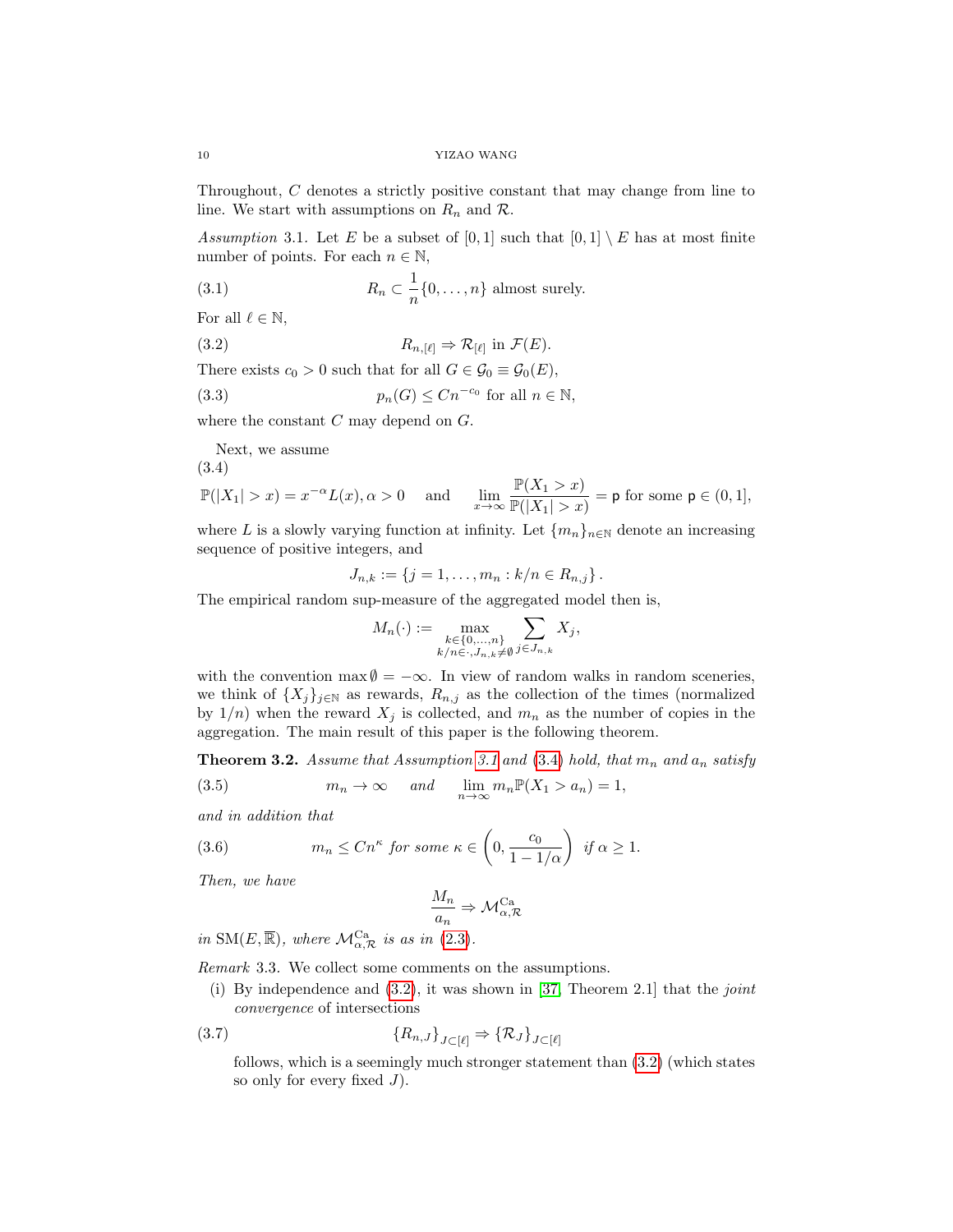Throughout, C denotes a strictly positive constant that may change from line to line. We start with assumptions on  $R_n$  and  $\mathcal{R}$ .

<span id="page-9-1"></span>Assumption 3.1. Let E be a subset of [0, 1] such that  $[0,1] \setminus E$  has at most finite number of points. For each  $n \in \mathbb{N}$ ,

<span id="page-9-5"></span>(3.1) 
$$
R_n \subset \frac{1}{n} \{0, \ldots, n\} \text{ almost surely.}
$$

For all  $\ell \in \mathbb{N}$ ,

<span id="page-9-4"></span>(3.2) 
$$
R_{n,[\ell]} \Rightarrow \mathcal{R}_{[\ell]} \text{ in } \mathcal{F}(E).
$$

There exists  $c_0 > 0$  such that for all  $G \in \mathcal{G}_0 \equiv \mathcal{G}_0(E)$ ,

(3.3) 
$$
p_n(G) \le Cn^{-c_0} \text{ for all } n \in \mathbb{N},
$$

where the constant  $C$  may depend on  $G$ .

<span id="page-9-6"></span>Next, we assume

$$
(3.4)
$$

<span id="page-9-3"></span>
$$
\mathbb{P}(|X_1| > x) = x^{-\alpha} L(x), \alpha > 0 \quad \text{and} \quad \lim_{x \to \infty} \frac{\mathbb{P}(X_1 > x)}{\mathbb{P}(|X_1| > x)} = \mathsf{p} \text{ for some } \mathsf{p} \in (0, 1],
$$

where L is a slowly varying function at infinity. Let  ${m_n}_{n\in\mathbb{N}}$  denote an increasing sequence of positive integers, and

$$
J_{n,k} := \{ j = 1, \ldots, m_n : k/n \in R_{n,j} \}.
$$

The empirical random sup-measure of the aggregated model then is,

$$
M_n(\cdot) := \max_{\substack{k \in \{0,\dots,n\} \\ k/n \in \cdot, J_{n,k} \neq \emptyset}} \sum_{j \in J_{n,k}} X_j,
$$

with the convention max  $\emptyset = -\infty$ . In view of random walks in random sceneries, we think of  $\{X_j\}_{j\in\mathbb{N}}$  as rewards,  $R_{n,j}$  as the collection of the times (normalized by  $1/n$ ) when the reward  $X_j$  is collected, and  $m_n$  as the number of copies in the aggregation. The main result of this paper is the following theorem.

<span id="page-9-2"></span>**Theorem 3.2.** Assume that Assumption [3.1](#page-9-1) and [\(3.4\)](#page-9-3) hold, that  $m_n$  and  $a_n$  satisfy

<span id="page-9-9"></span>(3.5) 
$$
m_n \to \infty \quad \text{and} \quad \lim_{n \to \infty} m_n \mathbb{P}(X_1 > a_n) = 1,
$$

and in addition that

<span id="page-9-7"></span>(3.6) 
$$
m_n \leq C n^{\kappa} \text{ for some } \kappa \in \left(0, \frac{c_0}{1 - 1/\alpha}\right) \text{ if } \alpha \geq 1.
$$

Then, we have

<span id="page-9-8"></span>
$$
\frac{M_n}{a_n} \Rightarrow \mathcal{M}_{\alpha,\mathcal{R}}^{\text{Ca}}
$$

in SM(E,  $\overline{\mathbb{R}}$ ), where  $\mathcal{M}_{\alpha,\mathcal{R}}^{Ca}$  is as in [\(2.3\)](#page-6-1).

<span id="page-9-0"></span>Remark 3.3. We collect some comments on the assumptions.

(i) By independence and  $(3.2)$ , it was shown in [\[37,](#page-26-0) Theorem 2.1] that the *joint* convergence of intersections

$$
(3.7) \t{R_{n,J}}_{J\subset[\ell]} \Rightarrow {\mathcal{R}_J}_{J\subset[\ell]}
$$

follows, which is a seemingly much stronger statement than [\(3.2\)](#page-9-4) (which states so only for every fixed  $J$ ).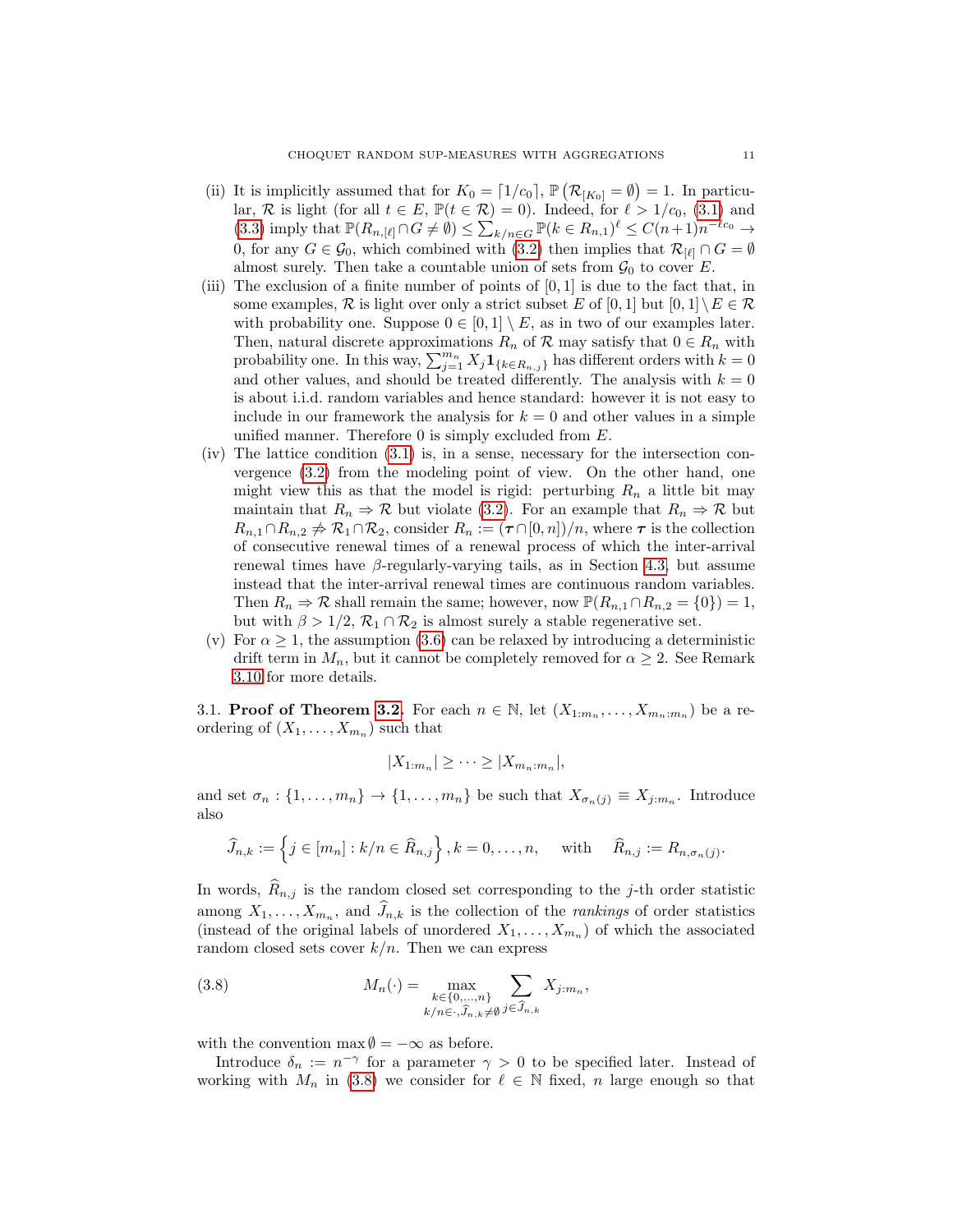- <span id="page-10-0"></span>(ii) It is implicitly assumed that for  $K_0 = [1/c_0]$ ,  $\mathbb{P}(\mathcal{R}_{[K_0]} = \emptyset) = 1$ . In particular, R is light (for all  $t \in E$ ,  $\mathbb{P}(t \in \mathcal{R}) = 0$ ). Indeed, for  $\ell > 1/c_0$ , [\(3.1\)](#page-9-5) and [\(3.3\)](#page-9-6) imply that  $\mathbb{P}(R_{n,[\ell]}\cap G\neq\emptyset) \leq \sum_{k/n\in G} \mathbb{P}(k\in R_{n,1})^{\ell} \leq C(n+1)n^{-\ell c_0} \to$ 0, for any  $G \in \mathcal{G}_0$ , which combined with [\(3.2\)](#page-9-4) then implies that  $\mathcal{R}_{[\ell]} \cap G = \emptyset$ almost surely. Then take a countable union of sets from  $\mathcal{G}_0$  to cover E.
- (iii) The exclusion of a finite number of points of  $[0, 1]$  is due to the fact that, in some examples, R is light over only a strict subset E of [0, 1] but  $[0,1] \setminus E \in \mathcal{R}$ with probability one. Suppose  $0 \in [0,1] \setminus E$ , as in two of our examples later. Then, natural discrete approximations  $R_n$  of  $\mathcal R$  may satisfy that  $0 \in R_n$  with probability one. In this way,  $\sum_{j=1}^{m_n} X_j \mathbf{1}_{\{k \in R_{n,j}\}}$  has different orders with  $k = 0$ and other values, and should be treated differently. The analysis with  $k = 0$ is about i.i.d. random variables and hence standard: however it is not easy to include in our framework the analysis for  $k = 0$  and other values in a simple unified manner. Therefore  $0$  is simply excluded from  $E$ .
- (iv) The lattice condition [\(3.1\)](#page-9-5) is, in a sense, necessary for the intersection convergence [\(3.2\)](#page-9-4) from the modeling point of view. On the other hand, one might view this as that the model is rigid: perturbing  $R_n$  a little bit may maintain that  $R_n \Rightarrow \mathcal{R}$  but violate [\(3.2\)](#page-9-4). For an example that  $R_n \Rightarrow \mathcal{R}$  but  $R_{n,1}\cap R_{n,2}\not\Rightarrow \mathcal{R}_1\cap \mathcal{R}_2$ , consider  $R_n := (\tau \cap [0,n])/n$ , where  $\tau$  is the collection of consecutive renewal times of a renewal process of which the inter-arrival renewal times have β-regularly-varying tails, as in Section [4.3,](#page-20-0) but assume instead that the inter-arrival renewal times are continuous random variables. Then  $R_n \Rightarrow \mathcal{R}$  shall remain the same; however, now  $\mathbb{P}(R_{n,1} \cap R_{n,2} = \{0\}) = 1$ , but with  $\beta > 1/2$ ,  $\mathcal{R}_1 \cap \mathcal{R}_2$  is almost surely a stable regenerative set.
- (v) For  $\alpha \geq 1$ , the assumption [\(3.6\)](#page-9-7) can be relaxed by introducing a deterministic drift term in  $M_n$ , but it cannot be completely removed for  $\alpha \geq 2$ . See Remark [3.10](#page-18-1) for more details.

3.1. **Proof of Theorem [3.2.](#page-9-2)** For each  $n \in \mathbb{N}$ , let  $(X_{1:m_n},...,X_{m_n:m_n})$  be a reordering of  $(X_1, \ldots, X_{m_n})$  such that

$$
|X_{1:m_n}| \geq \cdots \geq |X_{m_n:m_n}|,
$$

and set  $\sigma_n: \{1, \ldots, m_n\} \to \{1, \ldots, m_n\}$  be such that  $X_{\sigma_n(j)} \equiv X_{j:m_n}$ . Introduce also

$$
\widehat{J}_{n,k} := \left\{ j \in [m_n] : k/n \in \widehat{R}_{n,j} \right\}, k = 0, \dots, n, \text{ with } \widehat{R}_{n,j} := R_{n,\sigma_n(j)}.
$$

In words,  $R_{n,j}$  is the random closed set corresponding to the j-th order statistic among  $X_1, \ldots, X_{m_n}$ , and  $J_{n,k}$  is the collection of the *rankings* of order statistics (instead of the original labels of unordered  $X_1, \ldots, X_{m_n}$ ) of which the associated random closed sets cover  $k/n$ . Then we can express

<span id="page-10-1"></span>(3.8) 
$$
M_n(\cdot) = \max_{\substack{k \in \{0, ..., n\} \\ k/n \in \cdot, \widehat{J}_{n,k} \neq \emptyset}} \sum_{j \in \widehat{J}_{n,k}} X_{j:m_n},
$$

with the convention max  $\emptyset = -\infty$  as before.

Introduce  $\delta_n := n^{-\gamma}$  for a parameter  $\gamma > 0$  to be specified later. Instead of working with  $M_n$  in [\(3.8\)](#page-10-1) we consider for  $\ell \in \mathbb{N}$  fixed, n large enough so that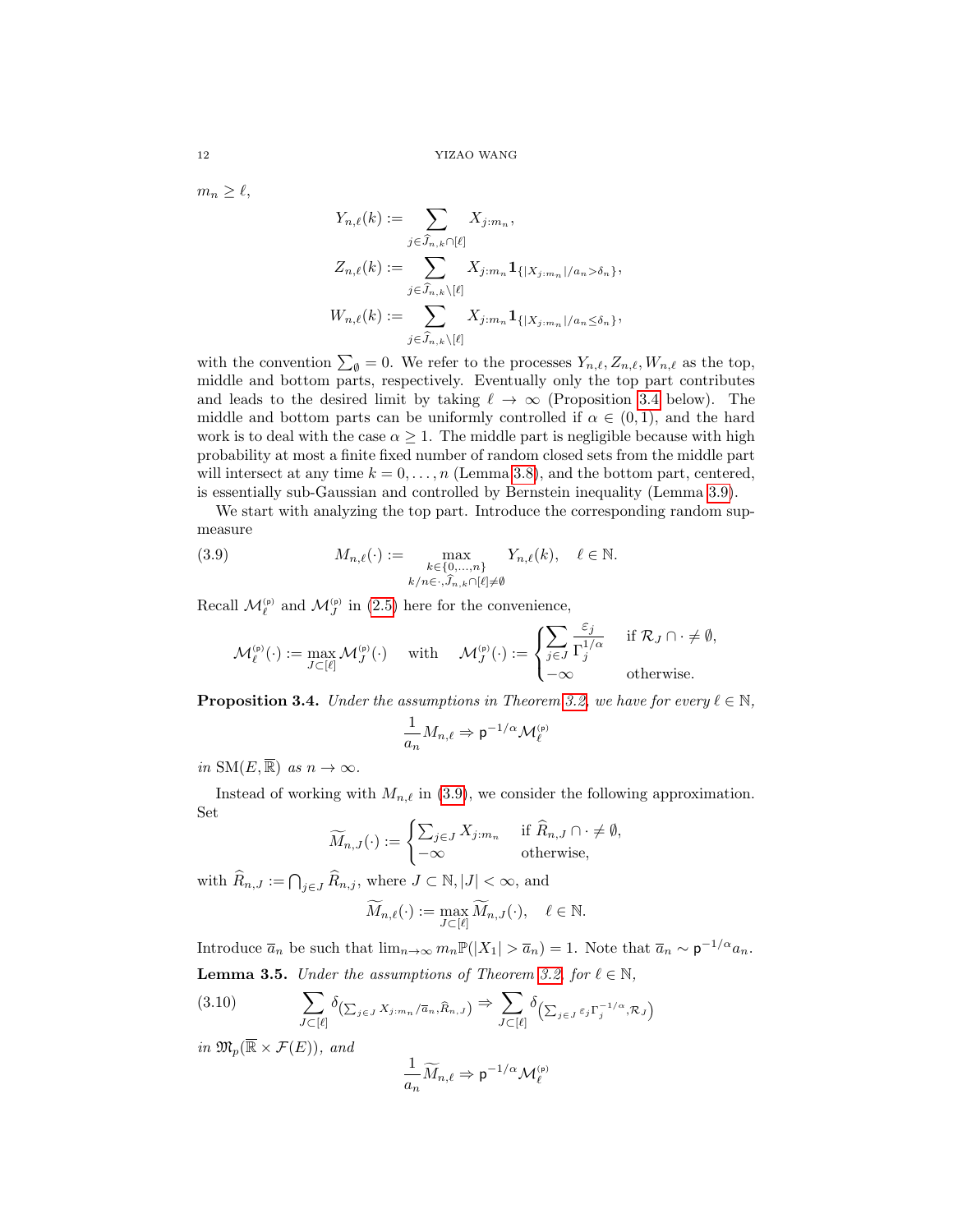$m_n \geq \ell,$ 

$$
Y_{n,\ell}(k) := \sum_{j \in \widehat{J}_{n,k} \cap [\ell]} X_{j:m_n},
$$
  
\n
$$
Z_{n,\ell}(k) := \sum_{j \in \widehat{J}_{n,k} \setminus [\ell]} X_{j:m_n} \mathbf{1}_{\{|X_{j:m_n}|/a_n > \delta_n\}},
$$
  
\n
$$
W_{n,\ell}(k) := \sum_{j \in \widehat{J}_{n,k} \setminus [\ell]} X_{j:m_n} \mathbf{1}_{\{|X_{j:m_n}|/a_n \le \delta_n\}},
$$

with the convention  $\sum_{\emptyset} = 0$ . We refer to the processes  $Y_{n,\ell}, Z_{n,\ell}, W_{n,\ell}$  as the top, middle and bottom parts, respectively. Eventually only the top part contributes and leads to the desired limit by taking  $\ell \to \infty$  (Proposition [3.4](#page-11-0) below). The middle and bottom parts can be uniformly controlled if  $\alpha \in (0,1)$ , and the hard work is to deal with the case  $\alpha \geq 1$ . The middle part is negligible because with high probability at most a finite fixed number of random closed sets from the middle part will intersect at any time  $k = 0, \ldots, n$  (Lemma [3.8\)](#page-14-0), and the bottom part, centered, is essentially sub-Gaussian and controlled by Bernstein inequality (Lemma [3.9\)](#page-15-0).

We start with analyzing the top part. Introduce the corresponding random supmeasure

(3.9) 
$$
M_{n,\ell}(\cdot) := \max_{\substack{k \in \{0,\ldots,n\} \\ k/n \in \cdot, \hat{J}_{n,k} \cap [\ell] \neq \emptyset}} Y_{n,\ell}(k), \quad \ell \in \mathbb{N}.
$$

Recall  $\mathcal{M}_{\ell}^{(p)}$  and  $\mathcal{M}_{J}^{(p)}$  in [\(2.5\)](#page-7-1) here for the convenience,

<span id="page-11-2"></span>
$$
\mathcal{M}^{(\mathrm{p})}_{\ell}(\cdot) := \max_{J \subset [\ell]} \mathcal{M}^{(\mathrm{p})}_{J}(\cdot) \quad \text{ with } \quad \mathcal{M}^{(\mathrm{p})}_{J}(\cdot) := \begin{cases} \sum_{j \in J} \frac{\varepsilon_{j}}{\Gamma_{j}^{1/\alpha}} & \text{ if } \mathcal{R}_{J} \cap \cdot \neq \emptyset, \\ -\infty & \text{ otherwise.} \end{cases}
$$

<span id="page-11-0"></span>**Proposition 3.4.** Under the assumptions in Theorem [3.2,](#page-9-2) we have for every  $\ell \in \mathbb{N}$ ,

$$
\frac{1}{a_n}M_{n,\ell}\Rightarrow \mathsf{p}^{-1/\alpha}\mathcal{M}_\ell^{\scriptscriptstyle(\mathsf{p})}
$$

in  $\text{SM}(E, \overline{\mathbb{R}})$  as  $n \to \infty$ .

Instead of working with  $M_{n,\ell}$  in [\(3.9\)](#page-11-2), we consider the following approximation. Set

$$
\widetilde{M}_{n,J}(\cdot) := \begin{cases} \sum_{j \in J} X_{j:m_n} & \text{if } \widehat{R}_{n,J} \cap \cdot \neq \emptyset, \\ -\infty & \text{otherwise,} \end{cases}
$$

with  $\widehat{R}_{n,J} := \bigcap_{j \in J} \widehat{R}_{n,j}$ , where  $J \subset \mathbb{N}, |J| < \infty$ , and

$$
\widetilde{M}_{n,\ell}(\cdot) := \max_{J \subset [\ell]} \widetilde{M}_{n,J}(\cdot), \quad \ell \in \mathbb{N}.
$$

<span id="page-11-1"></span>Introduce  $\overline{a}_n$  be such that  $\lim_{n\to\infty} m_n \mathbb{P}(|X_1| > \overline{a}_n) = 1$ . Note that  $\overline{a}_n \sim \mathsf{p}^{-1/\alpha} a_n$ . **Lemma 3.5.** Under the assumptions of Theorem [3.2,](#page-9-2) for  $\ell \in \mathbb{N}$ ,

<span id="page-11-3"></span>
$$
(3.10) \qquad \sum_{J \subset [\ell]} \delta_{\left(\sum_{j \in J} X_{j:m_n}/\overline{a}_n, \widehat{R}_{n,J}\right)} \Rightarrow \sum_{J \subset [\ell]} \delta_{\left(\sum_{j \in J} \varepsilon_j \Gamma_j^{-1/\alpha}, \mathcal{R}_J\right)}
$$

in  $\mathfrak{M}_n(\overline{\mathbb{R}} \times \mathcal{F}(E))$ , and

$$
\frac{1}{a_n}\widetilde{M}_{n,\ell}\Rightarrow \mathsf{p}^{-1/\alpha}\mathcal{M}_\ell^{\scriptscriptstyle(\mathsf{p})}
$$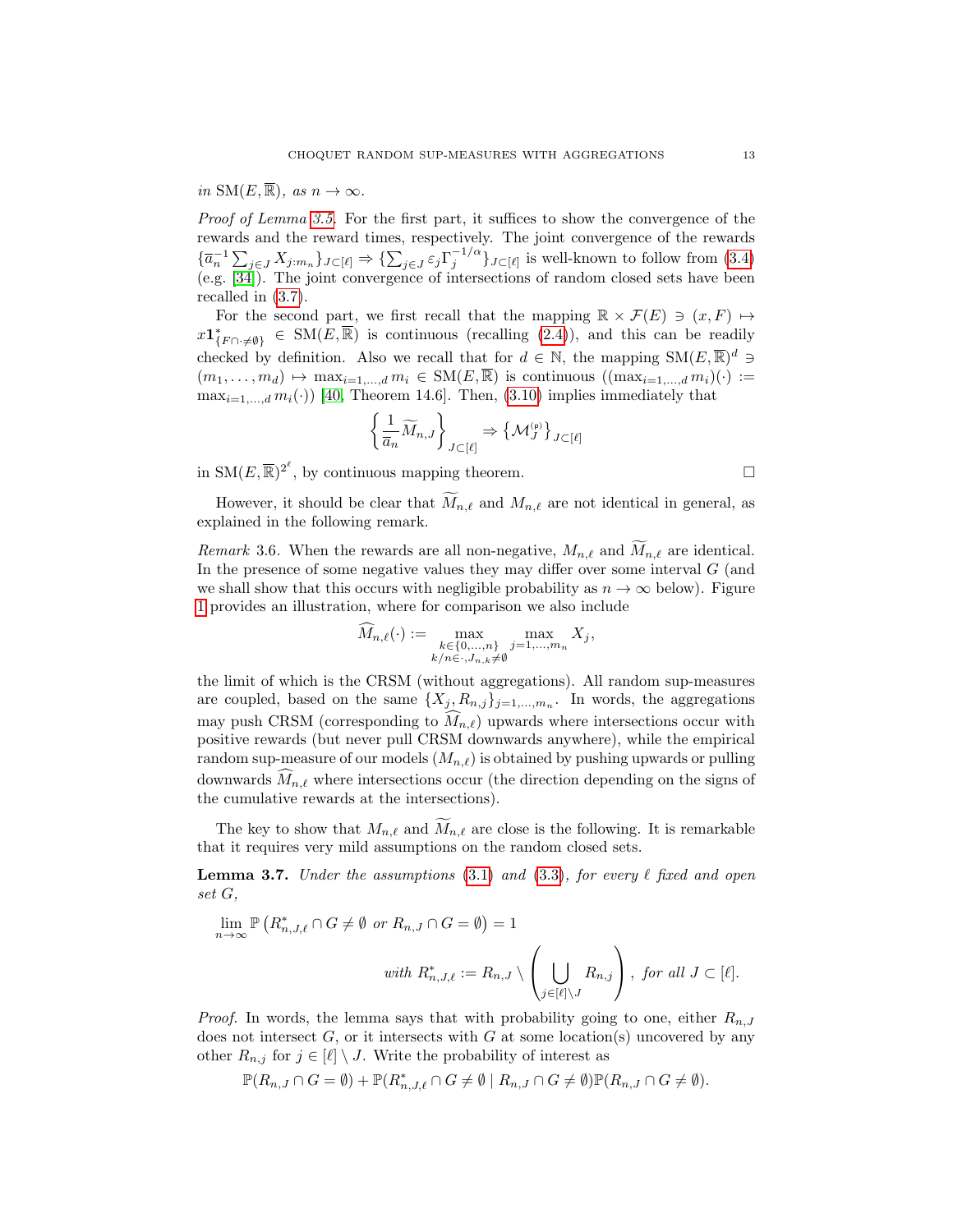in  $\text{SM}(E,\overline{\mathbb{R}})$ , as  $n \to \infty$ .

Proof of Lemma [3.5.](#page-11-1) For the first part, it suffices to show the convergence of the rewards and the reward times, respectively. The joint convergence of the rewards  ${\{\overline{a}_n^{-1}\sum_{j\in J}X_{j:m_n}\}}_{J\subset[\ell]}\Rightarrow{\{\sum_{j\in J}\varepsilon_j\Gamma_j^{-1/\alpha}\}}_{J\subset[\ell]}$  is well-known to follow from [\(3.4\)](#page-9-3) (e.g. [\[34\]](#page-25-0)). The joint convergence of intersections of random closed sets have been recalled in [\(3.7\)](#page-9-8).

For the second part, we first recall that the mapping  $\mathbb{R} \times \mathcal{F}(E) \ni (x, F) \mapsto$  $x\mathbf{1}_{\{F\cap\cdot\neq\emptyset\}}^*\in\mathrm{SM}(E,\overline{\mathbb{R}})$  is continuous (recalling [\(2.4\)](#page-6-3)), and this can be readily checked by definition. Also we recall that for  $d \in \mathbb{N}$ , the mapping  $\mathrm{SM}(E,\overline{\mathbb{R}})^d$  $(m_1,\ldots,m_d)\mapsto \max_{i=1,\ldots,d} m_i \in \mathrm{SM}(E,\overline{\mathbb{R}})$  is continuous  $((\max_{i=1,\ldots,d} m_i)(\cdot) :=$  $\max_{i=1,\dots,d} m_i(\cdot)$  [\[40,](#page-26-4) Theorem 14.6]. Then, [\(3.10\)](#page-11-3) implies immediately that

$$
\left\{\frac{1}{\overline{a}_n}\widetilde{M}_{n,J}\right\}_{J\subset\left[\ell\right]}\Rightarrow\left\{\mathcal{M}_J^{(\mathrm{p})}\right\}_{J\subset\left[\ell\right]}
$$

in  $\text{SM}(E, \overline{\mathbb{R}})^{2^{\ell}}$ , by continuous mapping theorem.

However, it should be clear that  $\widetilde{M}_{n,\ell}$  and  $M_{n,\ell}$  are not identical in general, as explained in the following remark.

Remark 3.6. When the rewards are all non-negative,  $M_{n,\ell}$  and  $M_{n,\ell}$  are identical. In the presence of some negative values they may differ over some interval G (and we shall show that this occurs with negligible probability as  $n \to \infty$  below). Figure [1](#page-13-0) provides an illustration, where for comparison we also include

$$
\widetilde{M}_{n,\ell}(\cdot) := \max_{\substack{k \in \{0,\ldots,n\} \\ k/n \in \cdot, J_{n,k} \neq \emptyset}} \max_{j=1,\ldots,m_n} X_j,
$$

the limit of which is the CRSM (without aggregations). All random sup-measures are coupled, based on the same  $\{X_j, R_{n,j}\}_{j=1,\dots,m_n}$ . In words, the aggregations may push CRSM (corresponding to  $\widehat{M}_{n,\ell}$ ) upwards where intersections occur with positive rewards (but never pull CRSM downwards anywhere), while the empirical random sup-measure of our models  $(M_{n,\ell})$  is obtained by pushing upwards or pulling downwards  $\hat{M}_{n,\ell}$  where intersections occur (the direction depending on the signs of the cumulative rewards at the intersections).

The key to show that  $M_{n,\ell}$  and  $\widetilde{M}_{n,\ell}$  are close is the following. It is remarkable that it requires very mild assumptions on the random closed sets.

<span id="page-12-0"></span>**Lemma 3.7.** Under the assumptions [\(3.1\)](#page-9-5) and [\(3.3\)](#page-9-6), for every  $\ell$  fixed and open set G,

$$
\lim_{n \to \infty} \mathbb{P}\left(R^*_{n,J,\ell} \cap G \neq \emptyset \text{ or } R_{n,J} \cap G = \emptyset\right) = 1
$$
  

$$
\text{with } R^*_{n,J,\ell} := R_{n,J} \setminus \left(\bigcup_{j \in [\ell] \setminus J} R_{n,j}\right), \text{ for all } J \subset [\ell].
$$

*Proof.* In words, the lemma says that with probability going to one, either  $R_{n,J}$ does not intersect  $G$ , or it intersects with  $G$  at some location(s) uncovered by any other  $R_{n,j}$  for  $j \in [\ell] \setminus J$ . Write the probability of interest as

$$
\mathbb{P}(R_{n,J} \cap G = \emptyset) + \mathbb{P}(R_{n,J,\ell}^* \cap G \neq \emptyset \mid R_{n,J} \cap G \neq \emptyset) \mathbb{P}(R_{n,J} \cap G \neq \emptyset).
$$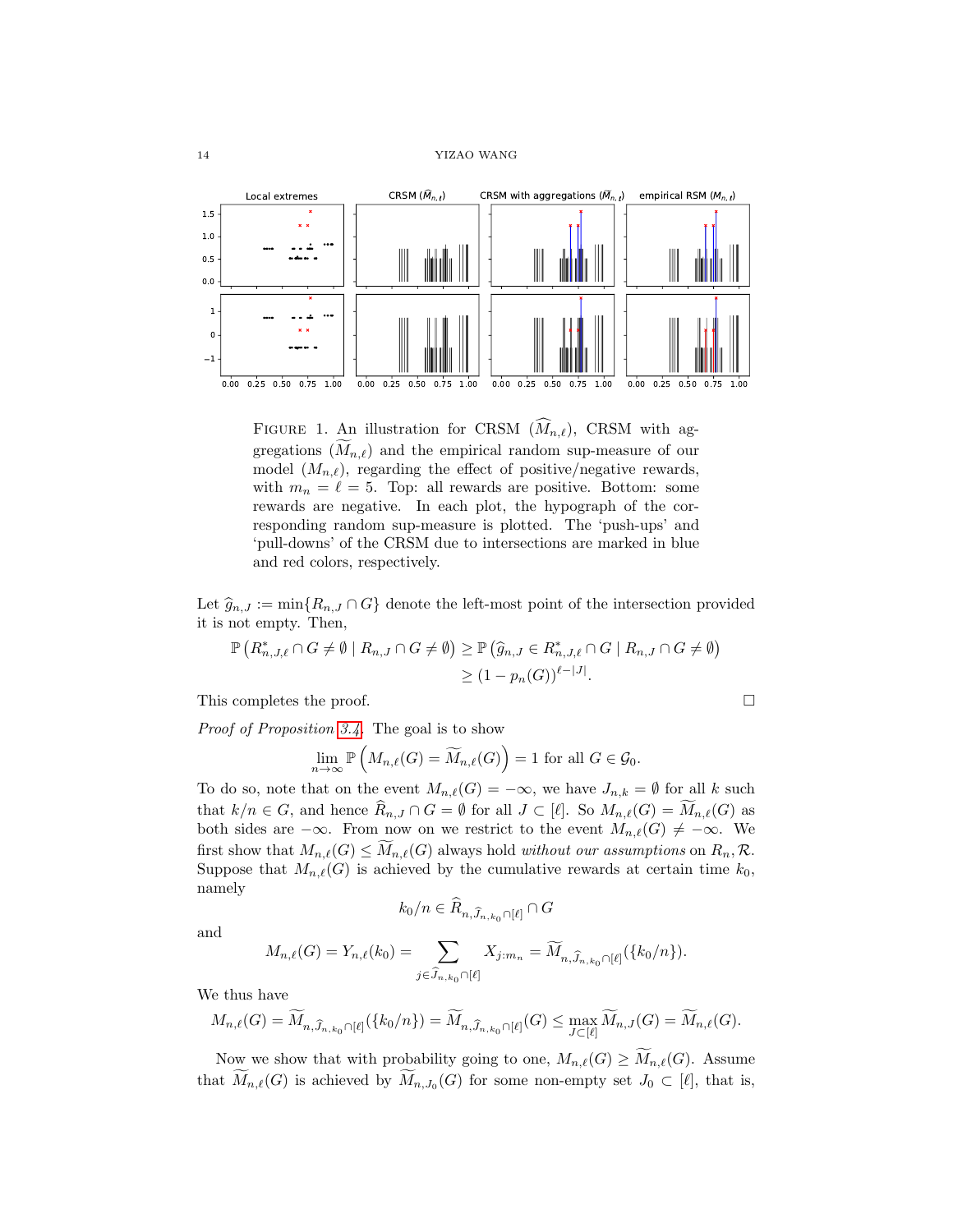

<span id="page-13-0"></span>FIGURE 1. An illustration for CRSM  $(M_{n,\ell})$ , CRSM with aggregations  $(M_{n,\ell})$  and the empirical random sup-measure of our model  $(M_{n,\ell})$ , regarding the effect of positive/negative rewards, with  $m_n = \ell = 5$ . Top: all rewards are positive. Bottom: some rewards are negative. In each plot, the hypograph of the corresponding random sup-measure is plotted. The 'push-ups' and 'pull-downs' of the CRSM due to intersections are marked in blue and red colors, respectively.

Let  $\hat{g}_{n,J} := \min\{R_{n,J} \cap G\}$  denote the left-most point of the intersection provided it is not empty. Then,

$$
\mathbb{P}\left(R_{n,J,\ell}^* \cap G \neq \emptyset \mid R_{n,J} \cap G \neq \emptyset\right) \geq \mathbb{P}\left(\widehat{g}_{n,J} \in R_{n,J,\ell}^* \cap G \mid R_{n,J} \cap G \neq \emptyset\right) \geq (1 - p_n(G))^{\ell - |J|}.
$$

This completes the proof.

Proof of Proposition [3.4.](#page-11-0) The goal is to show

$$
\lim_{n \to \infty} \mathbb{P}\left(M_{n,\ell}(G) = \widetilde{M}_{n,\ell}(G)\right) = 1 \text{ for all } G \in \mathcal{G}_0.
$$

To do so, note that on the event  $M_{n,\ell}(G) = -\infty$ , we have  $J_{n,k} = \emptyset$  for all k such that  $k/n \in G$ , and hence  $\widehat{R}_{n,J} \cap G = \emptyset$  for all  $J \subset [\ell]$ . So  $M_{n,\ell}(G) = M_{n,\ell}(G)$  as both sides are  $-\infty$ . From now on we restrict to the event  $M_{n,\ell}(G) \neq -\infty$ . We first show that  $M_{n,\ell}(G) \leq M_{n,\ell}(G)$  always hold without our assumptions on  $R_n, \mathcal{R}$ . Suppose that  $M_{n,\ell}(G)$  is achieved by the cumulative rewards at certain time  $k_0$ , namely

$$
k_0/n \in \widehat{R}_{n,\widehat{J}_{n,k_0} \cap [\ell]} \cap G
$$

and

$$
M_{n,\ell}(G) = Y_{n,\ell}(k_0) = \sum_{j \in \widehat{J}_{n,k_0} \cap [\ell]} X_{j:m_n} = \widetilde{M}_{n,\widehat{J}_{n,k_0} \cap [\ell]}(\{k_0/n\}).
$$

We thus have

$$
M_{n,\ell}(G)=\widetilde{M}_{n,\widehat{J}_{n,k_0}\cap[\ell]}(\{k_0/n\})=\widetilde{M}_{n,\widehat{J}_{n,k_0}\cap[\ell]}(G)\leq \max_{J\subset[\ell]} \widetilde{M}_{n,J}(G)=\widetilde{M}_{n,\ell}(G).
$$

Now we show that with probability going to one,  $M_{n,\ell}(G) \geq \widetilde{M}_{n,\ell}(G)$ . Assume that  $M_{n,\ell}(G)$  is achieved by  $M_{n,J_0}(G)$  for some non-empty set  $J_0 \subset [\ell]$ , that is,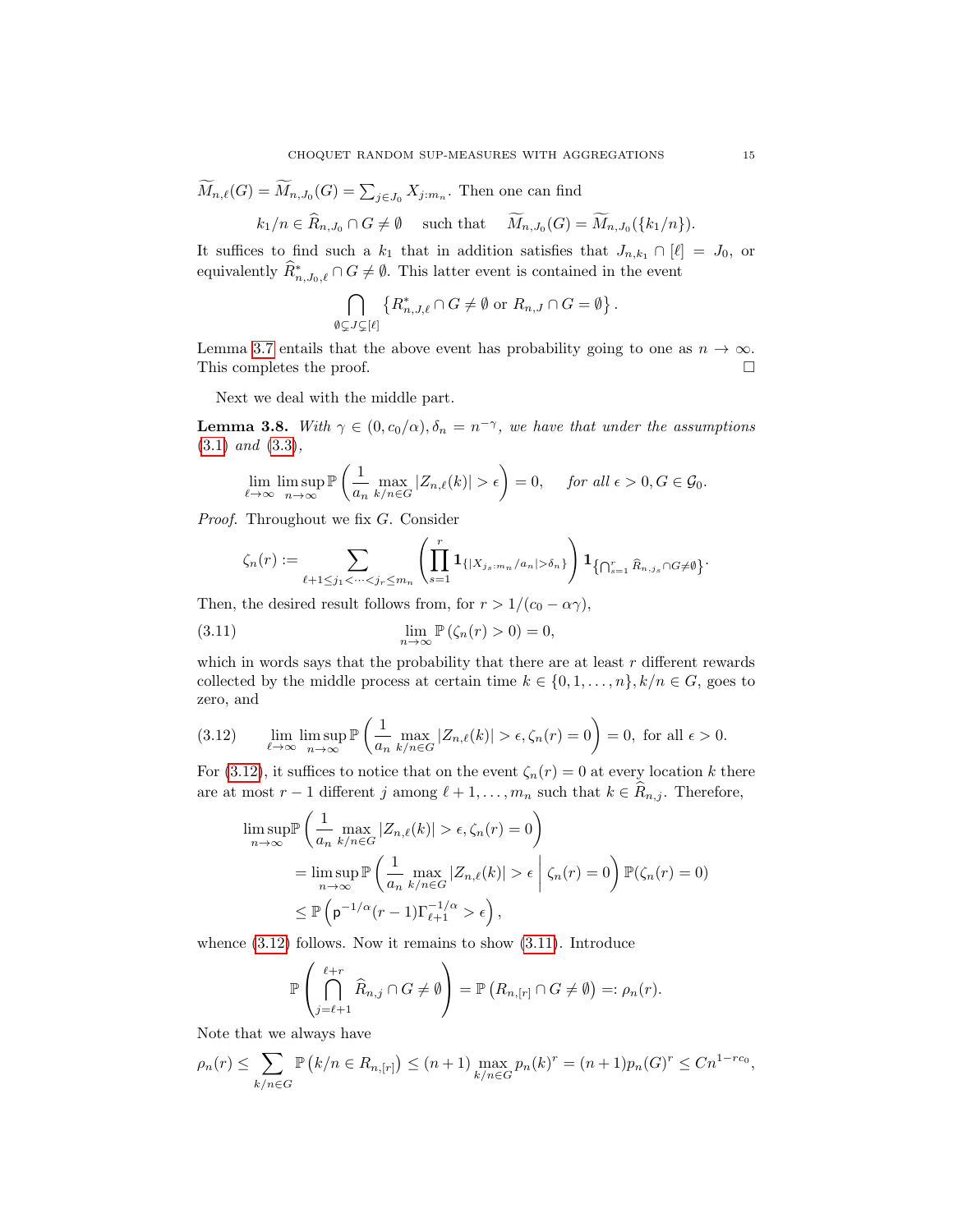$$
M_{n,\ell}(G) = M_{n,J_0}(G) = \sum_{j \in J_0} X_{j:m_n}
$$
. Then one can find

$$
k_1/n \in \widehat{R}_{n,J_0} \cap G \neq \emptyset
$$
 such that  $\widetilde{M}_{n,J_0}(G) = \widetilde{M}_{n,J_0}(\{k_1/n\}).$ 

It suffices to find such a  $k_1$  that in addition satisfies that  $J_{n,k_1} \cap [\ell] = J_0$ , or equivalently  $\widehat{R}^*_{n,J_0,\ell} \cap G \neq \emptyset$ . This latter event is contained in the event

$$
\bigcap_{\emptyset \subsetneq J \subsetneq [\ell]} \left\{ R_{n,J,\ell}^* \cap G \neq \emptyset \text{ or } R_{n,J} \cap G = \emptyset \right\}.
$$

Lemma [3.7](#page-12-0) entails that the above event has probability going to one as  $n \to \infty$ . This completes the proof.  $\hfill \square$ 

Next we deal with the middle part.

<span id="page-14-0"></span>**Lemma 3.8.** With  $\gamma \in (0, c_0/\alpha), \delta_n = n^{-\gamma}$ , we have that under the assumptions [\(3.1\)](#page-9-5) and [\(3.3\)](#page-9-6),

$$
\lim_{\ell \to \infty} \limsup_{n \to \infty} \mathbb{P}\left(\frac{1}{a_n} \max_{k/n \in G} |Z_{n,\ell}(k)| > \epsilon\right) = 0, \quad \text{for all } \epsilon > 0, G \in \mathcal{G}_0.
$$

Proof. Throughout we fix G. Consider

<span id="page-14-2"></span>
$$
\zeta_n(r) := \sum_{\ell+1 \leq j_1 < \cdots < j_r \leq m_n} \left( \prod_{s=1}^r \mathbf{1}_{\{|X_{j_s:m_n}/a_n| > \delta_n\}} \right) \mathbf{1}_{\{\bigcap_{s=1}^r \widehat{R}_{n,j_s} \cap G \neq \emptyset\}}.
$$

Then, the desired result follows from, for  $r > 1/(c_0 - \alpha \gamma)$ ,

(3.11) 
$$
\lim_{n \to \infty} \mathbb{P}(\zeta_n(r) > 0) = 0,
$$

which in words says that the probability that there are at least  $r$  different rewards collected by the middle process at certain time  $k \in \{0, 1, \ldots, n\}$ ,  $k/n \in G$ , goes to zero, and

<span id="page-14-1"></span>(3.12) 
$$
\lim_{\ell \to \infty} \limsup_{n \to \infty} \mathbb{P}\left(\frac{1}{a_n} \max_{k/n \in G} |Z_{n,\ell}(k)| > \epsilon, \zeta_n(r) = 0\right) = 0, \text{ for all } \epsilon > 0.
$$

For [\(3.12\)](#page-14-1), it suffices to notice that on the event  $\zeta_n(r) = 0$  at every location k there are at most  $r - 1$  different j among  $\ell + 1, \ldots, m_n$  such that  $k \in \widehat{R}_{n,j}$ . Therefore,

$$
\limsup_{n \to \infty} \mathbb{P}\left(\frac{1}{a_n} \max_{k/n \in G} |Z_{n,\ell}(k)| > \epsilon, \zeta_n(r) = 0\right)
$$
  
= 
$$
\limsup_{n \to \infty} \mathbb{P}\left(\frac{1}{a_n} \max_{k/n \in G} |Z_{n,\ell}(k)| > \epsilon \mid \zeta_n(r) = 0\right) \mathbb{P}(\zeta_n(r) = 0)
$$
  

$$
\leq \mathbb{P}\left(\mathfrak{p}^{-1/\alpha}(r-1)\Gamma_{\ell+1}^{-1/\alpha} > \epsilon\right),
$$

whence  $(3.12)$  follows. Now it remains to show  $(3.11)$ . Introduce

$$
\mathbb{P}\left(\bigcap_{j=\ell+1}^{\ell+r} \widehat{R}_{n,j} \cap G \neq \emptyset\right) = \mathbb{P}\left(R_{n,[r]} \cap G \neq \emptyset\right) =: \rho_n(r).
$$

Note that we always have

 $\lambda$ 

$$
\rho_n(r) \le \sum_{k/n \in G} \mathbb{P}\left(k/n \in R_{n,[r]}\right) \le (n+1) \max_{k/n \in G} p_n(k)^r = (n+1)p_n(G)^r \le Cn^{1-rc_0},
$$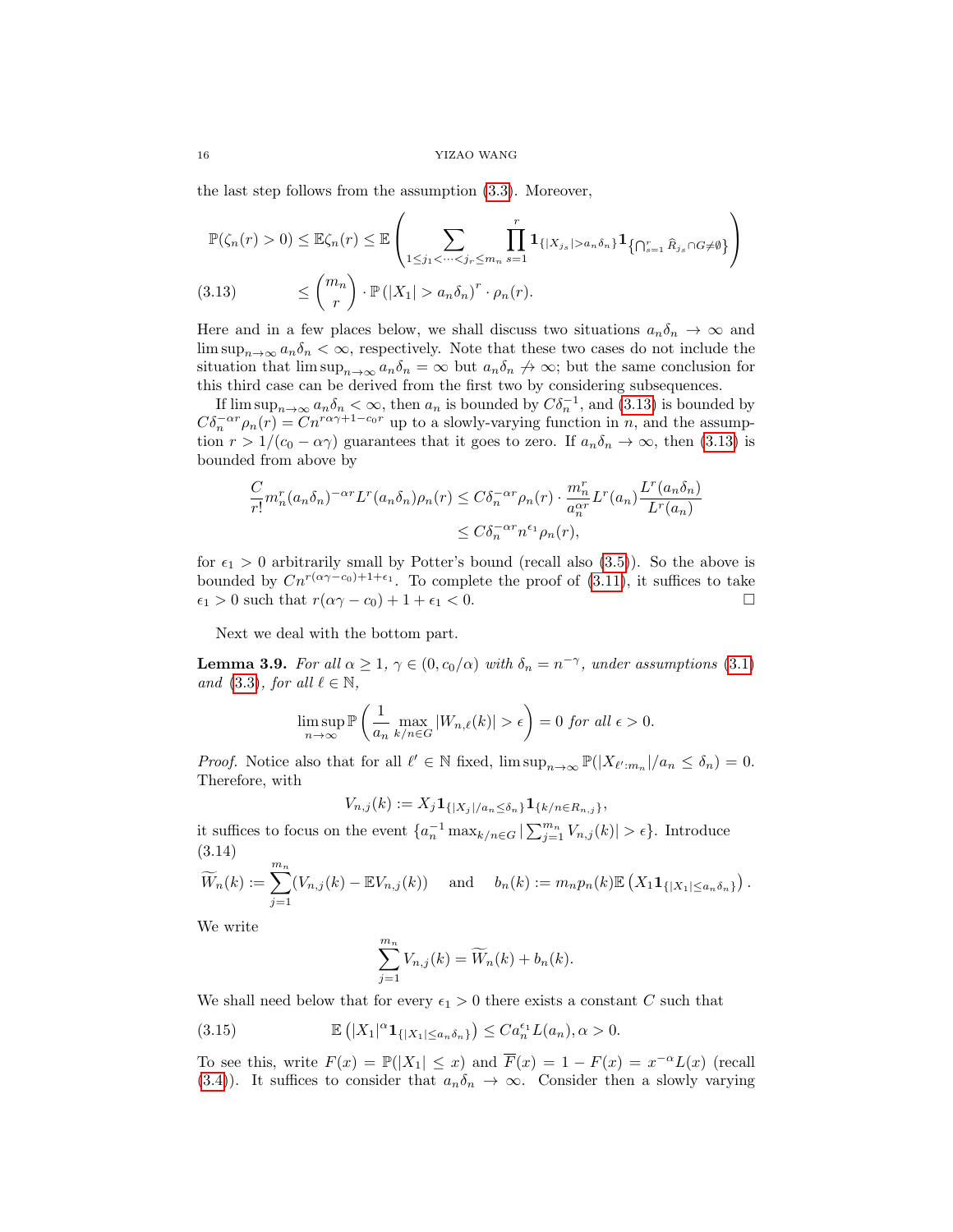the last step follows from the assumption [\(3.3\)](#page-9-6). Moreover,

$$
\mathbb{P}(\zeta_n(r) > 0) \leq \mathbb{E}\zeta_n(r) \leq \mathbb{E}\left(\sum_{1 \leq j_1 < \cdots < j_r \leq m_n} \prod_{s=1}^r \mathbf{1}_{\{|X_{j_s}| > a_n \delta_n\}} \mathbf{1}_{\{\bigcap_{s=1}^r \widehat{R}_{j_s} \cap G \neq \emptyset\}}\right)
$$
\n
$$
\leq {m_n \choose r} \cdot \mathbb{P}(|X_1| > a_n \delta_n)^r \cdot \rho_n(r).
$$

<span id="page-15-1"></span>Here and in a few places below, we shall discuss two situations  $a_n\delta_n \to \infty$  and  $\limsup_{n\to\infty} a_n \delta_n <\infty$ , respectively. Note that these two cases do not include the situation that  $\limsup_{n\to\infty} a_n \delta_n = \infty$  but  $a_n \delta_n \not\to \infty$ ; but the same conclusion for this third case can be derived from the first two by considering subsequences.

If  $\limsup_{n\to\infty} a_n \delta_n < \infty$ , then  $a_n$  is bounded by  $C\delta_n^{-1}$ , and  $(3.13)$  is bounded by  $C\delta_n^{-\alpha r}\rho_n(r) = Cn^{r\alpha\gamma+1-c_0r}$  up to a slowly-varying function in n, and the assumption  $r > 1/(c_0 - \alpha \gamma)$  guarantees that it goes to zero. If  $a_n \delta_n \to \infty$ , then [\(3.13\)](#page-15-1) is bounded from above by

$$
\frac{C}{r!}m_n^r(a_n\delta_n)^{-\alpha r}L^r(a_n\delta_n)\rho_n(r) \leq C\delta_n^{-\alpha r}\rho_n(r)\cdot \frac{m_n^r}{a_n^{\alpha r}}L^r(a_n)\frac{L^r(a_n\delta_n)}{L^r(a_n)}
$$
\n
$$
\leq C\delta_n^{-\alpha r}n^{\epsilon_1}\rho_n(r),
$$

for  $\epsilon_1 > 0$  arbitrarily small by Potter's bound (recall also [\(3.5\)](#page-9-9)). So the above is bounded by  $Cn^{r(\alpha\gamma-c_0)+1+\epsilon_1}$ . To complete the proof of [\(3.11\)](#page-14-2), it suffices to take  $\epsilon_1 > 0$  such that  $r(\alpha \gamma - c_0) + 1 + \epsilon_1 < 0$ .

Next we deal with the bottom part.

<span id="page-15-0"></span>**Lemma 3.9.** For all  $\alpha \geq 1$ ,  $\gamma \in (0, c_0/\alpha)$  with  $\delta_n = n^{-\gamma}$ , under assumptions [\(3.1\)](#page-9-5) and [\(3.3\)](#page-9-6), for all  $\ell \in \mathbb{N}$ ,

$$
\limsup_{n \to \infty} \mathbb{P}\left(\frac{1}{a_n} \max_{k/n \in G} |W_{n,\ell}(k)| > \epsilon\right) = 0 \text{ for all } \epsilon > 0.
$$

*Proof.* Notice also that for all  $\ell' \in \mathbb{N}$  fixed,  $\limsup_{n\to\infty} \mathbb{P}(|X_{\ell':m_n}|/a_n \leq \delta_n) = 0$ . Therefore, with

$$
V_{n,j}(k) := X_j \mathbf{1}_{\{|X_j|/a_n \leq \delta_n\}} \mathbf{1}_{\{k/n \in R_{n,j}\}},
$$

it suffices to focus on the event  $\{a_n^{-1} \max_{k/n \in G} |\sum_{j=1}^{m_n} V_{n,j}(k)| > \epsilon\}$ . Introduce (3.14)

<span id="page-15-3"></span>
$$
\widetilde{W}_n(k) := \sum_{j=1}^{m_n} (V_{n,j}(k) - \mathbb{E}V_{n,j}(k)) \quad \text{and} \quad b_n(k) := m_n p_n(k) \mathbb{E} \left( X_1 \mathbf{1}_{\{|X_1| \le a_n \delta_n\}} \right).
$$

We write

<span id="page-15-2"></span>
$$
\sum_{j=1}^{m_n} V_{n,j}(k) = \widetilde{W}_n(k) + b_n(k).
$$

We shall need below that for every  $\epsilon_1 > 0$  there exists a constant C such that

(3.15) 
$$
\mathbb{E}\left(|X_1|^{\alpha}\mathbf{1}_{\{|X_1|\leq a_n\delta_n\}}\right) \leq C a_n^{\epsilon_1} L(a_n), \alpha > 0.
$$

To see this, write  $F(x) = \mathbb{P}(|X_1| \leq x)$  and  $\overline{F}(x) = 1 - F(x) = x^{-\alpha}L(x)$  (recall [\(3.4\)](#page-9-3)). It suffices to consider that  $a_n\delta_n \to \infty$ . Consider then a slowly varying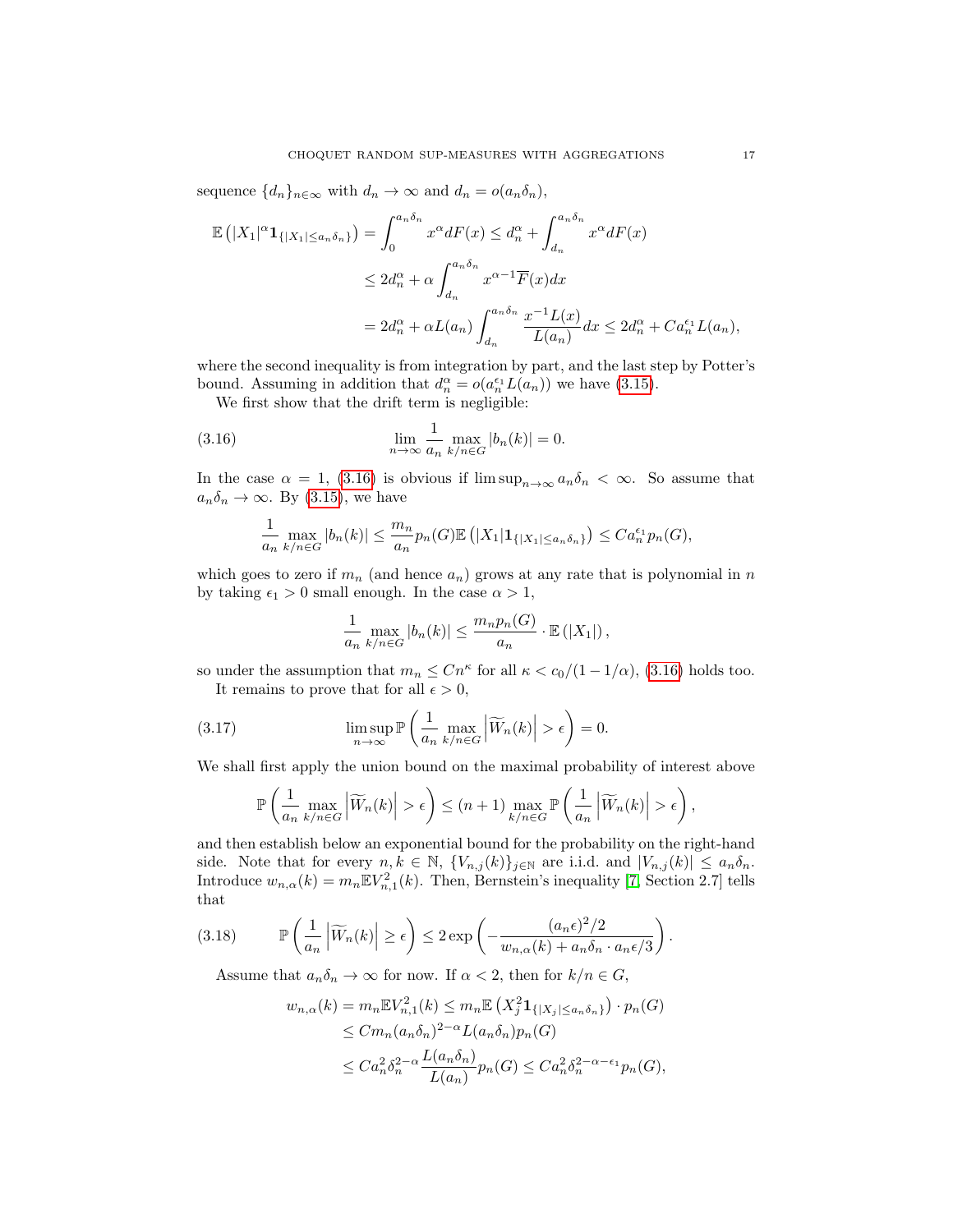sequence  $\{d_n\}_{n\in\infty}$  with  $d_n \to \infty$  and  $d_n = o(a_n\delta_n)$ ,

$$
\mathbb{E}\left(|X_1|^{\alpha}\mathbf{1}_{\{|X_1| \le a_n \delta_n\}}\right) = \int_0^{a_n \delta_n} x^{\alpha} dF(x) \le d_n^{\alpha} + \int_{d_n}^{a_n \delta_n} x^{\alpha} dF(x)
$$
  

$$
\le 2d_n^{\alpha} + \alpha \int_{d_n}^{a_n \delta_n} x^{\alpha-1} \overline{F}(x) dx
$$
  

$$
= 2d_n^{\alpha} + \alpha L(a_n) \int_{d_n}^{a_n \delta_n} \frac{x^{-1} L(x)}{L(a_n)} dx \le 2d_n^{\alpha} + C a_n^{\epsilon_1} L(a_n),
$$

where the second inequality is from integration by part, and the last step by Potter's bound. Assuming in addition that  $d_n^{\alpha} = o(a_n^{\epsilon_1} L(a_n))$  we have [\(3.15\)](#page-15-2).

We first show that the drift term is negligible:

(3.16) 
$$
\lim_{n \to \infty} \frac{1}{a_n} \max_{k/n \in G} |b_n(k)| = 0.
$$

In the case  $\alpha = 1$ , [\(3.16\)](#page-16-0) is obvious if  $\limsup_{n\to\infty} a_n \delta_n < \infty$ . So assume that  $a_n \delta_n \to \infty$ . By [\(3.15\)](#page-15-2), we have

<span id="page-16-0"></span>
$$
\frac{1}{a_n} \max_{k/n \in G} |b_n(k)| \leq \frac{m_n}{a_n} p_n(G) \mathbb{E} \left( |X_1| \mathbf{1}_{\{|X_1| \leq a_n \delta_n\}} \right) \leq C a_n^{\epsilon_1} p_n(G),
$$

which goes to zero if  $m_n$  (and hence  $a_n$ ) grows at any rate that is polynomial in n by taking  $\epsilon_1 > 0$  small enough. In the case  $\alpha > 1$ ,

<span id="page-16-1"></span>
$$
\frac{1}{a_n} \max_{k/n \in G} |b_n(k)| \leq \frac{m_n p_n(G)}{a_n} \cdot \mathbb{E}(|X_1|),
$$

so under the assumption that  $m_n \leq Cn^{\kappa}$  for all  $\kappa < c_0/(1-1/\alpha)$ , [\(3.16\)](#page-16-0) holds too. It remains to prove that for all  $\epsilon > 0$ ,

(3.17) 
$$
\limsup_{n \to \infty} \mathbb{P}\left(\frac{1}{a_n} \max_{k/n \in G} \left|\widetilde{W}_n(k)\right| > \epsilon\right) = 0.
$$

We shall first apply the union bound on the maximal probability of interest above

$$
\mathbb{P}\left(\frac{1}{a_n}\max_{k/n\in G}\left|\widetilde{W}_n(k)\right|>\epsilon\right)\leq (n+1)\max_{k/n\in G}\mathbb{P}\left(\frac{1}{a_n}\left|\widetilde{W}_n(k)\right|>\epsilon\right),\,
$$

and then establish below an exponential bound for the probability on the right-hand side. Note that for every  $n, k \in \mathbb{N}$ ,  $\{V_{n,j}(k)\}_{j\in\mathbb{N}}$  are i.i.d. and  $|V_{n,j}(k)| \leq a_n \delta_n$ . Introduce  $w_{n,\alpha}(k) = m_n \mathbb{E} V_{n,1}^2(k)$ . Then, Bernstein's inequality [\[7,](#page-24-9) Section 2.7] tells that

$$
(3.18) \qquad \mathbb{P}\left(\frac{1}{a_n}\left|\widetilde{W}_n(k)\right| \geq \epsilon\right) \leq 2\exp\left(-\frac{(a_n\epsilon)^2/2}{w_{n,\alpha}(k) + a_n\delta_n \cdot a_n\epsilon/3}\right).
$$

Assume that  $a_n \delta_n \to \infty$  for now. If  $\alpha < 2$ , then for  $k/n \in G$ ,

<span id="page-16-2"></span>
$$
w_{n,\alpha}(k) = m_n \mathbb{E} V_{n,1}^2(k) \le m_n \mathbb{E} \left( X_j^2 \mathbf{1}_{\{|X_j| \le a_n \delta_n\}} \right) \cdot p_n(G)
$$
  
\n
$$
\le C m_n (a_n \delta_n)^{2-\alpha} L(a_n \delta_n) p_n(G)
$$
  
\n
$$
\le C a_n^2 \delta_n^{2-\alpha} \frac{L(a_n \delta_n)}{L(a_n)} p_n(G) \le C a_n^2 \delta_n^{2-\alpha-\epsilon_1} p_n(G),
$$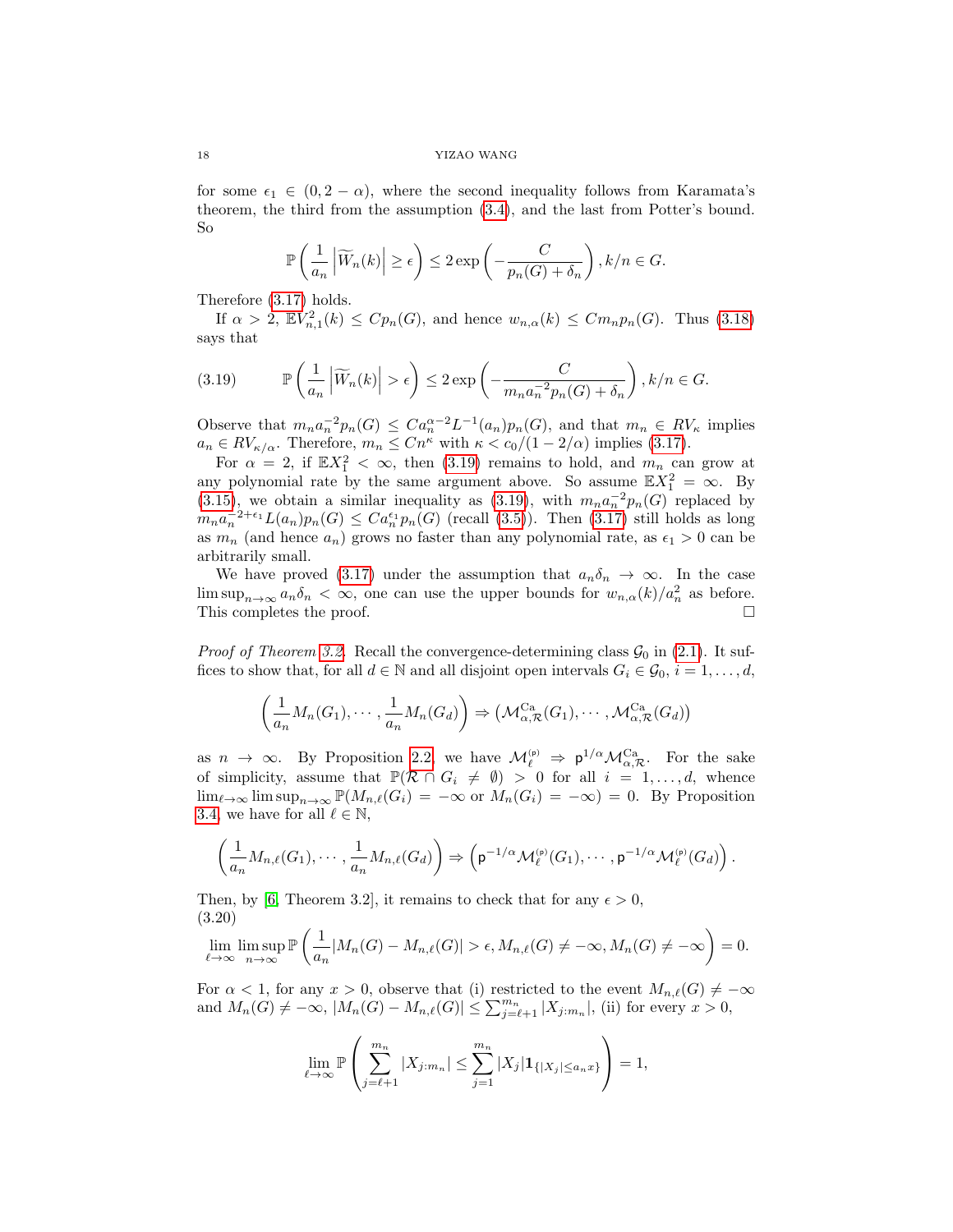for some  $\epsilon_1 \in (0, 2 - \alpha)$ , where the second inequality follows from Karamata's theorem, the third from the assumption [\(3.4\)](#page-9-3), and the last from Potter's bound. So

$$
\mathbb{P}\left(\frac{1}{a_n}\left|\widetilde{W}_n(k)\right|\geq \epsilon\right)\leq 2\exp\left(-\frac{C}{p_n(G)+\delta_n}\right), k/n\in G.
$$

Therefore [\(3.17\)](#page-16-1) holds.

If  $\alpha > 2$ ,  $\mathbb{E} V_{n,1}^2(k) \leq C p_n(G)$ , and hence  $w_{n,\alpha}(k) \leq C m_n p_n(G)$ . Thus [\(3.18\)](#page-16-2) says that

<span id="page-17-0"></span>(3.19) 
$$
\mathbb{P}\left(\frac{1}{a_n}\left|\widetilde{W}_n(k)\right| > \epsilon\right) \leq 2 \exp\left(-\frac{C}{m_n a_n^{-2} p_n(G) + \delta_n}\right), k/n \in G.
$$

Observe that  $m_n a_n^{-2} p_n(G) \leq C a_n^{\alpha-2} L^{-1}(a_n) p_n(G)$ , and that  $m_n \in RV_{\kappa}$  implies  $a_n \in RV_{\kappa/\alpha}$ . Therefore,  $m_n \leq Cn^{\kappa}$  with  $\kappa < c_0/(1-2/\alpha)$  implies [\(3.17\)](#page-16-1).

For  $\alpha = 2$ , if  $\mathbb{E}X_1^2 < \infty$ , then [\(3.19\)](#page-17-0) remains to hold, and  $m_n$  can grow at any polynomial rate by the same argument above. So assume  $\mathbb{E}X_1^2 = \infty$ . By [\(3.15\)](#page-15-2), we obtain a similar inequality as [\(3.19\)](#page-17-0), with  $m_na_n^{-2}p_n(G)$  replaced by  $m_n a_n^{-2+\epsilon_1} L(a_n) p_n(G) \leq C a_n^{\epsilon_1} p_n(G)$  (recall [\(3.5\)](#page-9-9)). Then [\(3.17\)](#page-16-1) still holds as long as  $m_n$  (and hence  $a_n$ ) grows no faster than any polynomial rate, as  $\epsilon_1 > 0$  can be arbitrarily small.

We have proved [\(3.17\)](#page-16-1) under the assumption that  $a_n\delta_n \to \infty$ . In the case  $\limsup_{n\to\infty} a_n \delta_n <\infty$ , one can use the upper bounds for  $w_{n,\alpha}(k)/a_n^2$  as before. This completes the proof.

*Proof of Theorem [3.2.](#page-9-2)* Recall the convergence-determining class  $\mathcal{G}_0$  in [\(2.1\)](#page-5-2). It suffices to show that, for all  $d \in \mathbb{N}$  and all disjoint open intervals  $G_i \in \mathcal{G}_0$ ,  $i = 1, \ldots, d$ ,

$$
\left(\frac{1}{a_n}M_n(G_1),\cdots,\frac{1}{a_n}M_n(G_d)\right)\Rightarrow \left(\mathcal{M}_{\alpha,\mathcal{R}}^{Ca}(G_1),\cdots,\mathcal{M}_{\alpha,\mathcal{R}}^{Ca}(G_d)\right)
$$

as  $n \to \infty$ . By Proposition [2.2,](#page-7-0) we have  $\mathcal{M}_{\ell}^{(p)} \Rightarrow p^{1/\alpha} \mathcal{M}_{\alpha,\mathcal{R}}^{Ca}$ . For the sake of simplicity, assume that  $\mathbb{P}(\mathcal{R} \cap G_i \neq \emptyset) > 0$  for all  $i = 1, ..., d$ , whence  $\lim_{\ell\to\infty}$  lim sup<sub>n→∞</sub>  $\mathbb{P}(M_{n,\ell}(G_i) = -\infty$  or  $M_n(G_i) = -\infty) = 0$ . By Proposition [3.4,](#page-11-0) we have for all  $\ell \in \mathbb{N}$ ,

$$
\left(\frac{1}{a_n}M_{n,\ell}(G_1),\cdots,\frac{1}{a_n}M_{n,\ell}(G_d)\right)\Rightarrow \left(\mathsf{p}^{-1/\alpha}\mathcal{M}_{\ell}^{(\mathsf{p})}(G_1),\cdots,\mathsf{p}^{-1/\alpha}\mathcal{M}_{\ell}^{(\mathsf{p})}(G_d)\right).
$$

Then, by [\[6,](#page-24-4) Theorem 3.2], it remains to check that for any  $\epsilon > 0$ , (3.20)

<span id="page-17-1"></span>
$$
\lim_{\ell \to \infty} \limsup_{n \to \infty} \mathbb{P}\left(\frac{1}{a_n}|M_n(G) - M_{n,\ell}(G)| > \epsilon, M_{n,\ell}(G) \neq -\infty, M_n(G) \neq -\infty\right) = 0.
$$

For  $\alpha < 1$ , for any  $x > 0$ , observe that (i) restricted to the event  $M_{n,\ell}(G) \neq -\infty$ and  $M_n(G) \neq -\infty$ ,  $|M_n(G) - M_{n,\ell}(G)| \leq \sum_{j=\ell+1}^{m_n} |X_{j:m_n}|$ , (ii) for every  $x > 0$ ,

$$
\lim_{\ell \to \infty} \mathbb{P}\left(\sum_{j=\ell+1}^{m_n} |X_{j:m_n}| \le \sum_{j=1}^{m_n} |X_j| \mathbf{1}_{\{|X_j| \le a_n x\}}\right) = 1,
$$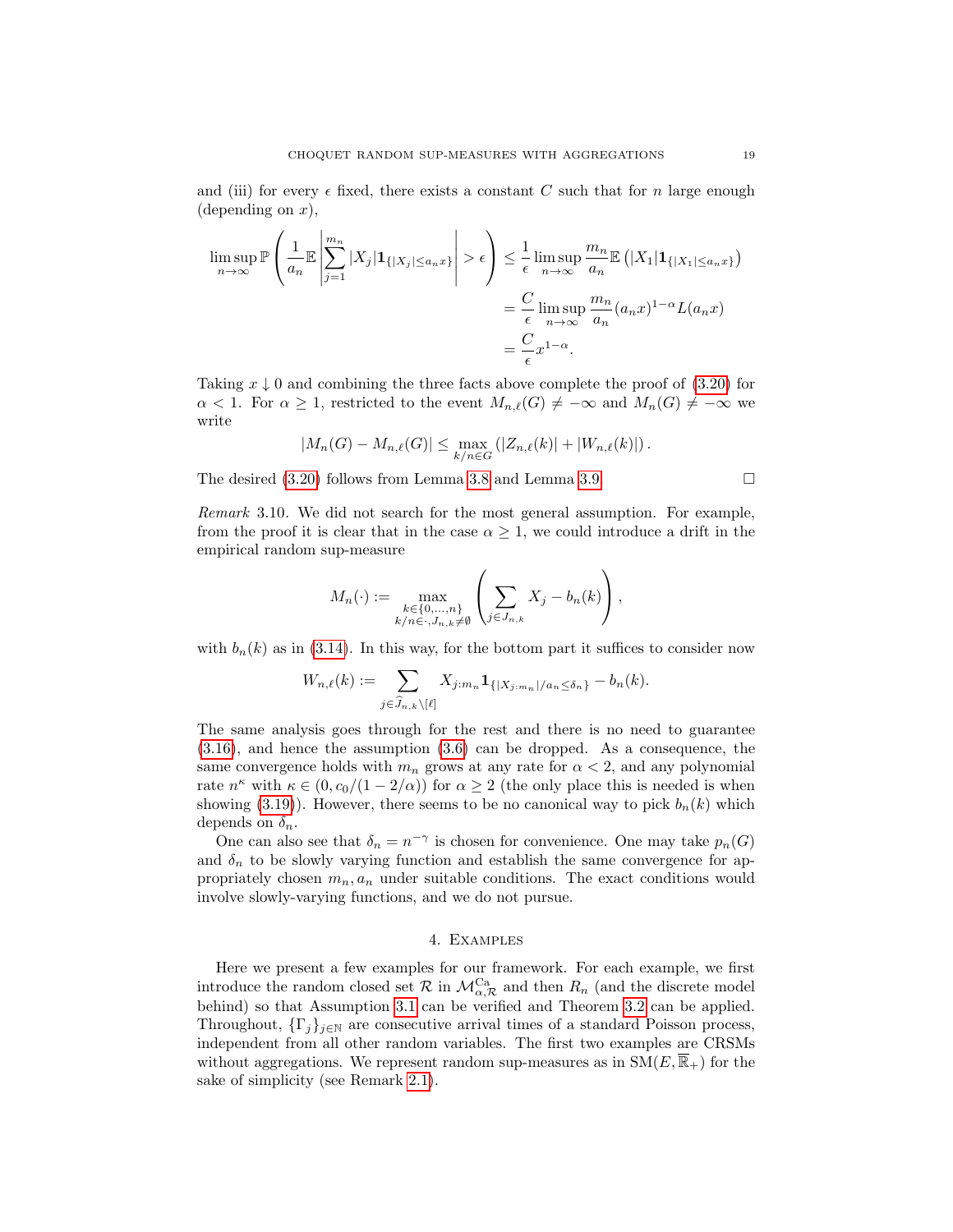and (iii) for every  $\epsilon$  fixed, there exists a constant C such that for n large enough (depending on  $x$ ),

$$
\limsup_{n \to \infty} \mathbb{P}\left(\frac{1}{a_n} \mathbb{E}\left|\sum_{j=1}^{m_n} |X_j| \mathbf{1}_{\{|X_j| \le a_n x\}}\right| > \epsilon\right) \le \frac{1}{\epsilon} \limsup_{n \to \infty} \frac{m_n}{a_n} \mathbb{E}\left(|X_1| \mathbf{1}_{\{|X_1| \le a_n x\}}\right)
$$
\n
$$
= \frac{C}{\epsilon} \limsup_{n \to \infty} \frac{m_n}{a_n} (a_n x)^{1-\alpha} L(a_n x)
$$
\n
$$
= \frac{C}{\epsilon} x^{1-\alpha}.
$$

Taking  $x \downarrow 0$  and combining the three facts above complete the proof of [\(3.20\)](#page-17-1) for  $\alpha < 1$ . For  $\alpha \geq 1$ , restricted to the event  $M_{n,\ell}(G) \neq -\infty$  and  $M_n(G) \neq -\infty$  we write

$$
|M_n(G) - M_{n,\ell}(G)| \le \max_{k/n \in G} (|Z_{n,\ell}(k)| + |W_{n,\ell}(k)|).
$$

The desired  $(3.20)$  follows from Lemma [3.8](#page-14-0) and Lemma [3.9.](#page-15-0)

<span id="page-18-1"></span>Remark 3.10. We did not search for the most general assumption. For example, from the proof it is clear that in the case  $\alpha \geq 1$ , we could introduce a drift in the empirical random sup-measure

$$
M_n(\cdot) := \max_{\substack{k \in \{0,\ldots,n\} \\ k/n \in \cdot, J_{n,k} \neq \emptyset}} \left( \sum_{j \in J_{n,k}} X_j - b_n(k) \right),
$$

with  $b_n(k)$  as in [\(3.14\)](#page-15-3). In this way, for the bottom part it suffices to consider now

$$
W_{n,\ell}(k) := \sum_{j \in \widehat{J}_{n,k} \setminus [\ell]} X_{j:m_n} \mathbf{1}_{\{|X_{j:m_n}|/a_n \le \delta_n\}} - b_n(k).
$$

The same analysis goes through for the rest and there is no need to guarantee [\(3.16\)](#page-16-0), and hence the assumption [\(3.6\)](#page-9-7) can be dropped. As a consequence, the same convergence holds with  $m_n$  grows at any rate for  $\alpha < 2$ , and any polynomial rate  $n^{\kappa}$  with  $\kappa \in (0, c_0/(1-2/\alpha))$  for  $\alpha \geq 2$  (the only place this is needed is when showing [\(3.19\)](#page-17-0)). However, there seems to be no canonical way to pick  $b_n(k)$  which depends on  $\delta_n$ .

One can also see that  $\delta_n = n^{-\gamma}$  is chosen for convenience. One may take  $p_n(G)$ and  $\delta_n$  to be slowly varying function and establish the same convergence for appropriately chosen  $m_n, a_n$  under suitable conditions. The exact conditions would involve slowly-varying functions, and we do not pursue.

### 4. Examples

<span id="page-18-0"></span>Here we present a few examples for our framework. For each example, we first introduce the random closed set  $\mathcal R$  in  $\mathcal M^{\text{Ca}}_{\alpha,\mathcal R}$  and then  $R_n$  (and the discrete model behind) so that Assumption [3.1](#page-9-1) can be verified and Theorem [3.2](#page-9-2) can be applied. Throughout,  $\{\Gamma_j\}_{j\in\mathbb{N}}$  are consecutive arrival times of a standard Poisson process, independent from all other random variables. The first two examples are CRSMs without aggregations. We represent random sup-measures as in  $SM(E, \mathbb{R}_+)$  for the sake of simplicity (see Remark [2.1\)](#page-6-4).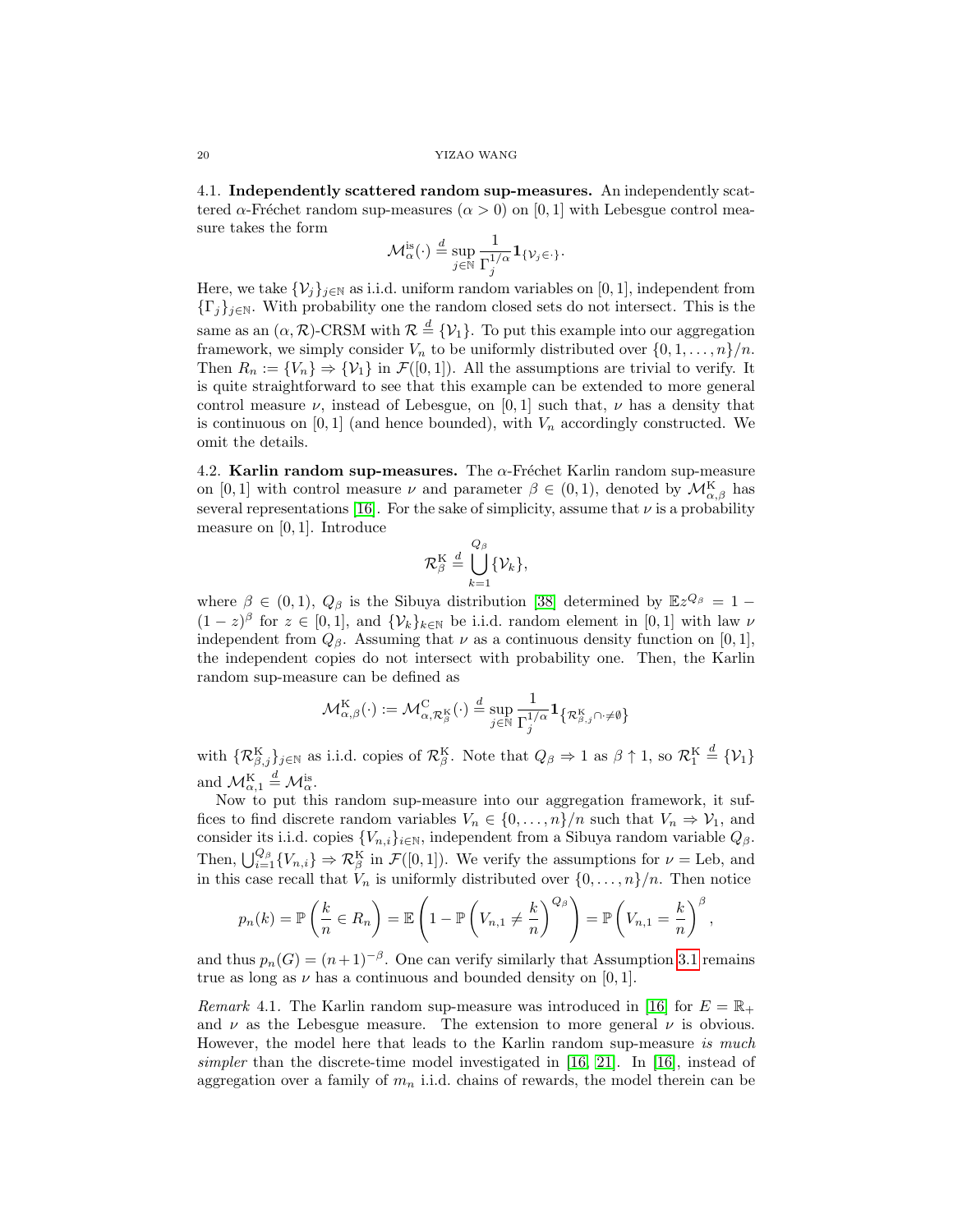4.1. Independently scattered random sup-measures. An independently scattered  $\alpha$ -Fréchet random sup-measures  $(\alpha > 0)$  on [0, 1] with Lebesgue control measure takes the form

$$
\mathcal{M}_{\alpha}^{\mathrm{is}}(\cdot) \stackrel{d}{=} \sup_{j \in \mathbb{N}} \frac{1}{\Gamma_j^{1/\alpha}} \mathbf{1}_{\{\mathcal{V}_j \in \cdot\}}.
$$

Here, we take  $\{\mathcal{V}_j\}_{j\in\mathbb{N}}$  as i.i.d. uniform random variables on [0, 1], independent from  $\{\Gamma_j\}_{j\in\mathbb{N}}$ . With probability one the random closed sets do not intersect. This is the same as an  $(\alpha, \mathcal{R})$ -CRSM with  $\mathcal{R} \stackrel{d}{=} \{ \mathcal{V}_1 \}$ . To put this example into our aggregation framework, we simply consider  $V_n$  to be uniformly distributed over  $\{0, 1, \ldots, n\}/n$ . Then  $R_n := \{V_n\} \Rightarrow \{V_1\}$  in  $\mathcal{F}([0,1])$ . All the assumptions are trivial to verify. It is quite straightforward to see that this example can be extended to more general control measure  $\nu$ , instead of Lebesgue, on [0, 1] such that,  $\nu$  has a density that is continuous on [0, 1] (and hence bounded), with  $V_n$  accordingly constructed. We omit the details.

<span id="page-19-0"></span>4.2. Karlin random sup-measures. The  $\alpha$ -Fréchet Karlin random sup-measure on [0, 1] with control measure  $\nu$  and parameter  $\beta \in (0,1)$ , denoted by  $\mathcal{M}_{\alpha,\beta}^{K}$  has several representations [\[16\]](#page-25-5). For the sake of simplicity, assume that  $\nu$  is a probability measure on [0, 1]. Introduce

$$
\mathcal{R}_{\beta}^{\mathrm{K}} \stackrel{d}{=} \bigcup_{k=1}^{Q_{\beta}} \{ \mathcal{V}_k \},
$$

where  $\beta \in (0,1)$ ,  $Q_{\beta}$  is the Sibuya distribution [\[38\]](#page-26-5) determined by  $\mathbb{E}z^{Q_{\beta}} = 1 (1-z)^{\beta}$  for  $z \in [0,1]$ , and  $\{\mathcal{V}_k\}_{k \in \mathbb{N}}$  be i.i.d. random element in  $[0,1]$  with law  $\nu$ independent from  $Q_{\beta}$ . Assuming that  $\nu$  as a continuous density function on [0, 1], the independent copies do not intersect with probability one. Then, the Karlin random sup-measure can be defined as

$$
\mathcal{M}_{\alpha,\beta}^{\mathrm{K}}(\cdot) := \mathcal{M}_{\alpha,\mathcal{R}_{\beta}^{\mathrm{K}}}^{\mathrm{C}}(\cdot) \stackrel{d}{=} \sup_{j \in \mathbb{N}} \frac{1}{\Gamma_{j}^{1/\alpha}} \mathbf{1}_{\left\{\mathcal{R}_{\beta,j}^{\mathrm{K}} \cap \cdot \neq \emptyset\right\}}
$$

with  $\{ \mathcal{R}^{\rm K}_{\beta,j} \}_{j \in \mathbb{N}}$  as i.i.d. copies of  $\mathcal{R}^{\rm K}_{\beta}$ . Note that  $Q_{\beta} \Rightarrow 1$  as  $\beta \uparrow 1$ , so  $\mathcal{R}^{\rm K}_1 \stackrel{d}{=} {\mathcal{V}_1}$ and  $\mathcal{M}_{\alpha,1}^{\mathrm{K}} \stackrel{d}{=} \mathcal{M}_{\alpha}^{\mathrm{is}}$ .

Now to put this random sup-measure into our aggregation framework, it suffices to find discrete random variables  $V_n \in \{0, \ldots, n\}/n$  such that  $V_n \Rightarrow V_1$ , and consider its i.i.d. copies  $\{V_{n,i}\}_{i\in\mathbb{N}}$ , independent from a Sibuya random variable  $Q_{\beta}$ . Then,  $\bigcup_{i=1}^{Q_{\beta}} \{V_{n,i}\}\Rightarrow \mathcal{R}_{\beta}^{\mathrm{K}}$  in  $\mathcal{F}([0,1])$ . We verify the assumptions for  $\nu =$  Leb, and in this case recall that  $V_n$  is uniformly distributed over  $\{0,\ldots,n\}/n$ . Then notice

$$
p_n(k) = \mathbb{P}\left(\frac{k}{n} \in R_n\right) = \mathbb{E}\left(1 - \mathbb{P}\left(V_{n,1} \neq \frac{k}{n}\right)^{Q_\beta}\right) = \mathbb{P}\left(V_{n,1} = \frac{k}{n}\right)^\beta,
$$

and thus  $p_n(G) = (n+1)^{-\beta}$ . One can verify similarly that Assumption [3.1](#page-9-1) remains true as long as  $\nu$  has a continuous and bounded density on [0, 1].

*Remark* 4.1. The Karlin random sup-measure was introduced in [\[16\]](#page-25-5) for  $E = \mathbb{R}_+$ and  $\nu$  as the Lebesgue measure. The extension to more general  $\nu$  is obvious. However, the model here that leads to the Karlin random sup-measure is much simpler than the discrete-time model investigated in [\[16,](#page-25-5) [21\]](#page-25-15). In [\[16\]](#page-25-5), instead of aggregation over a family of  $m_n$  i.i.d. chains of rewards, the model therein can be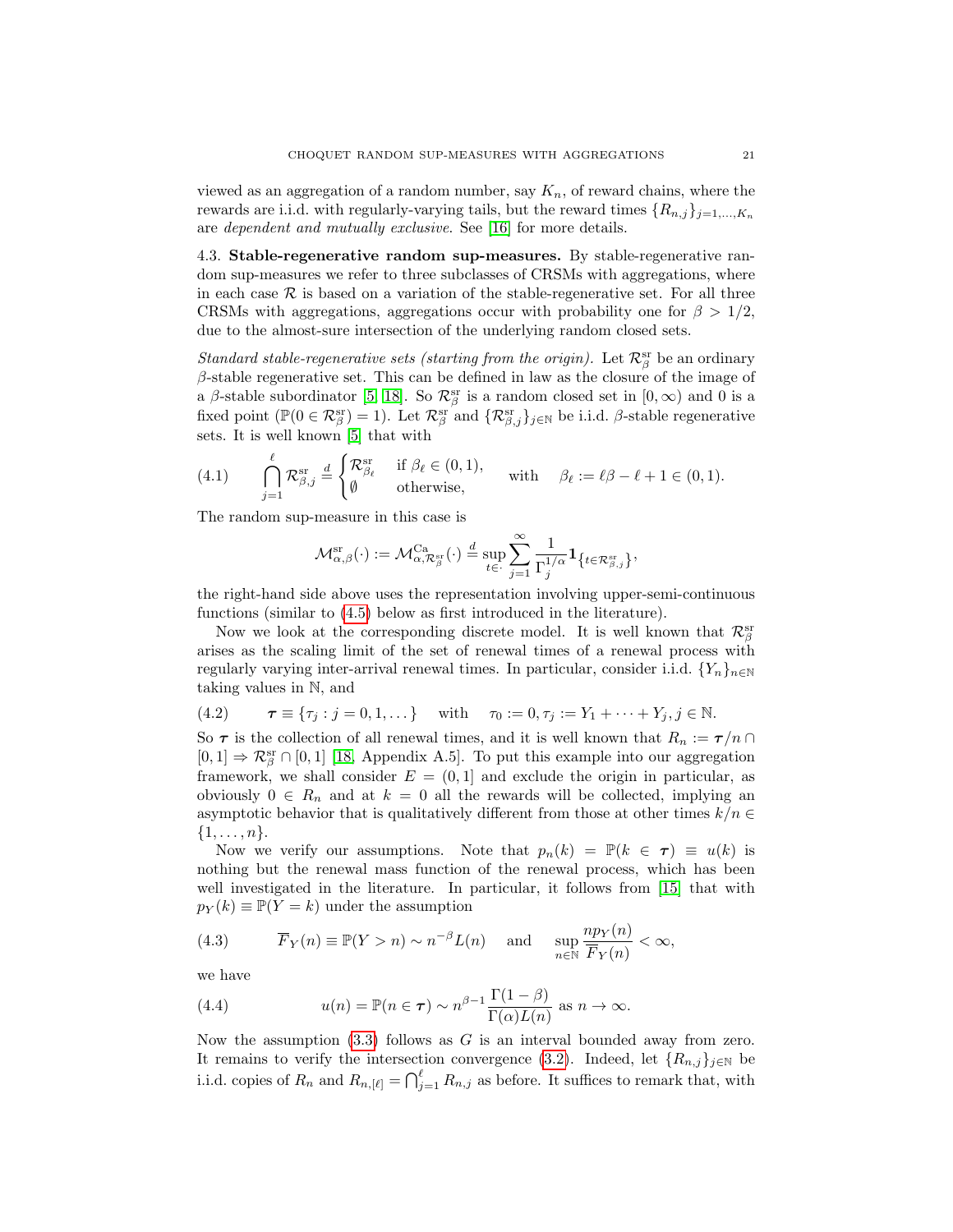viewed as an aggregation of a random number, say  $K_n$ , of reward chains, where the rewards are i.i.d. with regularly-varying tails, but the reward times  $\{R_{n,j}\}_{j=1,\ldots,K_n}$ are dependent and mutually exclusive. See [\[16\]](#page-25-5) for more details.

<span id="page-20-0"></span>4.3. Stable-regenerative random sup-measures. By stable-regenerative random sup-measures we refer to three subclasses of CRSMs with aggregations, where in each case  $\mathcal R$  is based on a variation of the stable-regenerative set. For all three CRSMs with aggregations, aggregations occur with probability one for  $\beta > 1/2$ , due to the almost-sure intersection of the underlying random closed sets.

Standard stable-regenerative sets (starting from the origin). Let  $\mathcal{R}^{\text{sr}}_{\beta}$  be an ordinary  $\beta$ -stable regenerative set. This can be defined in law as the closure of the image of a  $\beta$ -stable subordinator [\[5,](#page-24-10) [18\]](#page-25-16). So  $\mathcal{R}^{sr}_{\beta}$  is a random closed set in  $[0,\infty)$  and 0 is a fixed point ( $\mathbb{P}(0 \in \mathcal{R}_{\beta}^{\text{sr}}) = 1$ ). Let  $\mathcal{R}_{\beta}^{\text{sr}}$  and  $\{\mathcal{R}_{\beta,j}^{\text{sr}}\}_{j \in \mathbb{N}}$  be i.i.d.  $\beta$ -stable regenerative sets. It is well known [\[5\]](#page-24-10) that with

<span id="page-20-1"></span>(4.1) 
$$
\bigcap_{j=1}^{\ell} \mathcal{R}_{\beta,j}^{\text{sr}} \stackrel{d}{=} \begin{cases} \mathcal{R}_{\beta_{\ell}}^{\text{sr}} & \text{if } \beta_{\ell} \in (0,1), \\ \emptyset & \text{otherwise}, \end{cases} \text{ with } \beta_{\ell} := \ell \beta - \ell + 1 \in (0,1).
$$

The random sup-measure in this case is

$$
\mathcal{M}_{\alpha,\beta}^{\mathrm{sr}}(\cdot) := \mathcal{M}_{\alpha,\mathcal{R}_{\beta}^{\mathrm{sr}}}^{\mathrm{Ca}}(\cdot) \stackrel{d}{=} \sup_{t \in \cdot} \sum_{j=1}^{\infty} \frac{1}{\Gamma_j^{1/\alpha}} \mathbf{1}_{\left\{t \in \mathcal{R}_{\beta,j}^{\mathrm{sr}}\right\}},
$$

the right-hand side above uses the representation involving upper-semi-continuous functions (similar to [\(4.5\)](#page-21-1) below as first introduced in the literature).

Now we look at the corresponding discrete model. It is well known that  $\mathcal{R}_{\beta}^{\text{sr}}$ arises as the scaling limit of the set of renewal times of a renewal process with regularly varying inter-arrival renewal times. In particular, consider i.i.d.  $\{Y_n\}_{n\in\mathbb{N}}$ taking values in N, and

<span id="page-20-2"></span>(4.2) 
$$
\boldsymbol{\tau} \equiv \{\tau_j : j = 0, 1, \dots\} \text{ with } \tau_0 := 0, \tau_j := Y_1 + \dots + Y_j, j \in \mathbb{N}.
$$

So  $\tau$  is the collection of all renewal times, and it is well known that  $R_n := \tau/n \cap$  $[0,1] \Rightarrow \mathcal{R}_{\beta}^{\text{sr}} \cap [0,1]$  [\[18,](#page-25-16) Appendix A.5]. To put this example into our aggregation framework, we shall consider  $E = (0, 1]$  and exclude the origin in particular, as obviously  $0 \in R_n$  and at  $k = 0$  all the rewards will be collected, implying an asymptotic behavior that is qualitatively different from those at other times  $k/n \in$  $\{1,\ldots,n\}.$ 

Now we verify our assumptions. Note that  $p_n(k) = \mathbb{P}(k \in \tau) \equiv u(k)$  is nothing but the renewal mass function of the renewal process, which has been well investigated in the literature. In particular, it follows from [\[15\]](#page-25-17) that with  $p_Y(k) \equiv \mathbb{P}(Y = k)$  under the assumption

<span id="page-20-3"></span>(4.3) 
$$
\overline{F}_Y(n) \equiv \mathbb{P}(Y > n) \sim n^{-\beta} L(n)
$$
 and  $\sup_{n \in \mathbb{N}} \frac{np_Y(n)}{\overline{F}_Y(n)} < \infty$ ,

we have

<span id="page-20-4"></span>(4.4) 
$$
u(n) = \mathbb{P}(n \in \tau) \sim n^{\beta - 1} \frac{\Gamma(1 - \beta)}{\Gamma(\alpha)L(n)} \text{ as } n \to \infty.
$$

Now the assumption  $(3.3)$  follows as G is an interval bounded away from zero. It remains to verify the intersection convergence [\(3.2\)](#page-9-4). Indeed, let  $\{R_{n,j}\}_{j\in\mathbb{N}}$  be i.i.d. copies of  $R_n$  and  $R_{n, [\ell]} = \bigcap_{j=1}^{\ell} R_{n,j}$  as before. It suffices to remark that, with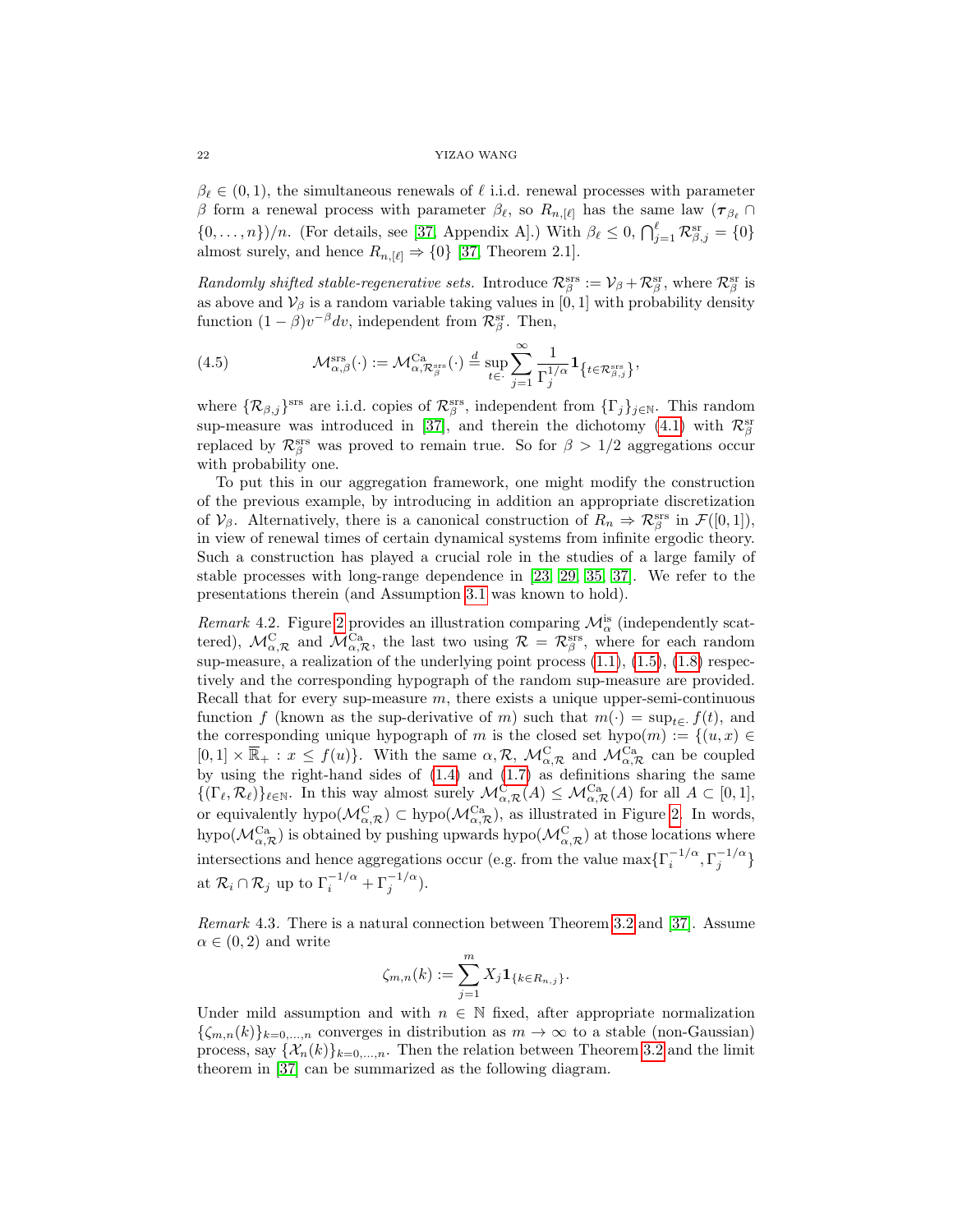#### 22 YIZAO WANG

 $\beta_\ell \in (0, 1)$ , the simultaneous renewals of  $\ell$  i.i.d. renewal processes with parameter β form a renewal process with parameter  $\beta_{\ell}$ , so  $R_{n,[\ell]}$  has the same law  $(\tau_{\beta_{\ell}} \cap$  $\{0, \ldots, n\}/n$ . (For details, see [\[37,](#page-26-0) Appendix A].) With  $\beta_{\ell} \leq 0$ ,  $\bigcap_{j=1}^{\ell} \mathcal{R}^{\text{sr}}_{\beta,j} = \{0\}$ almost surely, and hence  $R_{n, [\ell]} \Rightarrow \{0\}$  [\[37,](#page-26-0) Theorem 2.1].

Randomly shifted stable-regenerative sets. Introduce  $\mathcal{R}^{\text{srs}}_{\beta} := \mathcal{V}_{\beta} + \mathcal{R}^{\text{sr}}_{\beta}$ , where  $\mathcal{R}^{\text{sr}}_{\beta}$  is as above and  $\mathcal{V}_{\beta}$  is a random variable taking values in [0, 1] with probability density function  $(1 - \beta)v^{-\beta}dv$ , independent from  $\mathcal{R}_{\beta}^{\text{sr}}$ . Then,

<span id="page-21-1"></span>(4.5) 
$$
\mathcal{M}_{\alpha,\beta}^{\text{srs}}(\cdot) := \mathcal{M}_{\alpha,\mathcal{R}_{\beta}^{\text{srs}}}^{\text{Ca}}(\cdot) \stackrel{d}{=} \sup_{t \in \cdot} \sum_{j=1}^{\infty} \frac{1}{\Gamma_j^{1/\alpha}} \mathbf{1}_{\left\{t \in \mathcal{R}_{\beta,j}^{\text{srs}}\right\}},
$$

where  $\{\mathcal{R}_{\beta,j}\}^{\text{srs}}$  are i.i.d. copies of  $\mathcal{R}_{\beta}^{\text{srs}}$ , independent from  $\{\Gamma_j\}_{j\in\mathbb{N}}$ . This random sup-measure was introduced in [\[37\]](#page-26-0), and therein the dichotomy [\(4.1\)](#page-20-1) with  $\mathcal{R}_{\beta}^{\rm sr}$ replaced by  $\mathcal{R}_{\beta}^{srs}$  was proved to remain true. So for  $\beta > 1/2$  aggregations occur with probability one.

To put this in our aggregation framework, one might modify the construction of the previous example, by introducing in addition an appropriate discretization of  $V_\beta$ . Alternatively, there is a canonical construction of  $R_n \Rightarrow \mathcal{R}^{\text{srs}}_\beta$  in  $\mathcal{F}([0,1]),$ in view of renewal times of certain dynamical systems from infinite ergodic theory. Such a construction has played a crucial role in the studies of a large family of stable processes with long-range dependence in [\[23,](#page-25-6) [29,](#page-25-7) [35,](#page-26-1) [37\]](#page-26-0). We refer to the presentations therein (and Assumption [3.1](#page-9-1) was known to hold).

Remark 4.2. Figure [2](#page-22-0) provides an illustration comparing  $\mathcal{M}_{\alpha}^{is}$  (independently scattered),  $\mathcal{M}_{\alpha,\mathcal{R}}^{\mathcal{C}}$  and  $\mathcal{M}_{\alpha,\mathcal{R}}^{\mathcal{C}a}$ , the last two using  $\mathcal{R} = \mathcal{R}_{\beta}^{\text{srs}}$ , where for each random sup-measure, a realization of the underlying point process  $(1.1)$ ,  $(1.5)$ ,  $(1.8)$  respectively and the corresponding hypograph of the random sup-measure are provided. Recall that for every sup-measure  $m$ , there exists a unique upper-semi-continuous function f (known as the sup-derivative of m) such that  $m(\cdot) = \sup_{t \in \mathcal{F}} f(t)$ , and the corresponding unique hypograph of m is the closed set hypo $(m) := \{(u, x) \in$  $[0,1] \times \overline{\mathbb{R}}_+ : x \leq f(u)$ . With the same  $\alpha, \mathcal{R}, \mathcal{M}_{\alpha,\mathcal{R}}^{\mathcal{C}}$  and  $\mathcal{M}_{\alpha,\mathcal{R}}^{\mathcal{C}^a}$  can be coupled by using the right-hand sides of [\(1.4\)](#page-2-0) and [\(1.7\)](#page-3-1) as definitions sharing the same  $\{(\Gamma_{\ell}, \mathcal{R}_{\ell})\}_{\ell \in \mathbb{N}}$ . In this way almost surely  $\mathcal{M}_{\alpha,\mathcal{R}}^{\mathcal{C}}(A) \leq \mathcal{M}_{\alpha,\mathcal{R}}^{\mathcal{C}_{a}}(A)$  for all  $A \subset [0,1],$ or equivalently hypo $(\mathcal{M}_{\alpha,\mathcal{R}}^C) \subset \text{hypo}(\mathcal{M}_{\alpha,\mathcal{R}}^{Ca})$ , as illustrated in Figure [2.](#page-22-0) In words, hypo( $\mathcal{M}_{\alpha,\mathcal{R}}^{\text{Ca}}$ ) is obtained by pushing upwards hypo( $\mathcal{M}_{\alpha,\mathcal{R}}^{\text{C}}$ ) at those locations where intersections and hence aggregations occur (e.g. from the value  $\max\{\Gamma_i^{-1/\alpha},\Gamma_j^{-1/\alpha}\}$ at  $\mathcal{R}_i \cap \mathcal{R}_j$  up to  $\Gamma_i^{-1/\alpha} + \Gamma_j^{-1/\alpha}$ ).

<span id="page-21-0"></span>Remark 4.3. There is a natural connection between Theorem [3.2](#page-9-2) and [\[37\]](#page-26-0). Assume  $\alpha \in (0, 2)$  and write

$$
\zeta_{m,n}(k) := \sum_{j=1}^m X_j \mathbf{1}_{\{k \in R_{n,j}\}}.
$$

Under mild assumption and with  $n \in \mathbb{N}$  fixed, after appropriate normalization  $\{\zeta_{m,n}(k)\}_{k=0,\ldots,n}$  converges in distribution as  $m \to \infty$  to a stable (non-Gaussian) process, say  $\{\mathcal{X}_n(k)\}_{k=0,\ldots,n}$ . Then the relation between Theorem [3.2](#page-9-2) and the limit theorem in [\[37\]](#page-26-0) can be summarized as the following diagram.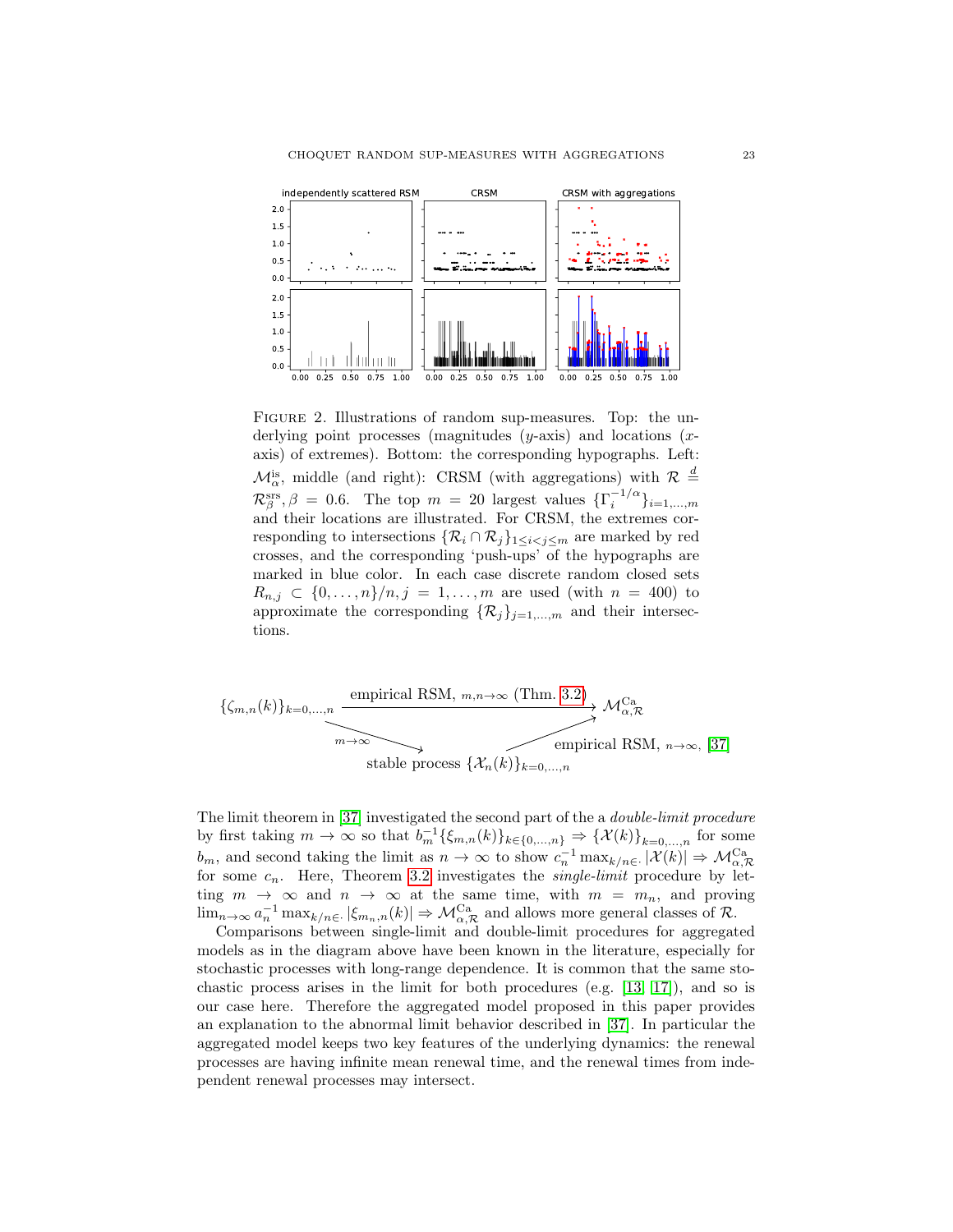

<span id="page-22-0"></span>Figure 2. Illustrations of random sup-measures. Top: the underlying point processes (magnitudes  $(y\text{-axis})$  and locations  $(x\text{-}$ axis) of extremes). Bottom: the corresponding hypographs. Left:  $\mathcal{M}_{\alpha}^{is}$ , middle (and right): CRSM (with aggregations) with  $\mathcal{R} \stackrel{d}{=}$  $\mathcal{R}_{\beta}^{\text{srs}}, \beta = 0.6$ . The top  $m = 20$  largest values  $\{\Gamma_i^{-1/\alpha}\}_{i=1,\dots,m}$ and their locations are illustrated. For CRSM, the extremes corresponding to intersections  $\{\mathcal{R}_i \cap \mathcal{R}_j\}_{1 \leq i < j \leq m}$  are marked by red crosses, and the corresponding 'push-ups' of the hypographs are marked in blue color. In each case discrete random closed sets  $R_{n,j} \subset \{0, \ldots, n\}/n, j = 1, \ldots, m$  are used (with  $n = 400$ ) to approximate the corresponding  $\{\mathcal{R}_j\}_{j=1,\dots,m}$  and their intersections.

$$
\{ \zeta_{m,n}(k) \}_{k=0,\ldots,n} \xrightarrow{\text{empirical RSM, } m,n \to \infty} \text{(Thm. 3.2)} \mathcal{M}_{\alpha,\mathcal{R}}^{\text{Ca}} \longrightarrow \mathcal{M}_{\alpha,\mathcal{R}}^{\text{Ca}} \longrightarrow \text{empirical RSM, } n \to \infty, [37]
$$
\n
$$
\xrightarrow{\text{stable process } \{\mathcal{X}_n(k)\}_{k=0,\ldots,n}}
$$

The limit theorem in [\[37\]](#page-26-0) investigated the second part of the a double-limit procedure by first taking  $m \to \infty$  so that  $b_m^{-1}\{\xi_{m,n}(k)\}_{k \in \{0,\ldots,n\}} \Rightarrow {\{\mathcal{X}(k)\}}_{k=0,\ldots,n}$  for some  $b_m$ , and second taking the limit as  $n \to \infty$  to show  $c_n^{-1} \max_{k/n \in \mathbb{R}} |\mathcal{X}(k)| \Rightarrow \mathcal{M}_{\alpha,\mathcal{R}}^{\text{Ca}}$ for some  $c_n$ . Here, Theorem [3.2](#page-9-2) investigates the *single-limit* procedure by letting  $m \to \infty$  and  $n \to \infty$  at the same time, with  $m = m_n$ , and proving  $\lim_{n\to\infty} a_n^{-1} \max_{k/n\in\mathbb{N}} |\xi_{m_n,n}(k)| \Rightarrow \mathcal{M}_{\alpha,\mathcal{R}}^{\text{Ca}}$  and allows more general classes of  $\mathcal{R}$ .

Comparisons between single-limit and double-limit procedures for aggregated models as in the diagram above have been known in the literature, especially for stochastic processes with long-range dependence. It is common that the same stochastic process arises in the limit for both procedures (e.g.  $[13, 17]$  $[13, 17]$ ), and so is our case here. Therefore the aggregated model proposed in this paper provides an explanation to the abnormal limit behavior described in [\[37\]](#page-26-0). In particular the aggregated model keeps two key features of the underlying dynamics: the renewal processes are having infinite mean renewal time, and the renewal times from independent renewal processes may intersect.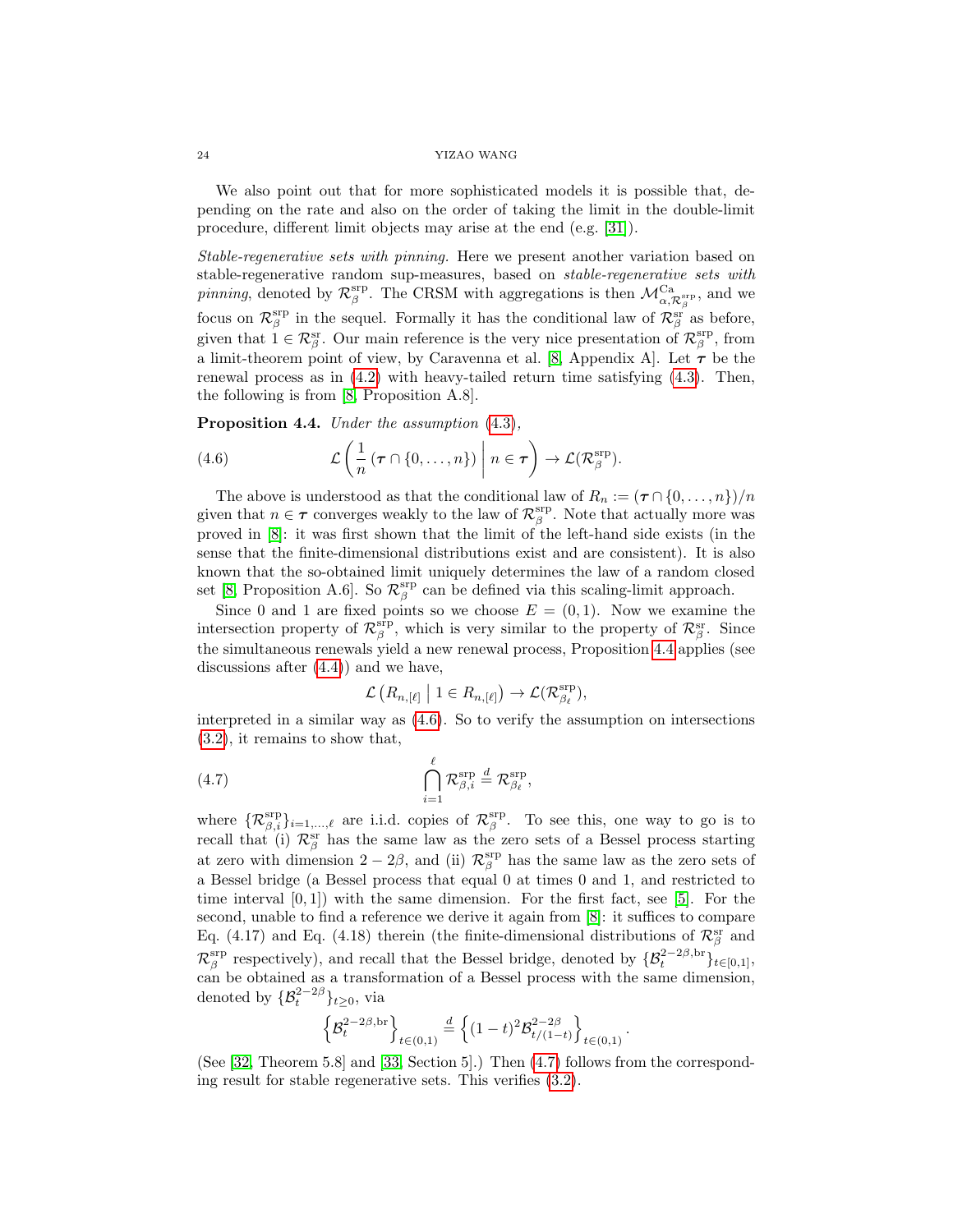#### 24 YIZAO WANG

We also point out that for more sophisticated models it is possible that, depending on the rate and also on the order of taking the limit in the double-limit procedure, different limit objects may arise at the end (e.g. [\[31\]](#page-25-19)).

Stable-regenerative sets with pinning. Here we present another variation based on stable-regenerative random sup-measures, based on stable-regenerative sets with *pinning*, denoted by  $\mathcal{R}_{\beta}^{\text{srp}}$ . The CRSM with aggregations is then  $\mathcal{M}_{\alpha,\mathcal{R}_{\beta}^{\text{srp}}}^{\text{Ca}}$ , and we focus on  $\mathcal{R}_{\beta}^{\text{srp}}$  in the sequel. Formally it has the conditional law of  $\mathcal{R}_{\beta}^{\text{sr}}$  as before, given that  $\tilde{1} \in \mathcal{R}_{\beta}^{sr}$ . Our main reference is the very nice presentation of  $\mathcal{R}_{\beta}^{srp}$ , from a limit-theorem point of view, by Caravenna et al. [\[8,](#page-24-11) Appendix A]. Let  $\tau$  be the renewal process as in [\(4.2\)](#page-20-2) with heavy-tailed return time satisfying [\(4.3\)](#page-20-3). Then, the following is from [\[8,](#page-24-11) Proposition A.8].

<span id="page-23-0"></span>Proposition 4.4. Under the assumption  $(4.3)$ ,

<span id="page-23-1"></span>(4.6) 
$$
\mathcal{L}\left(\frac{1}{n}\left(\tau\cap\{0,\ldots,n\}\right)\middle| n\in\tau\right)\to\mathcal{L}(\mathcal{R}^{\text{srp}}_{\beta}).
$$

The above is understood as that the conditional law of  $R_n := (\tau \cap \{0, \ldots, n\})/n$ given that  $n \in \tau$  converges weakly to the law of  $\mathcal{R}_{\beta}^{\text{srp}}$ . Note that actually more was proved in [\[8\]](#page-24-11): it was first shown that the limit of the left-hand side exists (in the sense that the finite-dimensional distributions exist and are consistent). It is also known that the so-obtained limit uniquely determines the law of a random closed set [\[8,](#page-24-11) Proposition A.6]. So  $\mathcal{R}_{\beta}^{\text{srp}}$  can be defined via this scaling-limit approach.

Since 0 and 1 are fixed points so we choose  $E = (0, 1)$ . Now we examine the intersection property of  $\mathcal{R}_{\beta}^{\text{srp}}$ , which is very similar to the property of  $\mathcal{R}_{\beta}^{\text{sr}}$ . Since the simultaneous renewals yield a new renewal process, Proposition [4.4](#page-23-0) applies (see discussions after [\(4.4\)](#page-20-4)) and we have,

<span id="page-23-2"></span>
$$
\mathcal{L}\left(R_{n,[\ell]}\;\middle|\; 1\in R_{n,[\ell]}\right)\to \mathcal{L}(\mathcal{R}_{\beta_{\ell}}^{\text{srp}}),
$$

interpreted in a similar way as [\(4.6\)](#page-23-1). So to verify the assumption on intersections [\(3.2\)](#page-9-4), it remains to show that,

(4.7) 
$$
\bigcap_{i=1}^{\ell} \mathcal{R}_{\beta,i}^{\text{srp}} \stackrel{d}{=} \mathcal{R}_{\beta_{\ell}}^{\text{srp}},
$$

where  $\{R^{\text{srp}}_{\beta,i}\}_{i=1,\dots,\ell}$  are i.i.d. copies of  $R^{\text{srp}}_{\beta}$ . To see this, one way to go is to recall that (i)  $\mathcal{R}_{\beta}^{\text{sr}}$  has the same law as the zero sets of a Bessel process starting at zero with dimension  $2-2\beta$ , and (ii)  $\mathcal{R}_{\beta}^{\text{srp}}$  has the same law as the zero sets of a Bessel bridge (a Bessel process that equal 0 at times 0 and 1, and restricted to time interval  $[0, 1]$ ) with the same dimension. For the first fact, see  $[5]$ . For the second, unable to find a reference we derive it again from [\[8\]](#page-24-11): it suffices to compare Eq. (4.17) and Eq. (4.18) therein (the finite-dimensional distributions of  $\mathcal{R}_{\beta}^{\text{sr}}$  and  $\mathcal{R}_{\beta}^{\text{srp}}$  respectively), and recall that the Bessel bridge, denoted by  $\{\mathcal{B}_{t}^{2-2\beta,\text{br}}\}_{t\in[0,1]},$ can be obtained as a transformation of a Bessel process with the same dimension, denoted by  $\{\mathcal{B}_{t}^{2-2\beta}\}_{t\geq0}$ , via

$$
\left\{ \mathcal{B}_{t}^{2-2\beta,\operatorname{br}}\right\} _{t\in(0,1)}\overset{d}=\left\{ (1-t)^{2}\mathcal{B}_{t/(1-t)}^{2-2\beta}\right\} _{t\in(0,1)}
$$

.

(See [\[32,](#page-25-20) Theorem 5.8] and [\[33,](#page-25-21) Section 5].) Then [\(4.7\)](#page-23-2) follows from the corresponding result for stable regenerative sets. This verifies [\(3.2\)](#page-9-4).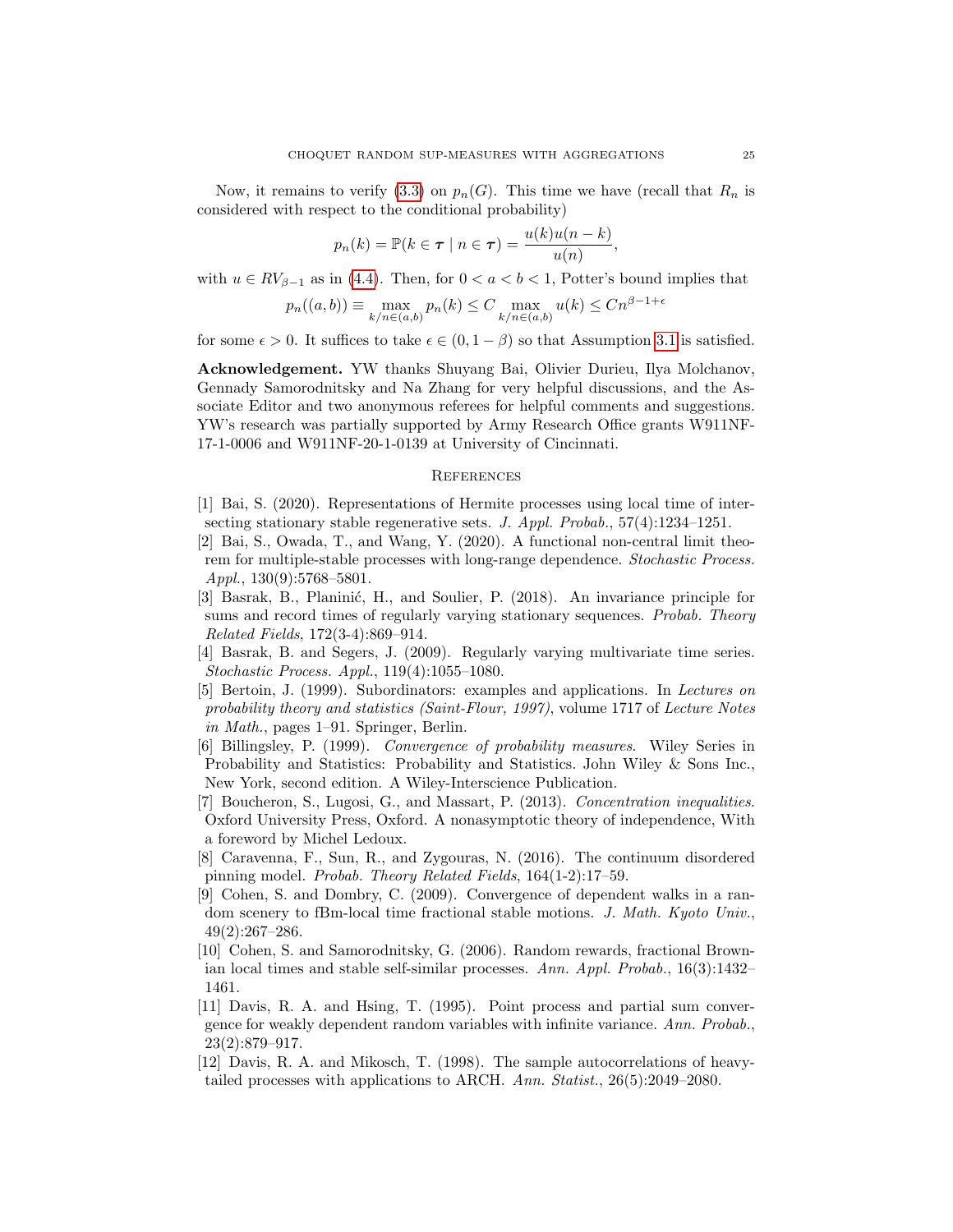Now, it remains to verify [\(3.3\)](#page-9-6) on  $p_n(G)$ . This time we have (recall that  $R_n$  is considered with respect to the conditional probability)

$$
p_n(k) = \mathbb{P}(k \in \tau \mid n \in \tau) = \frac{u(k)u(n-k)}{u(n)},
$$

with  $u \in RV_{\beta-1}$  as in [\(4.4\)](#page-20-4). Then, for  $0 < a < b < 1$ , Potter's bound implies that

$$
p_n((a,b)) \equiv \max_{k/n \in (a,b)} p_n(k) \le C \max_{k/n \in (a,b)} u(k) \le Cn^{\beta - 1 + \epsilon}
$$

for some  $\epsilon > 0$ . It suffices to take  $\epsilon \in (0, 1 - \beta)$  so that Assumption [3.1](#page-9-1) is satisfied.

Acknowledgement. YW thanks Shuyang Bai, Olivier Durieu, Ilya Molchanov, Gennady Samorodnitsky and Na Zhang for very helpful discussions, and the Associate Editor and two anonymous referees for helpful comments and suggestions. YW's research was partially supported by Army Research Office grants W911NF-17-1-0006 and W911NF-20-1-0139 at University of Cincinnati.

### **REFERENCES**

- <span id="page-24-6"></span>[1] Bai, S. (2020). Representations of Hermite processes using local time of intersecting stationary stable regenerative sets. J. Appl. Probab., 57(4):1234–1251.
- <span id="page-24-5"></span>[2] Bai, S., Owada, T., and Wang, Y. (2020). A functional non-central limit theorem for multiple-stable processes with long-range dependence. Stochastic Process. Appl.,  $130(9):5768-5801$ .
- <span id="page-24-0"></span>[3] Basrak, B., Planinić, H., and Soulier, P. (2018). An invariance principle for sums and record times of regularly varying stationary sequences. Probab. Theory Related Fields, 172(3-4):869–914.
- <span id="page-24-1"></span>[4] Basrak, B. and Segers, J. (2009). Regularly varying multivariate time series. Stochastic Process. Appl., 119(4):1055–1080.
- <span id="page-24-10"></span>[5] Bertoin, J. (1999). Subordinators: examples and applications. In Lectures on probability theory and statistics (Saint-Flour, 1997), volume 1717 of Lecture Notes in Math., pages 1–91. Springer, Berlin.
- <span id="page-24-4"></span>[6] Billingsley, P. (1999). Convergence of probability measures. Wiley Series in Probability and Statistics: Probability and Statistics. John Wiley & Sons Inc., New York, second edition. A Wiley-Interscience Publication.
- <span id="page-24-9"></span>[7] Boucheron, S., Lugosi, G., and Massart, P. (2013). Concentration inequalities. Oxford University Press, Oxford. A nonasymptotic theory of independence, With a foreword by Michel Ledoux.
- <span id="page-24-11"></span>[8] Caravenna, F., Sun, R., and Zygouras, N. (2016). The continuum disordered pinning model. Probab. Theory Related Fields, 164(1-2):17–59.
- <span id="page-24-7"></span>[9] Cohen, S. and Dombry, C. (2009). Convergence of dependent walks in a random scenery to fBm-local time fractional stable motions. J. Math. Kyoto Univ., 49(2):267–286.
- <span id="page-24-8"></span>[10] Cohen, S. and Samorodnitsky, G. (2006). Random rewards, fractional Brownian local times and stable self-similar processes. Ann. Appl. Probab., 16(3):1432– 1461.
- <span id="page-24-2"></span>[11] Davis, R. A. and Hsing, T. (1995). Point process and partial sum convergence for weakly dependent random variables with infinite variance. Ann. Probab., 23(2):879–917.
- <span id="page-24-3"></span>[12] Davis, R. A. and Mikosch, T. (1998). The sample autocorrelations of heavytailed processes with applications to ARCH. Ann. Statist., 26(5):2049–2080.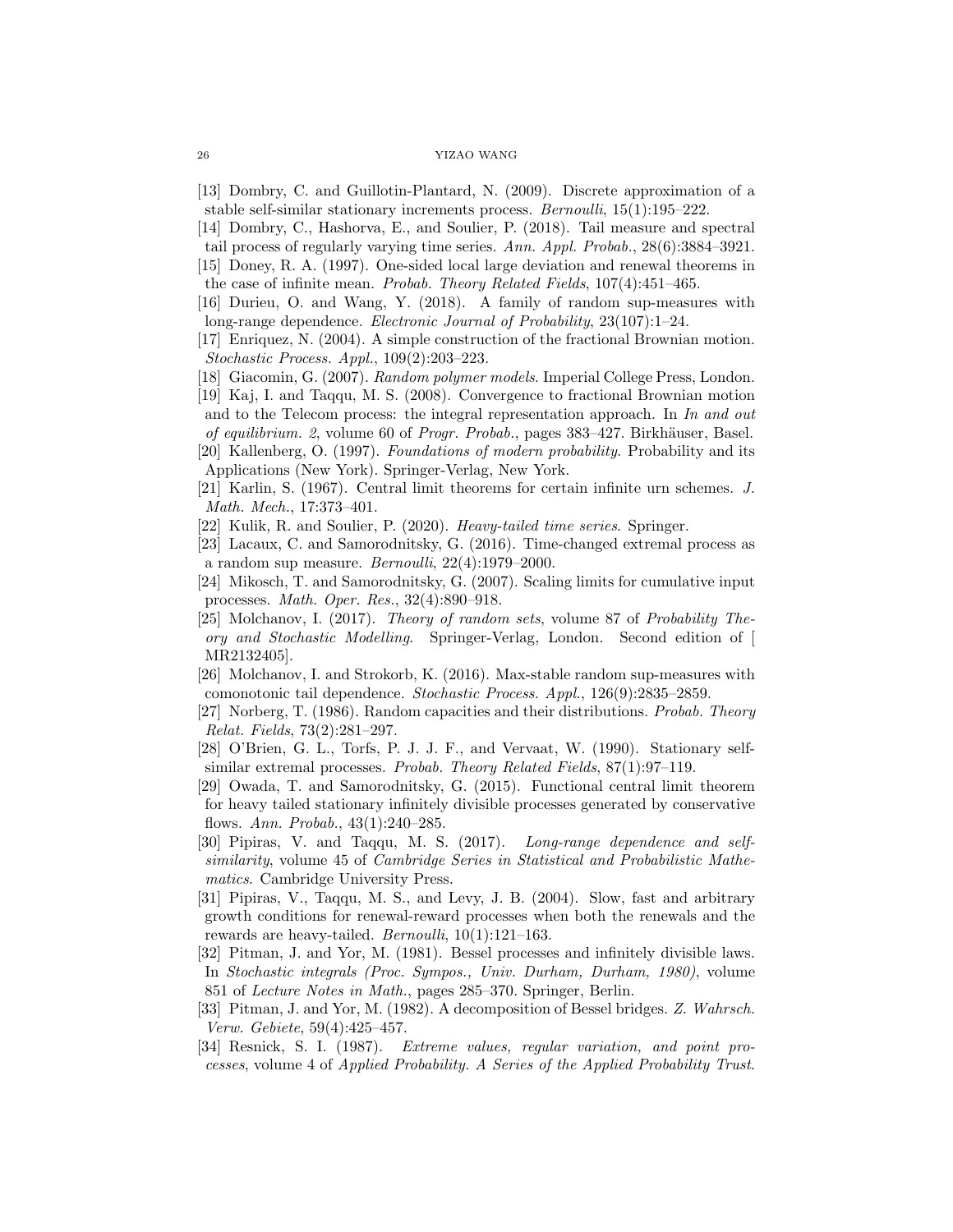<span id="page-25-9"></span>[13] Dombry, C. and Guillotin-Plantard, N. (2009). Discrete approximation of a stable self-similar stationary increments process. Bernoulli, 15(1):195–222.

<span id="page-25-1"></span>[14] Dombry, C., Hashorva, E., and Soulier, P. (2018). Tail measure and spectral

- <span id="page-25-17"></span>tail process of regularly varying time series. Ann. Appl. Probab., 28(6):3884–3921. [15] Doney, R. A. (1997). One-sided local large deviation and renewal theorems in
- the case of infinite mean. Probab. Theory Related Fields, 107(4):451–465.
- <span id="page-25-5"></span>[16] Durieu, O. and Wang, Y. (2018). A family of random sup-measures with long-range dependence. Electronic Journal of Probability, 23(107):1–24.
- <span id="page-25-18"></span>[17] Enriquez, N. (2004). A simple construction of the fractional Brownian motion. Stochastic Process. Appl., 109(2):203–223.
- <span id="page-25-16"></span>[18] Giacomin, G. (2007). Random polymer models. Imperial College Press, London.
- <span id="page-25-10"></span>[19] Kaj, I. and Taqqu, M. S. (2008). Convergence to fractional Brownian motion and to the Telecom process: the integral representation approach. In  $In$  and out of equilibrium. 2, volume 60 of Progr. Probab., pages 383–427. Birkhäuser, Basel.
- <span id="page-25-14"></span>[20] Kallenberg, O. (1997). Foundations of modern probability. Probability and its Applications (New York). Springer-Verlag, New York.
- <span id="page-25-15"></span>[21] Karlin, S. (1967). Central limit theorems for certain infinite urn schemes. J. Math. Mech., 17:373–401.
- <span id="page-25-2"></span>[22] Kulik, R. and Soulier, P. (2020). Heavy-tailed time series. Springer.
- <span id="page-25-6"></span>[23] Lacaux, C. and Samorodnitsky, G. (2016). Time-changed extremal process as a random sup measure. Bernoulli, 22(4):1979–2000.
- <span id="page-25-11"></span>[24] Mikosch, T. and Samorodnitsky, G. (2007). Scaling limits for cumulative input processes. Math. Oper. Res., 32(4):890–918.
- <span id="page-25-12"></span>[25] Molchanov, I. (2017). Theory of random sets, volume 87 of Probability Theory and Stochastic Modelling. Springer-Verlag, London. Second edition of [ MR2132405].
- <span id="page-25-4"></span>[26] Molchanov, I. and Strokorb, K. (2016). Max-stable random sup-measures with comonotonic tail dependence. Stochastic Process. Appl., 126(9):2835–2859.
- <span id="page-25-13"></span>[27] Norberg, T. (1986). Random capacities and their distributions. Probab. Theory Relat. Fields, 73(2):281–297.
- <span id="page-25-3"></span>[28] O'Brien, G. L., Torfs, P. J. J. F., and Vervaat, W. (1990). Stationary selfsimilar extremal processes. Probab. Theory Related Fields, 87(1):97–119.
- <span id="page-25-7"></span>[29] Owada, T. and Samorodnitsky, G. (2015). Functional central limit theorem for heavy tailed stationary infinitely divisible processes generated by conservative flows. Ann. Probab., 43(1):240–285.
- <span id="page-25-8"></span>[30] Pipiras, V. and Taqqu, M. S. (2017). Long-range dependence and selfsimilarity, volume 45 of Cambridge Series in Statistical and Probabilistic Mathematics. Cambridge University Press.
- <span id="page-25-19"></span>[31] Pipiras, V., Taqqu, M. S., and Levy, J. B. (2004). Slow, fast and arbitrary growth conditions for renewal-reward processes when both the renewals and the rewards are heavy-tailed. Bernoulli, 10(1):121–163.
- <span id="page-25-20"></span>[32] Pitman, J. and Yor, M. (1981). Bessel processes and infinitely divisible laws. In Stochastic integrals (Proc. Sympos., Univ. Durham, Durham, 1980), volume 851 of Lecture Notes in Math., pages 285–370. Springer, Berlin.
- <span id="page-25-21"></span>[33] Pitman, J. and Yor, M. (1982). A decomposition of Bessel bridges. Z. Wahrsch. Verw. Gebiete, 59(4):425–457.
- <span id="page-25-0"></span>[34] Resnick, S. I. (1987). Extreme values, regular variation, and point processes, volume 4 of Applied Probability. A Series of the Applied Probability Trust.